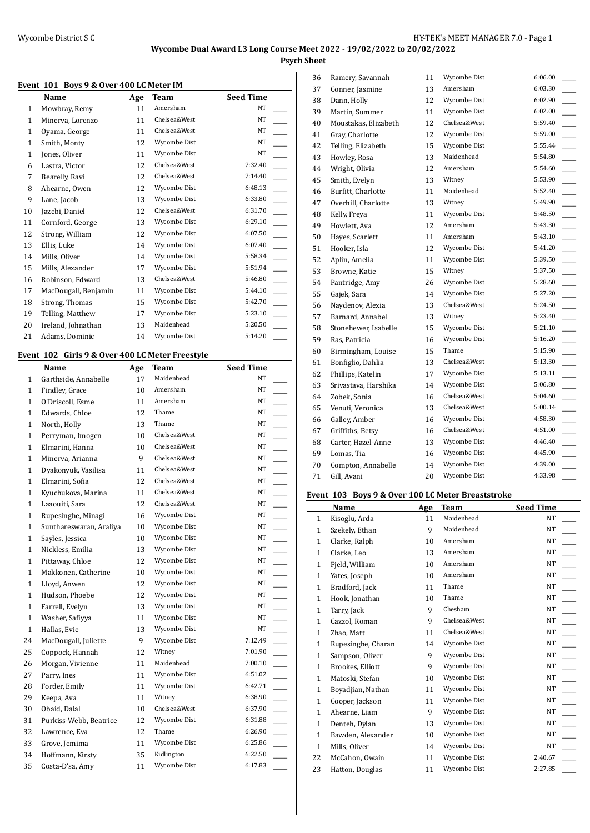**Psych Sheet**

### **Event 101 Boys 9 & Over 400 LC Meter IM**

|              | Name                 | Age | Team         | <b>Seed Time</b> |
|--------------|----------------------|-----|--------------|------------------|
| $\mathbf{1}$ | Mowbray, Remy        | 11  | Amersham     | NT               |
| 1            | Minerva, Lorenzo     | 11  | Chelsea&West | NT               |
| 1            | Oyama, George        | 11  | Chelsea&West | <b>NT</b>        |
| 1            | Smith, Monty         | 12  | Wycombe Dist | NT               |
| 1            | Jones, Oliver        | 11  | Wycombe Dist | NT               |
| 6            | Lastra, Victor       | 12  | Chelsea&West | 7:32.40          |
| 7            | Bearelly, Ravi       | 12  | Chelsea&West | 7:14.40          |
| 8            | Ahearne, Owen        | 12  | Wycombe Dist | 6:48.13          |
| 9            | Lane, Jacob          | 13  | Wycombe Dist | 6:33.80          |
| 10           | Jazebi, Daniel       | 12  | Chelsea&West | 6:31.70          |
| 11           | Cornford, George     | 13  | Wycombe Dist | 6:29.10          |
| 12           | Strong, William      | 12  | Wycombe Dist | 6:07.50          |
| 13           | Ellis, Luke          | 14  | Wycombe Dist | 6:07.40          |
| 14           | Mills, Oliver        | 14  | Wycombe Dist | 5:58.34          |
| 15           | Mills, Alexander     | 17  | Wycombe Dist | 5:51.94          |
| 16           | Robinson, Edward     | 13  | Chelsea&West | 5:46.80          |
| 17           | MacDougall, Benjamin | 11  | Wycombe Dist | 5:44.10          |
| 18           | Strong, Thomas       | 15  | Wycombe Dist | 5:42.70          |
| 19           | Telling, Matthew     | 17  | Wycombe Dist | 5:23.10          |
| 20           | Ireland, Johnathan   | 13  | Maidenhead   | 5:20.50          |
| 21           | Adams, Dominic       | 14  | Wycombe Dist | 5:14.20          |

### **Event 102 Girls 9 & Over 400 LC Meter Freestyle**

 $\overline{\phantom{a}}$ 

|              | Name                    | Age | <b>Team</b>  | <b>Seed Time</b> |
|--------------|-------------------------|-----|--------------|------------------|
| $\mathbf{1}$ | Garthside, Annabelle    | 17  | Maidenhead   | NT               |
| $\mathbf{1}$ | Findley, Grace          | 10  | Amersham     | NT               |
| $\mathbf{1}$ | O'Driscoll, Esme        | 11  | Amersham     | NT               |
| 1            | Edwards, Chloe          | 12  | Thame        | NT               |
| $\mathbf{1}$ | North, Holly            | 13  | Thame        | NT               |
| $\mathbf{1}$ | Perryman, Imogen        | 10  | Chelsea&West | NT               |
| $\mathbf{1}$ | Elmarini, Hanna         | 10  | Chelsea&West | NT               |
| $\mathbf{1}$ | Minerva, Arianna        | 9   | Chelsea&West | NT               |
| $\mathbf{1}$ | Dyakonyuk, Vasilisa     | 11  | Chelsea&West | NT               |
| $\mathbf{1}$ | Elmarini, Sofia         | 12  | Chelsea&West | NT               |
| $\mathbf{1}$ | Kyuchukova, Marina      | 11  | Chelsea&West | NT               |
| $\mathbf{1}$ | Laaouiti, Sara          | 12  | Chelsea&West | NT               |
| 1            | Rupesinghe, Minagi      | 16  | Wycombe Dist | NT               |
| 1            | Sunthareswaran, Araliya | 10  | Wycombe Dist | NT               |
| 1            | Sayles, Jessica         | 10  | Wycombe Dist | NT               |
| $\mathbf{1}$ | Nickless, Emilia        | 13  | Wycombe Dist | NT               |
| $\mathbf{1}$ | Pittaway, Chloe         | 12  | Wycombe Dist | NT               |
| $\mathbf{1}$ | Makkonen, Catherine     | 10  | Wycombe Dist | NT               |
| $\mathbf{1}$ | Lloyd, Anwen            | 12  | Wycombe Dist | NT               |
| $\mathbf{1}$ | Hudson, Phoebe          | 12  | Wycombe Dist | NT               |
| $\mathbf{1}$ | Farrell, Evelyn         | 13  | Wycombe Dist | NT               |
| $\mathbf{1}$ | Washer, Safiyya         | 11  | Wycombe Dist | NT               |
| $\mathbf{1}$ | Hallas, Evie            | 13  | Wycombe Dist | <b>NT</b>        |
| 24           | MacDougall, Juliette    | 9   | Wycombe Dist | 7:12.49          |
| 25           | Coppock, Hannah         | 12  | Witney       | 7:01.90          |
| 26           | Morgan, Vivienne        | 11  | Maidenhead   | 7:00.10          |
| 27           | Parry, Ines             | 11  | Wycombe Dist | 6:51.02          |
| 28           | Forder, Emily           | 11  | Wycombe Dist | 6:42.71          |
| 29           | Keepa, Ava              | 11  | Witney       | 6:38.90          |
| 30           | Obaid, Dalal            | 10  | Chelsea&West | 6:37.90          |
| 31           | Purkiss-Webb, Beatrice  | 12  | Wycombe Dist | 6:31.88          |
| 32           | Lawrence, Eva           | 12  | Thame        | 6:26.90          |
| 33           | Grove, Jemima           | 11  | Wycombe Dist | 6:25.86          |
| 34           | Hoffmann, Kirsty        | 35  | Kidlington   | 6:22.50          |
| 35           | Costa-D'sa, Amy         | 11  | Wycombe Dist | 6:17.83          |

| 36 | Ramery, Savannah     | 11 | Wycombe Dist | 6:06.00 |
|----|----------------------|----|--------------|---------|
| 37 | Conner, Jasmine      | 13 | Amersham     | 6:03.30 |
| 38 | Dann, Holly          | 12 | Wycombe Dist | 6:02.90 |
| 39 | Martin, Summer       | 11 | Wycombe Dist | 6:02.00 |
| 40 | Moustakas, Elizabeth | 12 | Chelsea&West | 5:59.40 |
| 41 | Gray, Charlotte      | 12 | Wycombe Dist | 5:59.00 |
| 42 | Telling, Elizabeth   | 15 | Wycombe Dist | 5:55.44 |
| 43 | Howley, Rosa         | 13 | Maidenhead   | 5:54.80 |
| 44 | Wright, Olivia       | 12 | Amersham     | 5:54.60 |
| 45 | Smith, Evelyn        | 13 | Witney       | 5:53.90 |
| 46 | Burfitt, Charlotte   | 11 | Maidenhead   | 5:52.40 |
| 47 | Overhill, Charlotte  | 13 | Witney       | 5:49.90 |
| 48 | Kelly, Freya         | 11 | Wycombe Dist | 5:48.50 |
| 49 | Howlett, Ava         | 12 | Amersham     | 5:43.30 |
| 50 | Hayes, Scarlett      | 11 | Amersham     | 5:43.10 |
| 51 | Hooker, Isla         | 12 | Wycombe Dist | 5:41.20 |
| 52 | Aplin, Amelia        | 11 | Wycombe Dist | 5:39.50 |
| 53 | Browne, Katie        | 15 | Witney       | 5:37.50 |
| 54 | Pantridge, Amy       | 26 | Wycombe Dist | 5:28.60 |
| 55 | Gajek, Sara          | 14 | Wycombe Dist | 5:27.20 |
| 56 | Naydenov, Alexia     | 13 | Chelsea&West | 5:24.50 |
| 57 | Barnard, Annabel     | 13 | Witney       | 5:23.40 |
| 58 | Stonehewer, Isabelle | 15 | Wycombe Dist | 5:21.10 |
| 59 | Ras, Patricia        | 16 | Wycombe Dist | 5:16.20 |
| 60 | Birmingham, Louise   | 15 | Thame        | 5:15.90 |
| 61 | Bonfiglio, Dahlia    | 13 | Chelsea&West | 5:13.30 |
| 62 | Phillips, Katelin    | 17 | Wycombe Dist | 5:13.11 |
| 63 | Srivastava, Harshika | 14 | Wycombe Dist | 5:06.80 |
| 64 | Zobek, Sonia         | 16 | Chelsea&West | 5:04.60 |
| 65 | Venuti, Veronica     | 13 | Chelsea&West | 5:00.14 |
| 66 | Galley, Amber        | 16 | Wycombe Dist | 4:58.30 |
| 67 | Griffiths, Betsy     | 16 | Chelsea&West | 4:51.00 |
| 68 | Carter, Hazel-Anne   | 13 | Wycombe Dist | 4:46.40 |
| 69 | Lomas, Tia           | 16 | Wycombe Dist | 4:45.90 |
| 70 | Compton, Annabelle   | 14 | Wycombe Dist | 4:39.00 |
| 71 | Gill, Avani          | 20 | Wycombe Dist | 4:33.98 |
|    |                      |    |              |         |

### **Event 103 Boys 9 & Over 100 LC Meter Breaststroke**

|              | Name               | Age | Team         | <b>Seed Time</b> |
|--------------|--------------------|-----|--------------|------------------|
| $\mathbf{1}$ | Kisoglu, Arda      | 11  | Maidenhead   | <b>NT</b>        |
| 1            | Szekely, Ethan     | 9   | Maidenhead   | NT               |
| $\mathbf{1}$ | Clarke, Ralph      | 10  | Amersham     | NT               |
| $\mathbf{1}$ | Clarke, Leo        | 13  | Amersham     | <b>NT</b>        |
| 1            | Fjeld, William     | 10  | Amersham     | NT               |
| 1            | Yates, Joseph      | 10  | Amersham     | <b>NT</b>        |
| 1            | Bradford, Jack     | 11  | Thame        | NT               |
| $\mathbf{1}$ | Hook, Jonathan     | 10  | Thame        | <b>NT</b>        |
| $\mathbf{1}$ | Tarry, Jack        | 9   | Chesham      | NT               |
| 1            | Cazzol, Roman      | 9   | Chelsea&West | NT               |
| 1            | Zhao, Matt         | 11  | Chelsea&West | NT               |
| $\mathbf{1}$ | Rupesinghe, Charan | 14  | Wycombe Dist | NT               |
| $\mathbf{1}$ | Sampson, Oliver    | 9   | Wycombe Dist | <b>NT</b>        |
| 1            | Brookes, Elliott   | 9   | Wycombe Dist | NT               |
| 1            | Matoski, Stefan    | 10  | Wycombe Dist | NT               |
| $\mathbf{1}$ | Boyadjian, Nathan  | 11  | Wycombe Dist | NT               |
| $\mathbf{1}$ | Cooper, Jackson    | 11  | Wycombe Dist | <b>NT</b>        |
| 1            | Ahearne, Liam      | 9   | Wycombe Dist | NT               |
| 1            | Denteh, Dylan      | 13  | Wycombe Dist | NT               |
| 1            | Bawden, Alexander  | 10  | Wycombe Dist | NT               |
| 1            | Mills, Oliver      | 14  | Wycombe Dist | <b>NT</b>        |
| 22           | McCahon, Owain     | 11  | Wycombe Dist | 2:40.67          |
| 23           | Hatton, Douglas    | 11  | Wycombe Dist | 2:27.85          |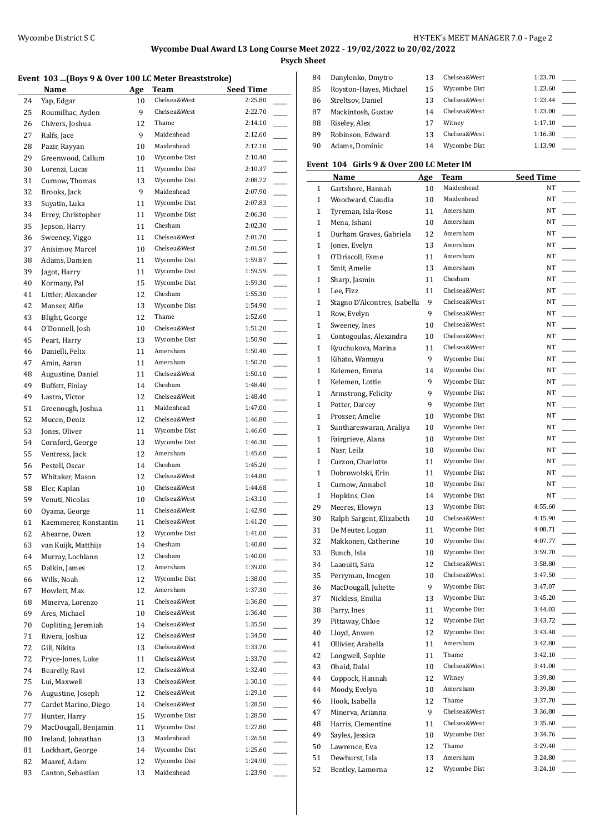**Psych Sheet**

#### **Event 103 ...(Boys 9 & Over 100 LC Meter Breaststroke)**

|    | Name                  | Age | Team         | Seed Time |
|----|-----------------------|-----|--------------|-----------|
| 24 | Yap, Edgar            | 10  | Chelsea&West | 2:25.80   |
| 25 | Roumilhac, Ayden      | 9   | Chelsea&West | 2:22.70   |
| 26 | Chivers, Joshua       | 12  | Thame        | 2:14.10   |
| 27 | Ralfs, Jace           | 9   | Maidenhead   | 2:12.60   |
| 28 | Pazir, Rayyan         | 10  | Maidenhead   | 2:12.10   |
| 29 | Greenwood, Callum     | 10  | Wycombe Dist | 2:10.40   |
| 30 | Lorenzi, Lucas        | 11  | Wycombe Dist | 2:10.37   |
| 31 | Curnow, Thomas        | 13  | Wycombe Dist | 2:08.72   |
| 32 | Brooks, Jack          | 9   | Maidenhead   | 2:07.90   |
| 33 | Suyatin, Luka         | 11  | Wycombe Dist | 2:07.83   |
| 34 | Errey, Christopher    | 11  | Wycombe Dist | 2:06.30   |
| 35 | Jepson, Harry         | 11  | Chesham      | 2:02.30   |
| 36 | Sweeney, Viggo        | 11  | Chelsea&West | 2:01.70   |
| 37 | Anisimov, Marcel      | 10  | Chelsea&West | 2:01.50   |
| 38 | Adams, Damien         | 11  | Wycombe Dist | 1:59.87   |
| 39 | Jagot, Harry          | 11  | Wycombe Dist | 1:59.59   |
| 40 | Kormany, Pal          | 15  | Wycombe Dist | 1:59.30   |
| 41 | Littler, Alexander    | 12  | Chesham      | 1:55.30   |
| 42 | Manser, Alfie         | 13  | Wycombe Dist | 1:54.90   |
| 43 | Blight, George        | 12  | Thame        | 1:52.60   |
| 44 | O'Donnell, Josh       | 10  | Chelsea&West | 1:51.20   |
| 45 | Peart, Harry          | 13  | Wycombe Dist | 1:50.90   |
| 46 | Danielli, Felix       | 11  | Amersham     | 1:50.40   |
| 47 | Amin, Aaran           | 11  | Amersham     | 1:50.20   |
| 48 | Augustine, Daniel     | 11  | Chelsea&West | 1:50.10   |
| 49 | Buffett, Finlay       | 14  | Chesham      | 1:48.40   |
| 49 | Lastra, Victor        | 12  | Chelsea&West | 1:48.40   |
| 51 | Greenough, Joshua     | 11  | Maidenhead   | 1:47.00   |
| 52 | Mucen, Deniz          | 12  | Chelsea&West | 1:46.80   |
| 53 | Jones, Oliver         | 11  | Wycombe Dist | 1:46.60   |
| 54 | Cornford, George      | 13  | Wycombe Dist | 1:46.30   |
| 55 | Ventress, Jack        | 12  | Amersham     | 1:45.60   |
| 56 | Pestell, Oscar        | 14  | Chesham      | 1:45.20   |
| 57 | Whitaker, Mason       | 12  | Chelsea&West | 1:44.80   |
| 58 | Eler, Kaplan          | 10  | Chelsea&West | 1:44.68   |
| 59 | Venuti, Nicolas       | 10  | Chelsea&West | 1:43.10   |
| 60 | Oyama, George         | 11  | Chelsea&West | 1:42.90   |
| 61 | Kaemmerer, Konstantin | 11  | Chelsea&West | 1:41.20   |
| 62 | Ahearne, Owen         | 12  | Wycombe Dist | 1:41.00   |
| 63 | van Kuijk, Matthijs   | 14  | Chesham      | 1:40.80   |
| 64 | Murray, Lochlann      | 12  | Chesham      | 1:40.00   |
| 65 | Dalkin, James         | 12  | Amersham     | 1:39.00   |
| 66 | Wills, Noah           | 12  | Wycombe Dist | 1:38.00   |
| 67 | Howlett, Max          | 12  | Amersham     | 1:37.30   |
| 68 | Minerva, Lorenzo      | 11  | Chelsea&West | 1:36.80   |
| 69 | Ares, Michael         | 10  | Chelsea&West | 1:36.40   |
| 70 | Copliting, Jeremiah   | 14  | Chelsea&West | 1:35.50   |
| 71 | Rivera, Joshua        | 12  | Chelsea&West | 1:34.50   |
| 72 | Gill, Nikita          | 13  | Chelsea&West | 1:33.70   |
| 72 | Pryce-Jones, Luke     | 11  | Chelsea&West | 1:33.70   |
| 74 | Bearelly, Ravi        | 12  | Chelsea&West | 1:32.40   |
| 75 | Lui, Maxwell          | 13  | Chelsea&West | 1:30.10   |
| 76 | Augustine, Joseph     | 12  | Chelsea&West | 1:29.10   |
| 77 | Cardet Marino, Diego  | 14  | Chelsea&West | 1:28.50   |
| 77 | Hunter, Harry         | 15  | Wycombe Dist | 1:28.50   |
| 79 | MacDougall, Benjamin  | 11  | Wycombe Dist | 1:27.80   |
| 80 | Ireland, Johnathan    | 13  | Maidenhead   | 1:26.50   |
| 81 | Lockhart, George      | 14  | Wycombe Dist | 1:25.60   |
| 82 | Maaref, Adam          | 12  | Wycombe Dist | 1:24.90   |
| 83 | Canton, Sebastian     | 13  | Maidenhead   | 1:23.90   |
|    |                       |     |              |           |

| 84 | Danylenko, Dmytro      | 13 | Chelsea&West | 1:23.70 |  |
|----|------------------------|----|--------------|---------|--|
| 85 | Royston-Hayes, Michael | 15 | Wycombe Dist | 1:23.60 |  |
| 86 | Streltsov, Daniel      | 13 | Chelsea&West | 1:23.44 |  |
| 87 | Mackintosh, Gustav     | 14 | Chelsea&West | 1:23.00 |  |
| 88 | Riseley, Alex          | 17 | Witney       | 1:17.10 |  |
| 89 | Robinson, Edward       | 13 | Chelsea&West | 1:16.30 |  |
| 90 | Adams, Dominic         | 14 | Wycombe Dist | 1:13.90 |  |

### **Event 104 Girls 9 & Over 200 LC Meter IM**

|              | Name                           | Age | <b>Team</b>                  | <b>Seed Time</b>                    |
|--------------|--------------------------------|-----|------------------------------|-------------------------------------|
| $\mathbf{1}$ | Gartshore, Hannah              | 10  | Maidenhead                   | NT                                  |
| $\mathbf{1}$ | Woodward, Claudia              | 10  | Maidenhead                   | NT                                  |
| $\mathbf{1}$ | Tyreman, Isla-Rose             | 11  | Amersham                     | NT                                  |
| $\mathbf{1}$ | Mena, Ishani                   | 10  | Amersham                     | NΤ                                  |
| $\mathbf{1}$ | Durham Graves, Gabriela        | 12  | Amersham                     | NT                                  |
| $\mathbf{1}$ | Jones, Evelyn                  | 13  | Amersham                     | NΤ                                  |
| $\mathbf{1}$ | O'Driscoll, Esme               | 11  | Amersham                     | NΤ                                  |
| $\mathbf{1}$ | Smit, Amelie                   | 13  | Amersham                     | NT                                  |
| $\mathbf{1}$ | Sharp, Jasmin                  | 11  | Chesham                      | NΤ                                  |
| $\mathbf{1}$ | Lee, Fizz                      | 11  | Chelsea&West                 | NT                                  |
| $\mathbf{1}$ | Stagno D'Alcontres, Isabella   | 9   | Chelsea&West                 | NT                                  |
| $\mathbf{1}$ | Row, Evelyn                    | 9   | Chelsea&West                 | NΤ                                  |
| $\mathbf{1}$ | Sweeney, Ines                  | 10  | Chelsea&West                 | NT                                  |
| $\mathbf{1}$ | Contogoulas, Alexandra         | 10  | Chelsea&West                 | NT                                  |
| $\mathbf{1}$ | Kyuchukova, Marina             | 11  | Chelsea&West                 | NT                                  |
| $\mathbf{1}$ | Kihato, Wamuyu                 | 9   | Wycombe Dist                 | NT                                  |
| $\mathbf{1}$ | Kelemen, Emma                  | 14  | Wycombe Dist                 | NT                                  |
| $\mathbf{1}$ | Kelemen, Lottie                | 9   | Wycombe Dist                 | NΤ                                  |
| $\mathbf{1}$ | Armstrong, Felicity            | 9   | Wycombe Dist                 | NΤ                                  |
| $\mathbf{1}$ | Potter, Darcey                 | 9   | Wycombe Dist                 | NT                                  |
| $\mathbf{1}$ | Prosser, Amelie                | 10  | Wycombe Dist                 | NT                                  |
| $\mathbf{1}$ | Sunthareswaran, Araliya        | 10  | Wycombe Dist                 | NT                                  |
| $\mathbf{1}$ | Fairgrieve, Alana              | 10  | Wycombe Dist                 | NT                                  |
| $\mathbf{1}$ | Nasr, Leila                    | 10  | Wycombe Dist                 | NT                                  |
| $\mathbf{1}$ | Curzon, Charlotte              | 11  | Wycombe Dist                 | NT                                  |
| $\mathbf{1}$ | Dobrowolski, Erin              | 11  | Wycombe Dist                 | NT                                  |
| $\mathbf{1}$ | Curnow, Annabel                | 10  | Wycombe Dist                 | NT                                  |
| $\mathbf{1}$ | Hopkins, Cleo                  | 14  | Wycombe Dist                 | NT                                  |
| 29           | Meeres, Elowyn                 | 13  | Wycombe Dist                 | 4:55.60                             |
| 30           | Ralph Sargent, Elizabeth       | 10  | Chelsea&West                 | 4:15.90                             |
| 31           | De Meuter, Logan               | 11  | Wycombe Dist                 | 4:08.71                             |
| 32           | Makkonen, Catherine            | 10  | Wycombe Dist                 | 4:07.77                             |
| 33           | Bunch, Isla                    | 10  | Wycombe Dist                 | 3:59.70                             |
| 34           | Laaouiti, Sara                 | 12  | Chelsea&West                 | 3:58.80                             |
| 35           | Perryman, Imogen               | 10  | Chelsea&West                 | 3:47.50                             |
| 36           | MacDougall, Juliette           | 9   | Wycombe Dist                 | 3:47.07                             |
|              | Nickless, Emilia               |     | Wycombe Dist                 | 3:45.20                             |
| 37           |                                | 13  |                              | 3:44.03                             |
| 38           | Parry, Ines<br>Pittaway, Chloe | 11  | Wycombe Dist                 |                                     |
| 39           |                                | 12  | Wycombe Dist<br>Wycombe Dist | 3:43.72<br>3:43.48                  |
| 40           | Lloyd, Anwen                   | 12  | Amersham                     |                                     |
| 41           | Ollivier, Arabella             | 11  |                              | 3:42.80                             |
| 42           | Longwell, Sophie               | 11  | Thame<br>Chelsea&West        | 3:42.10<br><u>.</u>                 |
| 43           | Obaid, Dalal                   | 10  |                              | 3:41.00                             |
| 44           | Coppock, Hannah                | 12  | Witney                       | 3:39.80                             |
| 44           | Moody, Evelyn                  | 10  | Amersham                     | 3:39.80<br>$\overline{\phantom{a}}$ |
| 46           | Hook, Isabella                 | 12  | Thame                        | 3:37.70                             |
| 47           | Minerva, Arianna               | 9   | Chelsea&West                 | 3:36.80                             |
| 48           | Harris, Clementine             | 11  | Chelsea&West                 | 3:35.60                             |
| 49           | Sayles, Jessica                | 10  | Wycombe Dist                 | 3:34.76                             |
| 50           | Lawrence, Eva                  | 12  | Thame                        | 3:29.40                             |
| 51           | Dewhurst, Isla                 | 13  | Amersham                     | 3:24.80                             |
| 52           | Bentley, Lamorna               | 12  | Wycombe Dist                 | 3:24.10                             |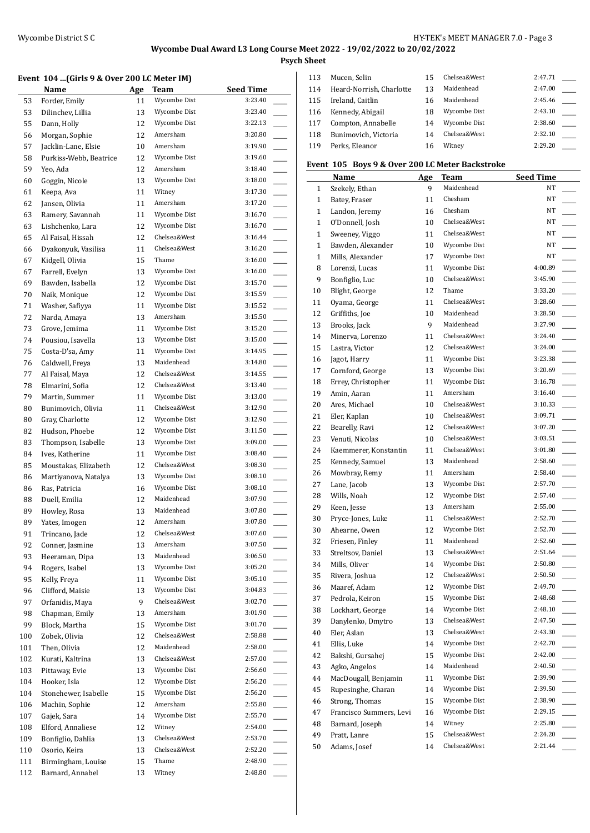**Psych Sheet**

### **Event 104 ...(Girls 9 & Over 200 LC Meter IM)**

|     | Name                   | Age | Team         | <b>Seed Time</b> |
|-----|------------------------|-----|--------------|------------------|
| 53  | Forder, Emily          | 11  | Wycombe Dist | 3:23.40          |
| 53  | Dilinchev, Lillia      | 13  | Wycombe Dist | 3:23.40          |
| 55  | Dann, Holly            | 12  | Wycombe Dist | 3:22.13          |
| 56  | Morgan, Sophie         | 12  | Amersham     | 3:20.80          |
| 57  | Jacklin-Lane, Elsie    | 10  | Amersham     | 3:19.90          |
| 58  | Purkiss-Webb, Beatrice | 12  | Wycombe Dist | 3:19.60          |
| 59  | Yeo, Ada               | 12  | Amersham     | 3:18.40          |
| 60  | Goggin, Nicole         | 13  | Wycombe Dist | 3:18.00          |
| 61  | Keepa, Ava             | 11  | Witney       | 3:17.30          |
| 62  | Jansen, Olivia         | 11  | Amersham     | 3:17.20          |
| 63  | Ramery, Savannah       | 11  | Wycombe Dist | 3:16.70          |
| 63  | Lishchenko, Lara       | 12  | Wycombe Dist | 3:16.70          |
| 65  | Al Faisal, Hissah      | 12  | Chelsea&West | 3:16.44          |
| 66  | Dyakonyuk, Vasilisa    | 11  | Chelsea&West | 3:16.20          |
| 67  | Kidgell, Olivia        | 15  | Thame        | 3:16.00          |
| 67  | Farrell, Evelyn        | 13  | Wycombe Dist | 3:16.00          |
| 69  | Bawden, Isabella       | 12  | Wycombe Dist | 3:15.70          |
| 70  | Naik, Monique          | 12  | Wycombe Dist | 3:15.59          |
| 71  | Washer, Safiyya        | 11  | Wycombe Dist | 3:15.52          |
| 72  | Narda, Amaya           | 13  | Amersham     | 3:15.50          |
| 73  | Grove, Jemima          | 11  | Wycombe Dist | 3:15.20          |
| 74  | Pousiou, Isavella      | 13  | Wycombe Dist | 3:15.00          |
| 75  | Costa-D'sa, Amy        | 11  | Wycombe Dist | 3:14.95          |
| 76  | Caldwell, Freya        | 13  | Maidenhead   | 3:14.80          |
| 77  | Al Faisal, Maya        | 12  | Chelsea&West | 3:14.55          |
| 78  | Elmarini, Sofia        | 12  | Chelsea&West | 3:13.40          |
| 79  | Martin, Summer         | 11  | Wycombe Dist | 3:13.00          |
| 80  | Bunimovich, Olivia     | 11  | Chelsea&West | 3:12.90          |
| 80  | Gray, Charlotte        | 12  | Wycombe Dist | 3:12.90          |
| 82  | Hudson, Phoebe         | 12  | Wycombe Dist | 3:11.50          |
| 83  | Thompson, Isabelle     | 13  | Wycombe Dist | 3:09.00          |
| 84  | Ives, Katherine        | 11  | Wycombe Dist | 3:08.40          |
| 85  | Moustakas, Elizabeth   | 12  | Chelsea&West | 3:08.30          |
| 86  | Martiyanova, Natalya   | 13  | Wycombe Dist | 3:08.10          |
| 86  | Ras, Patricia          | 16  | Wycombe Dist | 3:08.10          |
| 88  | Duell, Emilia          | 12  | Maidenhead   | 3:07.90          |
| 89  | Howley, Rosa           | 13  | Maidenhead   | 3:07.80          |
| 89  | Yates, Imogen          | 12  | Amersham     | 3:07.80          |
| 91  | Trincano, Jade         | 12  | Chelsea&West | 3:07.60          |
| 92  | Conner, Jasmine        | 13  | Amersham     | 3:07.50          |
| 93  | Heeraman, Dipa         | 13  | Maidenhead   | 3:06.50          |
| 94  | Rogers, Isabel         | 13  | Wycombe Dist | 3:05.20          |
| 95  | Kelly, Freya           | 11  | Wycombe Dist | 3:05.10          |
| 96  | Clifford, Maisie       | 13  | Wycombe Dist | 3:04.83          |
| 97  | Orfanidis, Maya        | 9   | Chelsea&West | 3:02.70          |
| 98  | Chapman, Emily         | 13  | Amersham     | 3:01.90          |
| 99  | Block, Martha          | 15  | Wycombe Dist | 3:01.70          |
| 100 | Zobek, Olivia          | 12  | Chelsea&West | 2:58.88          |
| 101 | Then, Olivia           | 12  | Maidenhead   | 2:58.00          |
| 102 | Kurati, Kaltrina       | 13  | Chelsea&West | 2:57.00          |
| 103 | Pittaway, Evie         | 13  | Wycombe Dist | 2:56.60          |
| 104 | Hooker, Isla           | 12  | Wycombe Dist | 2:56.20          |
| 104 | Stonehewer, Isabelle   | 15  | Wycombe Dist | 2:56.20          |
| 106 | Machin, Sophie         | 12  | Amersham     | 2:55.80          |
| 107 | Gajek, Sara            | 14  | Wycombe Dist | 2:55.70          |
| 108 | Elford, Annaliese      | 12  | Witney       | 2:54.00          |
| 109 | Bonfiglio, Dahlia      | 13  | Chelsea&West | 2:53.70          |
| 110 | Osorio, Keira          | 13  | Chelsea&West | 2:52.20          |
| 111 | Birmingham, Louise     | 15  | Thame        | 2:48.90          |
| 112 | Barnard, Annabel       | 13  | Witney       | 2:48.80          |
|     |                        |     |              |                  |

| 113 | Mucen, Selin             | 15 | Chelsea&West | 2:47.71 |  |
|-----|--------------------------|----|--------------|---------|--|
| 114 | Heard-Norrish, Charlotte | 13 | Maidenhead   | 2:47.00 |  |
| 115 | Ireland, Caitlin         | 16 | Maidenhead   | 2:45.46 |  |
| 116 | Kennedy, Abigail         | 18 | Wycombe Dist | 2:43.10 |  |
| 117 | Compton, Annabelle       | 14 | Wycombe Dist | 2:38.60 |  |
| 118 | Bunimovich, Victoria     | 14 | Chelsea&West | 2:32.10 |  |
| 119 | Perks, Eleanor           | 16 | Witney       | 2:29.20 |  |

### **Event 105 Boys 9 & Over 200 LC Meter Backstroke**

|              | Name                    | <b>Age</b> | <b>Team</b>  | <b>Seed Time</b>                    |
|--------------|-------------------------|------------|--------------|-------------------------------------|
| $\mathbf{1}$ | Szekely, Ethan          | 9          | Maidenhead   | NT                                  |
| $\mathbf{1}$ | Batey, Fraser           | 11         | Chesham      | NT                                  |
| $\mathbf{1}$ | Landon, Jeremy          | 16         | Chesham      | NT                                  |
| $\mathbf{1}$ | O'Donnell, Josh         | 10         | Chelsea&West | NT                                  |
| $\mathbf{1}$ | Sweeney, Viggo          | 11         | Chelsea&West | NT                                  |
| $\mathbf{1}$ | Bawden, Alexander       | 10         | Wycombe Dist | NT                                  |
| $\mathbf{1}$ | Mills, Alexander        | 17         | Wycombe Dist | NT                                  |
| 8            | Lorenzi, Lucas          | 11         | Wycombe Dist | 4:00.89                             |
| 9            | Bonfiglio, Luc          | 10         | Chelsea&West | 3:45.90                             |
| 10           | Blight, George          | 12         | Thame        | 3:33.20<br>$\overline{\phantom{a}}$ |
| 11           | Oyama, George           | 11         | Chelsea&West | 3:28.60<br>$\overline{\phantom{a}}$ |
| 12           | Griffiths, Joe          | 10         | Maidenhead   | $\overline{a}$<br>3:28.50           |
| 13           | Brooks, Jack            | 9          | Maidenhead   | 3:27.90                             |
| 14           | Minerva, Lorenzo        | 11         | Chelsea&West | 3:24.40                             |
| 15           | Lastra, Victor          | 12         | Chelsea&West | 3:24.00<br>$\overline{\phantom{a}}$ |
| 16           | Jagot, Harry            | 11         | Wycombe Dist | 3:23.38<br>$\overline{\phantom{a}}$ |
| 17           | Cornford, George        | 13         | Wycombe Dist | 3:20.69<br>$\overline{\phantom{a}}$ |
| 18           | Errey, Christopher      | 11         | Wycombe Dist | 3:16.78<br>$\overline{\phantom{a}}$ |
| 19           | Amin, Aaran             | 11         | Amersham     | 3:16.40<br>$\overline{\phantom{a}}$ |
| 20           | Ares, Michael           | 10         | Chelsea&West | 3:10.33<br>$\frac{1}{1}$            |
| 21           | Eler, Kaplan            | 10         | Chelsea&West | 3:09.71<br>$\overline{\phantom{a}}$ |
| 22           | Bearelly, Ravi          | 12         | Chelsea&West | 3:07.20                             |
| 23           | Venuti, Nicolas         | 10         | Chelsea&West | 3:03.51<br><u>in</u>                |
| 24           | Kaemmerer, Konstantin   | 11         | Chelsea&West | 3:01.80<br>$\overline{\phantom{a}}$ |
| 25           | Kennedy, Samuel         | 13         | Maidenhead   | 2:58.60                             |
| 26           | Mowbray, Remy           | 11         | Amersham     | 2:58.40<br>$\overline{\phantom{a}}$ |
| 27           | Lane, Jacob             | 13         | Wycombe Dist | 2:57.70<br>$\overline{\phantom{a}}$ |
| 28           | Wills, Noah             | 12         | Wycombe Dist | 2:57.40                             |
| 29           | Keen, Jesse             | 13         | Amersham     | 2:55.00<br>$\overline{\phantom{a}}$ |
| 30           | Pryce-Jones, Luke       | 11         | Chelsea&West | 2:52.70<br>$\overline{\phantom{a}}$ |
| 30           | Ahearne, Owen           | 12         | Wycombe Dist | 2:52.70<br>$\overline{\phantom{a}}$ |
| 32           | Friesen, Finley         | 11         | Maidenhead   | 2:52.60<br>$\overline{\phantom{a}}$ |
| 33           | Streltsov, Daniel       | 13         | Chelsea&West | 2:51.64<br>$\overline{\phantom{a}}$ |
| 34           | Mills, Oliver           | 14         | Wycombe Dist | 2:50.80                             |
| 35           | Rivera, Joshua          | 12         | Chelsea&West | 2:50.50                             |
| 36           | Maaref, Adam            | 12         | Wycombe Dist | 2:49.70                             |
| 37           | Pedrola, Keiron         | 15         | Wycombe Dist | 2:48.68                             |
| 38           | Lockhart, George        | 14         | Wycombe Dist | 2:48.10                             |
| 39           | Danylenko, Dmytro       | 13         | Chelsea&West | 2:47.50                             |
| 40           | Eler, Aslan             | 13         | Chelsea&West | 2:43.30                             |
| 41           | Ellis, Luke             | 14         | Wycombe Dist | 2:42.70                             |
| 42           | Bakshi, Gursahej        | 15         | Wycombe Dist | 2:42.00                             |
| 43           | Agko, Angelos           | 14         | Maidenhead   | 2:40.50                             |
| 44           | MacDougall, Benjamin    | 11         | Wycombe Dist | 2:39.90                             |
| 45           | Rupesinghe, Charan      | 14         | Wycombe Dist | 2:39.50<br>$\overline{\phantom{a}}$ |
| 46           | Strong, Thomas          | 15         | Wycombe Dist | 2:38.90                             |
| 47           | Francisco Summers, Levi | 16         | Wycombe Dist | 2:29.15                             |
| 48           | Barnard, Joseph         | 14         | Witney       | 2:25.80                             |
| 49           | Pratt, Lanre            | 15         | Chelsea&West | 2:24.20                             |
| 50           | Adams, Josef            | 14         | Chelsea&West | 2:21.44                             |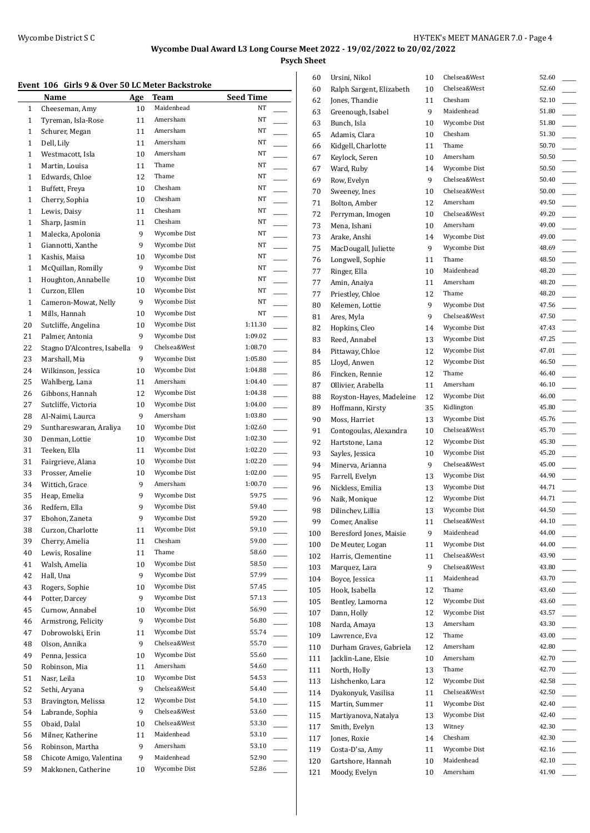**Psych Sheet**

### **Event 106 Girls 9 & Over 50 LC Meter Backstroke**

| вусні том    | and y & Over 50 LC Meter Datisti UKE<br>Name |           | <b>Team</b>           | <b>Seed Time</b>                    |
|--------------|----------------------------------------------|-----------|-----------------------|-------------------------------------|
| $\mathbf{1}$ | Cheeseman, Amy                               | Age<br>10 | Maidenhead            | NT                                  |
| $\mathbf{1}$ | Tyreman, Isla-Rose                           | 11        | Amersham              | NT                                  |
| $\mathbf{1}$ | Schurer, Megan                               | 11        | Amersham              | NT                                  |
| 1            | Dell, Lily                                   | 11        | Amersham              | NT                                  |
| $\mathbf{1}$ | Westmacott, Isla                             | 10        | Amersham              | NT                                  |
| $\mathbf{1}$ | Martin, Louisa                               | 11        | Thame                 | NT                                  |
| $\mathbf{1}$ | Edwards, Chloe                               | 12        | Thame                 | NT                                  |
| $\mathbf{1}$ | Buffett, Freya                               | 10        | Chesham               | NT                                  |
| $\mathbf{1}$ | Cherry, Sophia                               | 10        | Chesham               | NT                                  |
| $\mathbf{1}$ | Lewis, Daisy                                 | 11        | Chesham               | NT                                  |
| $\mathbf{1}$ | Sharp, Jasmin                                | 11        | Chesham               | NT                                  |
| $\mathbf{1}$ | Malecka, Apolonia                            | 9         | Wycombe Dist          | NT                                  |
| $\mathbf{1}$ | Giannotti, Xanthe                            | 9         | Wycombe Dist          | NT                                  |
| $\mathbf{1}$ | Kashis, Maisa                                | 10        | Wycombe Dist          | NT                                  |
| $\mathbf{1}$ | McQuillan, Romilly                           | 9         | Wycombe Dist          | NT                                  |
| $\mathbf{1}$ | Houghton, Annabelle                          | 10        | Wycombe Dist          | NT                                  |
| $\mathbf{1}$ | Curzon, Ellen                                | 10        | Wycombe Dist          | NT                                  |
| $\mathbf{1}$ | Cameron-Mowat, Nelly                         | 9         | Wycombe Dist          | NT                                  |
| $\mathbf{1}$ | Mills, Hannah                                | 10        | Wycombe Dist          | NT                                  |
| 20           | Sutcliffe, Angelina                          | 10        | Wycombe Dist          | 1:11.30                             |
| 21           | Palmer, Antonia                              | 9         | Wycombe Dist          | 1:09.02<br>$\overline{\phantom{a}}$ |
| 22           | Stagno D'Alcontres, Isabella                 | 9         | Chelsea&West          | 1:08.70                             |
| 23           | Marshall, Mia                                | 9         | Wycombe Dist          | 1:05.80                             |
| 24           | Wilkinson, Jessica                           | 10        | Wycombe Dist          | 1:04.88<br>$\overline{\phantom{a}}$ |
| 25           | Wahlberg, Lana                               | 11        | Amersham              | 1:04.40                             |
| 26           | Gibbons, Hannah                              | 12        | Wycombe Dist          | 1:04.38                             |
| 27           | Sutcliffe, Victoria                          | 10        | Wycombe Dist          | 1:04.00                             |
| 28           | Al-Naimi, Laurca                             | 9         | Amersham              | 1:03.80<br>$\overline{\phantom{a}}$ |
| 29           | Sunthareswaran, Araliya                      | 10        | Wycombe Dist          | 1:02.60                             |
| 30           | Denman, Lottie                               | 10        | Wycombe Dist          | 1:02.30                             |
| 31           | Teeken, Ella                                 | 11        | Wycombe Dist          | 1:02.20                             |
| 31           | Fairgrieve, Alana                            | 10        | Wycombe Dist          | 1:02.20<br>$\overline{\phantom{a}}$ |
| 33           | Prosser, Amelie                              | 10        | Wycombe Dist          | 1:02.00<br>$\overline{\phantom{a}}$ |
| 34           | Wittich, Grace                               | 9         | Amersham              | 1:00.70                             |
| 35           | Heap, Emelia                                 | 9         | Wycombe Dist          | 59.75                               |
| 36           | Redfern, Ella                                | 9         | Wycombe Dist          | 59.40                               |
| 37           | Ebohon, Zaneta                               | 9         | Wycombe Dist          | 59.20                               |
| 38           | Curzon, Charlotte                            | 11        | Wycombe Dist          | 59.10                               |
| 39           | Cherry, Amelia                               | 11        | Chesham               | 59.00<br>58.60                      |
| 40           | Lewis, Rosaline                              | 11        | Thame<br>Wycombe Dist | 58.50                               |
| 41<br>42     | Walsh, Amelia<br>Hall, Una                   | 10<br>9   | Wycombe Dist          | 57.99                               |
| 43           | Rogers, Sophie                               | 10        | Wycombe Dist          | 57.45                               |
| 44           | Potter, Darcey                               | 9         | Wycombe Dist          | 57.13                               |
| 45           | Curnow, Annabel                              | 10        | Wycombe Dist          | 56.90<br>$\overline{\phantom{a}}$   |
| 46           | Armstrong, Felicity                          | 9         | Wycombe Dist          | 56.80<br>$\overline{\phantom{a}}$   |
| 47           | Dobrowolski, Erin                            | 11        | Wycombe Dist          | 55.74                               |
| 48           | Olson, Annika                                | 9         | Chelsea&West          | 55.70<br>$\mathbb{R}$               |
| 49           | Penna, Jessica                               | 10        | Wycombe Dist          | 55.60<br>$\overline{\phantom{a}}$   |
| 50           | Robinson, Mia                                | 11        | Amersham              | 54.60                               |
| 51           | Nasr, Leila                                  | 10        | Wycombe Dist          | 54.53                               |
| 52           | Sethi, Aryana                                | 9         | Chelsea&West          | 54.40<br>$\overline{\phantom{a}}$   |
| 53           | Bravington, Melissa                          | 12        | Wycombe Dist          | 54.10                               |
| 54           | Labrande, Sophia                             | 9         | Chelsea&West          | 53.60<br>$\overline{\phantom{a}}$   |
| 55           | Obaid, Dalal                                 | 10        | Chelsea&West          | 53.30<br><u>.</u>                   |
| 56           | Milner, Katherine                            | 11        | Maidenhead            | 53.10<br>$\overline{\phantom{a}}$   |
| 56           | Robinson, Martha                             | 9         | Amersham              | 53.10<br>$\overline{\phantom{a}}$   |
| 58           | Chicote Amigo, Valentina                     | 9         | Maidenhead            | 52.90                               |
| 59           | Makkonen, Catherine                          | 10        | Wycombe Dist          | 52.86                               |
|              |                                              |           |                       |                                     |

| 60  | Ursini, Nikol            | 10 | Chelsea&West | 52.60 |
|-----|--------------------------|----|--------------|-------|
| 60  | Ralph Sargent, Elizabeth | 10 | Chelsea&West | 52.60 |
| 62  | Jones, Thandie           | 11 | Chesham      | 52.10 |
| 63  | Greenough, Isabel        | 9  | Maidenhead   | 51.80 |
| 63  | Bunch, Isla              | 10 | Wycombe Dist | 51.80 |
| 65  | Adamis, Clara            | 10 | Chesham      | 51.30 |
| 66  | Kidgell, Charlotte       | 11 | Thame        | 50.70 |
| 67  | Keylock, Seren           | 10 | Amersham     | 50.50 |
| 67  | Ward, Ruby               | 14 | Wycombe Dist | 50.50 |
| 69  | Row, Evelyn              | 9  | Chelsea&West | 50.40 |
| 70  | Sweeney, Ines            | 10 | Chelsea&West | 50.00 |
| 71  | Bolton, Amber            | 12 | Amersham     | 49.50 |
| 72  | Perryman, Imogen         | 10 | Chelsea&West | 49.20 |
| 73  | Mena, Ishani             | 10 | Amersham     | 49.00 |
| 73  | Arake, Anshi             | 14 | Wycombe Dist | 49.00 |
| 75  | MacDougall, Juliette     | 9  | Wycombe Dist | 48.69 |
| 76  | Longwell, Sophie         | 11 | Thame        | 48.50 |
| 77  | Ringer, Ella             | 10 | Maidenhead   | 48.20 |
| 77  | Amin, Anaiya             | 11 | Amersham     | 48.20 |
| 77  | Priestley, Chloe         | 12 | Thame        | 48.20 |
| 80  | Kelemen, Lottie          | 9  | Wycombe Dist | 47.56 |
| 81  | Ares, Myla               | 9  | Chelsea&West | 47.50 |
| 82  | Hopkins, Cleo            | 14 | Wycombe Dist | 47.43 |
| 83  | Reed, Annabel            | 13 | Wycombe Dist | 47.25 |
| 84  | Pittaway, Chloe          | 12 | Wycombe Dist | 47.01 |
| 85  | Lloyd, Anwen             | 12 | Wycombe Dist | 46.50 |
| 86  | Fincken, Rennie          | 12 | Thame        | 46.40 |
| 87  | Ollivier, Arabella       | 11 | Amersham     | 46.10 |
| 88  | Royston-Hayes, Madeleine | 12 | Wycombe Dist | 46.00 |
| 89  | Hoffmann, Kirsty         | 35 | Kidlington   | 45.80 |
| 90  | Moss, Harriet            | 13 | Wycombe Dist | 45.76 |
| 91  | Contogoulas, Alexandra   | 10 | Chelsea&West | 45.70 |
| 92  | Hartstone, Lana          | 12 | Wycombe Dist | 45.30 |
| 93  | Sayles, Jessica          | 10 | Wycombe Dist | 45.20 |
| 94  | Minerva, Arianna         | 9  | Chelsea&West | 45.00 |
| 95  | Farrell, Evelyn          | 13 | Wycombe Dist | 44.90 |
| 96  | Nickless, Emilia         | 13 | Wycombe Dist | 44.71 |
| 96  | Naik, Monique            | 12 | Wycombe Dist | 44.71 |
| 98  | Dilinchev, Lillia        | 13 | Wycombe Dist | 44.50 |
| 99  | Comer, Analise           | 11 | Chelsea&West | 44.10 |
| 100 | Beresford Jones, Maisie  | 9  | Maidenhead   | 44.00 |
| 100 | De Meuter, Logan         | 11 | Wycombe Dist | 44.00 |
| 102 | Harris, Clementine       | 11 | Chelsea&West | 43.90 |
| 103 | Marquez, Lara            | 9  | Chelsea&West | 43.80 |
| 104 | Boyce, Jessica           | 11 | Maidenhead   | 43.70 |
| 105 | Hook, Isabella           | 12 | Thame        | 43.60 |
| 105 | Bentley, Lamorna         | 12 | Wycombe Dist | 43.60 |
| 107 | Dann, Holly              | 12 | Wycombe Dist | 43.57 |
| 108 | Narda, Amaya             | 13 | Amersham     | 43.30 |
| 109 | Lawrence, Eva            | 12 | Thame        | 43.00 |
| 110 | Durham Graves, Gabriela  | 12 | Amersham     | 42.80 |
| 111 | Jacklin-Lane, Elsie      | 10 | Amersham     | 42.70 |
| 111 | North, Holly             | 13 | Thame        | 42.70 |
| 113 | Lishchenko, Lara         | 12 | Wycombe Dist | 42.58 |
| 114 | Dyakonyuk, Vasilisa      | 11 | Chelsea&West | 42.50 |
| 115 | Martin, Summer           | 11 | Wycombe Dist | 42.40 |
| 115 | Martiyanova, Natalya     | 13 | Wycombe Dist | 42.40 |
| 117 | Smith, Evelyn            | 13 | Witney       | 42.30 |
| 117 | Jones, Roxie             | 14 | Chesham      | 42.30 |
| 119 | Costa-D'sa, Amy          | 11 | Wycombe Dist | 42.16 |
| 120 | Gartshore, Hannah        | 10 | Maidenhead   | 42.10 |
| 121 | Moody, Evelyn            | 10 | Amersham     | 41.90 |
|     |                          |    |              |       |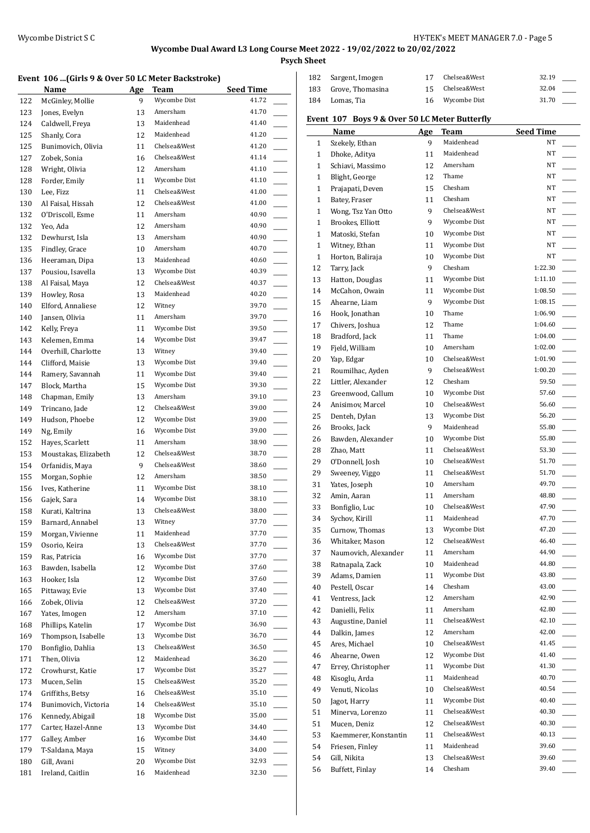**Psych Sheet**

#### **Event 106 ...(Girls 9 & Over 50 LC Meter Backstroke)**

|     | Name                 | Age | Team         | <b>Seed Time</b> |
|-----|----------------------|-----|--------------|------------------|
| 122 | McGinley, Mollie     | 9   | Wycombe Dist | 41.72            |
| 123 | Jones, Evelyn        | 13  | Amersham     | 41.70            |
| 124 | Caldwell, Freya      | 13  | Maidenhead   | 41.40            |
| 125 | Shanly, Cora         | 12  | Maidenhead   | 41.20            |
| 125 | Bunimovich, Olivia   | 11  | Chelsea&West | 41.20            |
| 127 | Zobek, Sonia         | 16  | Chelsea&West | 41.14            |
| 128 | Wright, Olivia       | 12  | Amersham     | 41.10            |
| 128 | Forder, Emily        | 11  | Wycombe Dist | 41.10            |
| 130 | Lee, Fizz            | 11  | Chelsea&West | 41.00            |
| 130 | Al Faisal, Hissah    | 12  | Chelsea&West | 41.00            |
| 132 | O'Driscoll, Esme     | 11  | Amersham     | 40.90            |
| 132 | Yeo, Ada             | 12  | Amersham     | 40.90            |
| 132 | Dewhurst, Isla       | 13  | Amersham     | 40.90            |
| 135 | Findley, Grace       | 10  | Amersham     | 40.70            |
| 136 | Heeraman, Dipa       | 13  | Maidenhead   | 40.60            |
| 137 | Pousiou, Isavella    | 13  | Wycombe Dist | 40.39            |
| 138 | Al Faisal, Maya      | 12  | Chelsea&West | 40.37            |
| 139 | Howley, Rosa         | 13  | Maidenhead   | 40.20            |
| 140 | Elford, Annaliese    | 12  | Witney       | 39.70            |
| 140 | Jansen, Olivia       | 11  | Amersham     | 39.70            |
| 142 | Kelly, Freya         | 11  | Wycombe Dist | 39.50            |
| 143 | Kelemen, Emma        | 14  | Wycombe Dist | 39.47            |
| 144 | Overhill, Charlotte  | 13  | Witney       | 39.40            |
| 144 | Clifford, Maisie     | 13  | Wycombe Dist | 39.40            |
| 144 | Ramery, Savannah     | 11  | Wycombe Dist | 39.40            |
| 147 | Block, Martha        | 15  | Wycombe Dist | 39.30            |
| 148 | Chapman, Emily       | 13  | Amersham     | 39.10            |
| 149 | Trincano, Jade       | 12  | Chelsea&West | 39.00            |
| 149 | Hudson, Phoebe       | 12  | Wycombe Dist | 39.00            |
| 149 | Ng, Emily            | 16  | Wycombe Dist | 39.00            |
| 152 | Hayes, Scarlett      | 11  | Amersham     | 38.90            |
| 153 | Moustakas, Elizabeth | 12  | Chelsea&West | 38.70            |
| 154 | Orfanidis, Maya      | 9   | Chelsea&West | 38.60            |
| 155 | Morgan, Sophie       | 12  | Amersham     | 38.50            |
| 156 | Ives, Katherine      | 11  | Wycombe Dist | 38.10            |
| 156 | Gajek, Sara          | 14  | Wycombe Dist | 38.10            |
| 158 | Kurati, Kaltrina     | 13  | Chelsea&West | 38.00            |
| 159 | Barnard, Annabel     | 13  | Witney       | 37.70            |
| 159 | Morgan, Vivienne     | 11  | Maidenhead   | 37.70            |
| 159 | Osorio, Keira        | 13  | Chelsea&West | 37.70            |
| 159 | Ras, Patricia        | 16  | Wycombe Dist | 37.70            |
| 163 | Bawden, Isabella     | 12  | Wycombe Dist | 37.60            |
| 163 | Hooker, Isla         | 12  | Wycombe Dist | 37.60            |
| 165 | Pittaway, Evie       | 13  | Wycombe Dist | 37.40            |
| 166 | Zobek, Olivia        | 12  | Chelsea&West | 37.20            |
| 167 | Yates, Imogen        | 12  | Amersham     | 37.10            |
| 168 | Phillips, Katelin    | 17  | Wycombe Dist | 36.90            |
| 169 | Thompson, Isabelle   | 13  | Wycombe Dist | 36.70            |
| 170 | Bonfiglio, Dahlia    | 13  | Chelsea&West | 36.50            |
| 171 | Then, Olivia         | 12  | Maidenhead   | 36.20            |
| 172 | Crowhurst, Katie     | 17  | Wycombe Dist | 35.27            |
| 173 | Mucen, Selin         | 15  | Chelsea&West | 35.20            |
| 174 | Griffiths, Betsy     | 16  | Chelsea&West | 35.10            |
| 174 | Bunimovich, Victoria | 14  | Chelsea&West | 35.10            |
| 176 | Kennedy, Abigail     | 18  | Wycombe Dist | 35.00            |
| 177 | Carter, Hazel-Anne   | 13  | Wycombe Dist | 34.40            |
| 177 | Galley, Amber        | 16  | Wycombe Dist | 34.40            |
| 179 | T-Saldana, Maya      | 15  | Witney       | 34.00            |
| 180 | Gill, Avani          | 20  | Wycombe Dist | 32.93            |
| 181 | Ireland, Caitlin     | 16  | Maidenhead   | 32.30            |
|     |                      |     |              |                  |

| 182          | Sargent, Imogen                               | 17  | Chelsea&West | 32.19            |                          |
|--------------|-----------------------------------------------|-----|--------------|------------------|--------------------------|
| 183          | Grove, Thomasina                              | 15  | Chelsea&West | 32.04            |                          |
| 184          | Lomas, Tia                                    | 16  | Wycombe Dist | 31.70            |                          |
|              | Event 107 Boys 9 & Over 50 LC Meter Butterfly |     |              |                  |                          |
|              | <b>Name</b>                                   | Age | <b>Team</b>  | <b>Seed Time</b> |                          |
| $\mathbf{1}$ | Szekely, Ethan                                | 9   | Maidenhead   | NT               |                          |
| $\mathbf{1}$ | Dhoke, Aditya                                 | 11  | Maidenhead   | NT               |                          |
| $\mathbf{1}$ | Schiavi, Massimo                              | 12  | Amersham     | NT               |                          |
| $\mathbf{1}$ | Blight, George                                | 12  | Thame        | NT               |                          |
| $\mathbf{1}$ | Prajapati, Deven                              | 15  | Chesham      | NT               |                          |
|              |                                               | 11  | Chesham      | NT               |                          |
| $\mathbf{1}$ | Batey, Fraser                                 |     | Chelsea&West |                  |                          |
| $\mathbf{1}$ | Wong, Tsz Yan Otto                            | 9   |              | NT               |                          |
| $\mathbf{1}$ | Brookes, Elliott                              | 9   | Wycombe Dist | NT               |                          |
| $\mathbf{1}$ | Matoski, Stefan                               | 10  | Wycombe Dist | NT               |                          |
| $\mathbf{1}$ | Witney, Ethan                                 | 11  | Wycombe Dist | NT               |                          |
| $\mathbf{1}$ | Horton, Baliraja                              | 10  | Wycombe Dist | NT               |                          |
| 12           | Tarry, Jack                                   | 9   | Chesham      | 1:22.30          |                          |
| 13           | Hatton, Douglas                               | 11  | Wycombe Dist | 1:11.10          |                          |
| 14           | McCahon, Owain                                | 11  | Wycombe Dist | 1:08.50          |                          |
| 15           | Ahearne, Liam                                 | 9   | Wycombe Dist | 1:08.15          | $\overline{\phantom{a}}$ |
| 16           | Hook, Jonathan                                | 10  | Thame        | 1:06.90          |                          |
| 17           | Chivers, Joshua                               | 12  | Thame        | 1:04.60          | $\overline{\phantom{a}}$ |
| 18           | Bradford, Jack                                | 11  | Thame        | 1:04.00          | $\overline{\phantom{a}}$ |
| 19           | Fjeld, William                                | 10  | Amersham     | 1:02.00          |                          |
| 20           | Yap, Edgar                                    | 10  | Chelsea&West | 1:01.90          |                          |
| 21           | Roumilhac, Ayden                              | 9   | Chelsea&West | 1:00.20          |                          |
| 22           | Littler, Alexander                            | 12  | Chesham      | 59.50            |                          |
| 23           | Greenwood, Callum                             | 10  | Wycombe Dist | 57.60            |                          |
| 24           | Anisimov, Marcel                              | 10  | Chelsea&West | 56.60            | $\mathbb{R}^n$           |
| 25           | Denteh, Dylan                                 | 13  | Wycombe Dist | 56.20            |                          |
| 26           | Brooks, Jack                                  | 9   | Maidenhead   | 55.80            |                          |
| 26           | Bawden, Alexander                             | 10  | Wycombe Dist | 55.80            | $\overline{\phantom{a}}$ |
| 28           | Zhao, Matt                                    | 11  | Chelsea&West | 53.30            |                          |
| 29           | O'Donnell, Josh                               | 10  | Chelsea&West | 51.70            |                          |
| 29           | Sweeney, Viggo                                | 11  | Chelsea&West | 51.70            |                          |
| 31           | Yates, Joseph                                 | 10  | Amersham     | 49.70            |                          |
| 32           | Amin, Aaran                                   | 11  | Amersham     | 48.80            |                          |
| 33           | Bonfiglio, Luc                                | 10  | Chelsea&West | 47.90            |                          |
| 34           | Sychov, Kirill                                | 11  | Maidenhead   | 47.70            |                          |
| 35           | Curnow, Thomas                                | 13  | Wycombe Dist | 47.20            |                          |
| 36           | Whitaker, Mason                               | 12  | Chelsea&West | 46.40            |                          |
| 37           | Naumovich, Alexander                          | 11  | Amersham     | 44.90            |                          |
| 38           | Ratnapala, Zack                               | 10  | Maidenhead   | 44.80            |                          |
| 39           | Adams, Damien                                 | 11  | Wycombe Dist | 43.80            |                          |
| 40           | Pestell, Oscar                                | 14  | Chesham      | 43.00            |                          |
| 41           | Ventress, Jack                                | 12  | Amersham     | 42.90            |                          |
|              | Danielli, Felix                               |     | Amersham     | 42.80            |                          |
| 42           |                                               | 11  |              |                  | $\overline{\phantom{a}}$ |
| 43           | Augustine, Daniel                             | 11  | Chelsea&West | 42.10            | $\overline{\phantom{a}}$ |
| 44           | Dalkin, James                                 | 12  | Amersham     | 42.00            |                          |
| 45           | Ares, Michael                                 | 10  | Chelsea&West | 41.45            |                          |
| 46           | Ahearne, Owen                                 | 12  | Wycombe Dist | 41.40            |                          |
| 47           | Errey, Christopher                            | 11  | Wycombe Dist | 41.30            |                          |
| 48           | Kisoglu, Arda                                 | 11  | Maidenhead   | 40.70            |                          |
| 49           | Venuti, Nicolas                               | 10  | Chelsea&West | 40.54            |                          |
| 50           | Jagot, Harry                                  | 11  | Wycombe Dist | 40.40            |                          |
| 51           | Minerva, Lorenzo                              | 11  | Chelsea&West | 40.30            | <u>.</u>                 |
| 51           | Mucen, Deniz                                  | 12  | Chelsea&West | 40.30            | $\overline{\phantom{a}}$ |
| 53           | Kaemmerer, Konstantin                         | 11  | Chelsea&West | 40.13            |                          |
| 54           | Friesen, Finley                               | 11  | Maidenhead   | 39.60            |                          |
| 54           | Gill, Nikita                                  | 13  | Chelsea&West | 39.60            |                          |
| 56           | Buffett, Finlay                               | 14  | Chesham      | 39.40            |                          |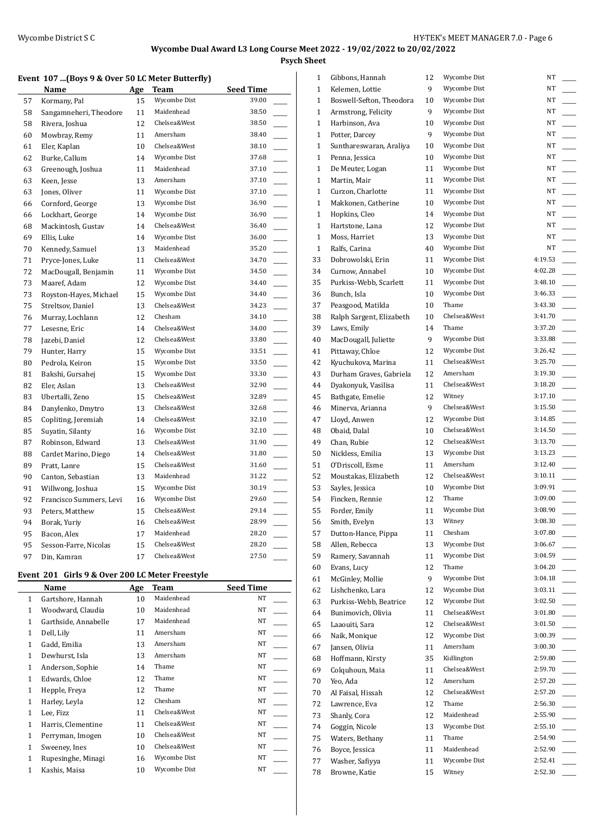**Psych Sheet**

#### **Event 107 ...(Boys 9 & Over 50 LC Meter Butterfly)**

|    | Name                    | Age | Team         | <b>Seed Time</b>                    |
|----|-------------------------|-----|--------------|-------------------------------------|
| 57 | Kormany, Pal            | 15  | Wycombe Dist | 39.00                               |
| 58 | Sangamneheri, Theodore  | 11  | Maidenhead   | 38.50                               |
| 58 | Rivera, Joshua          | 12  | Chelsea&West | 38.50<br>$\overline{\phantom{a}}$   |
| 60 | Mowbray, Remy           | 11  | Amersham     | 38.40<br>$\overline{\phantom{a}}$   |
| 61 | Eler, Kaplan            | 10  | Chelsea&West | 38.10                               |
| 62 | Burke, Callum           | 14  | Wycombe Dist | 37.68                               |
| 63 | Greenough, Joshua       | 11  | Maidenhead   | 37.10                               |
| 63 | Keen, Jesse             | 13  | Amersham     | 37.10<br>$\overline{\phantom{0}}$   |
| 63 | Jones, Oliver           | 11  | Wycombe Dist | 37.10<br>$\overline{\phantom{a}}$   |
| 66 | Cornford, George        | 13  | Wycombe Dist | 36.90                               |
| 66 | Lockhart, George        | 14  | Wycombe Dist | 36.90                               |
| 68 | Mackintosh, Gustav      | 14  | Chelsea&West | 36.40<br>$\overline{\phantom{0}}$   |
| 69 | Ellis, Luke             | 14  | Wycombe Dist | 36.00<br>$\overline{\phantom{a}}$   |
| 70 | Kennedy, Samuel         | 13  | Maidenhead   | 35.20                               |
| 71 | Pryce-Jones, Luke       | 11  | Chelsea&West | 34.70                               |
| 72 | MacDougall, Benjamin    | 11  | Wycombe Dist | 34.50                               |
| 73 | Maaref, Adam            | 12  | Wycombe Dist | 34.40<br>$\overline{\phantom{0}}$   |
| 73 | Royston-Hayes, Michael  | 15  | Wycombe Dist | 34.40<br>$\overline{\phantom{a}}$   |
| 75 | Streltsov, Daniel       | 13  | Chelsea&West | 34.23                               |
| 76 | Murray, Lochlann        | 12  | Chesham      | 34.10                               |
| 77 | Lesesne, Eric           | 14  | Chelsea&West | 34.00                               |
| 78 | Jazebi, Daniel          | 12  | Chelsea&West | 33.80<br>$\overline{\phantom{a}}$   |
| 79 | Hunter, Harry           | 15  | Wycombe Dist | 33.51<br>$\overline{\phantom{a}}$   |
| 80 | Pedrola, Keiron         | 15  | Wycombe Dist | 33.50                               |
| 81 | Bakshi, Gursahej        | 15  | Wycombe Dist | 33.30                               |
| 82 | Eler, Aslan             | 13  | Chelsea&West | 32.90<br>$\overline{\phantom{a}}$   |
| 83 | Ubertalli, Zeno         | 15  | Chelsea&West | 32.89<br>j<br>Jereo Alemaniako II.a |
| 84 | Danylenko, Dmytro       | 13  | Chelsea&West | 32.68<br>$\overline{\phantom{a}}$   |
| 85 | Copliting, Jeremiah     | 14  | Chelsea&West | 32.10                               |
| 85 | Suyatin, Silanty        | 16  | Wycombe Dist | 32.10                               |
| 87 | Robinson, Edward        | 13  | Chelsea&West | 31.90<br>$\overline{\phantom{a}}$   |
| 88 | Cardet Marino, Diego    | 14  | Chelsea&West | 31.80<br>$\overline{\phantom{a}}$   |
| 89 | Pratt, Lanre            | 15  | Chelsea&West | 31.60<br>$\overline{\phantom{a}}$   |
| 90 | Canton, Sebastian       | 13  | Maidenhead   | 31.22                               |
| 91 | Willwong, Joshua        | 15  | Wycombe Dist | 30.19<br>$\mathbb{R}$               |
| 92 | Francisco Summers, Levi | 16  | Wycombe Dist | 29.60<br>L.                         |
| 93 | Peters, Matthew         | 15  | Chelsea&West | 29.14                               |
| 94 | Borak, Yuriy            | 16  | Chelsea&West | 28.99                               |
| 95 | Bacon, Alex             | 17  | Maidenhead   | 28.20                               |
| 95 | Sesson-Farre, Nicolas   | 15  | Chelsea&West | 28.20                               |
| 97 | Din, Kamran             | 17  | Chelsea&West | 27.50                               |

### **Event 201 Girls 9 & Over 200 LC Meter Freestyle**

|              | Name                 | Age | Team         | <b>Seed Time</b> |
|--------------|----------------------|-----|--------------|------------------|
| $\mathbf{1}$ | Gartshore, Hannah    | 10  | Maidenhead   | NT               |
| 1            | Woodward, Claudia    | 10  | Maidenhead   | NT               |
| 1            | Garthside, Annabelle | 17  | Maidenhead   | NT               |
| 1            | Dell, Lily           | 11  | Amersham     | NT               |
| 1            | Gadd, Emilia         | 13  | Amersham     | NT               |
| 1            | Dewhurst, Isla       | 13  | Amersham     | <b>NT</b>        |
| 1            | Anderson, Sophie     | 14  | Thame        | NT               |
| 1            | Edwards, Chloe       | 12  | Thame        | NT               |
| $\mathbf{1}$ | Hepple, Freya        | 12  | Thame        | NT               |
| $\mathbf{1}$ | Harley, Leyla        | 12  | Chesham      | NT               |
| 1            | Lee, Fizz            | 11  | Chelsea&West | NT               |
| 1            | Harris, Clementine   | 11  | Chelsea&West | NT               |
| 1            | Perryman, Imogen     | 10  | Chelsea&West | NT               |
| 1            | Sweeney, Ines        | 10  | Chelsea&West | NT               |
| 1            | Rupesinghe, Minagi   | 16  | Wycombe Dist | NT               |
| 1            | Kashis, Maisa        | 10  | Wycombe Dist | NT               |

| 1            | Gibbons, Hannah          | 12 | Wycombe Dist | NT      |
|--------------|--------------------------|----|--------------|---------|
| 1            | Kelemen, Lottie          | 9  | Wycombe Dist | NT      |
| 1            | Boswell-Sefton, Theodora | 10 | Wycombe Dist | NT      |
| 1            | Armstrong, Felicity      | 9  | Wycombe Dist | NT      |
| 1            | Harbinson, Ava           | 10 | Wycombe Dist | NT      |
| 1            | Potter, Darcey           | 9  | Wycombe Dist | NT      |
| 1            | Sunthareswaran, Araliya  | 10 | Wycombe Dist | NT      |
| $\mathbf{1}$ | Penna, Jessica           | 10 | Wycombe Dist | NT      |
| $\mathbf{1}$ | De Meuter, Logan         | 11 | Wycombe Dist | NT      |
| 1            | Martin, Mair             | 11 | Wycombe Dist | NT      |
| 1            | Curzon, Charlotte        | 11 | Wycombe Dist | NT      |
| 1            | Makkonen, Catherine      | 10 | Wycombe Dist | NT      |
| 1            | Hopkins, Cleo            | 14 | Wycombe Dist | NT      |
| 1            | Hartstone, Lana          | 12 | Wycombe Dist | NT      |
| 1            | Moss, Harriet            | 13 | Wycombe Dist | NT      |
| 1            | Ralfs, Carina            | 40 | Wycombe Dist | NT      |
|              |                          |    | Wycombe Dist | 4:19.53 |
| 33           | Dobrowolski, Erin        | 11 |              | 4:02.28 |
| 34           | Curnow, Annabel          | 10 | Wycombe Dist |         |
| 35           | Purkiss-Webb, Scarlett   | 11 | Wycombe Dist | 3:48.10 |
| 36           | Bunch, Isla              | 10 | Wycombe Dist | 3:46.33 |
| 37           | Peasgood, Matilda        | 10 | Thame        | 3:43.30 |
| 38           | Ralph Sargent, Elizabeth | 10 | Chelsea&West | 3:41.70 |
| 39           | Laws, Emily              | 14 | Thame        | 3:37.20 |
| 40           | MacDougall, Juliette     | 9  | Wycombe Dist | 3:33.88 |
| 41           | Pittaway, Chloe          | 12 | Wycombe Dist | 3:26.42 |
| 42           | Kyuchukova, Marina       | 11 | Chelsea&West | 3:25.70 |
| 43           | Durham Graves, Gabriela  | 12 | Amersham     | 3:19.30 |
| 44           | Dyakonyuk, Vasilisa      | 11 | Chelsea&West | 3:18.20 |
| 45           | Bathgate, Emelie         | 12 | Witney       | 3:17.10 |
| 46           | Minerva, Arianna         | 9  | Chelsea&West | 3:15.50 |
| 47           | Lloyd, Anwen             | 12 | Wycombe Dist | 3:14.85 |
| 48           | Obaid, Dalal             | 10 | Chelsea&West | 3:14.50 |
| 49           | Chan, Rubie              | 12 | Chelsea&West | 3:13.70 |
| 50           | Nickless, Emilia         | 13 | Wycombe Dist | 3:13.23 |
| 51           | O'Driscoll, Esme         | 11 | Amersham     | 3:12.40 |
| 52           | Moustakas, Elizabeth     | 12 | Chelsea&West | 3:10.11 |
| 53           | Sayles, Jessica          | 10 | Wycombe Dist | 3:09.91 |
| 54           | Fincken, Rennie          | 12 | Thame        | 3:09.00 |
| 55           | Forder, Emily            | 11 | Wycombe Dist | 3:08.90 |
| 56           | Smith, Evelyn            | 13 | Witney       | 3:08.30 |
| 57           | Dutton-Hance, Pippa      | 11 | Chesham      | 3:07.80 |
| 58           | Allen, Rebecca           | 13 | Wycombe Dist | 3:06.67 |
| 59           | Ramery, Savannah         | 11 | Wycombe Dist | 3:04.59 |
| 60           | Evans, Lucy              | 12 | Thame        | 3:04.20 |
| 61           | McGinley, Mollie         | 9  | Wycombe Dist | 3:04.18 |
|              | Lishchenko, Lara         | 12 | Wycombe Dist | 3:03.11 |
| 62<br>63     | Purkiss-Webb, Beatrice   | 12 | Wycombe Dist | 3:02.50 |
|              |                          |    | Chelsea&West | 3:01.80 |
| 64           | Bunimovich, Olivia       | 11 | Chelsea&West |         |
| 65           | Laaouiti, Sara           | 12 | Wycombe Dist | 3:01.50 |
| 66           | Naik, Monique            | 12 |              | 3:00.39 |
| 67           | Jansen, Olivia           | 11 | Amersham     | 3:00.30 |
| 68           | Hoffmann, Kirsty         | 35 | Kidlington   | 2:59.80 |
| 69           | Colquhoun, Maia          | 11 | Chelsea&West | 2:59.70 |
| 70           | Yeo, Ada                 | 12 | Amersham     | 2:57.20 |
| 70           | Al Faisal, Hissah        | 12 | Chelsea&West | 2:57.20 |
| 72           | Lawrence, Eva            | 12 | Thame        | 2:56.30 |
| 73           | Shanly, Cora             | 12 | Maidenhead   | 2:55.90 |
| 74           | Goggin, Nicole           | 13 | Wycombe Dist | 2:55.10 |
| 75           | Waters, Bethany          | 11 | Thame        | 2:54.90 |
| 76           | Boyce, Jessica           | 11 | Maidenhead   | 2:52.90 |
| 77           | Washer, Safiyya          | 11 | Wycombe Dist | 2:52.41 |
| 78           | Browne, Katie            | 15 | Witney       | 2:52.30 |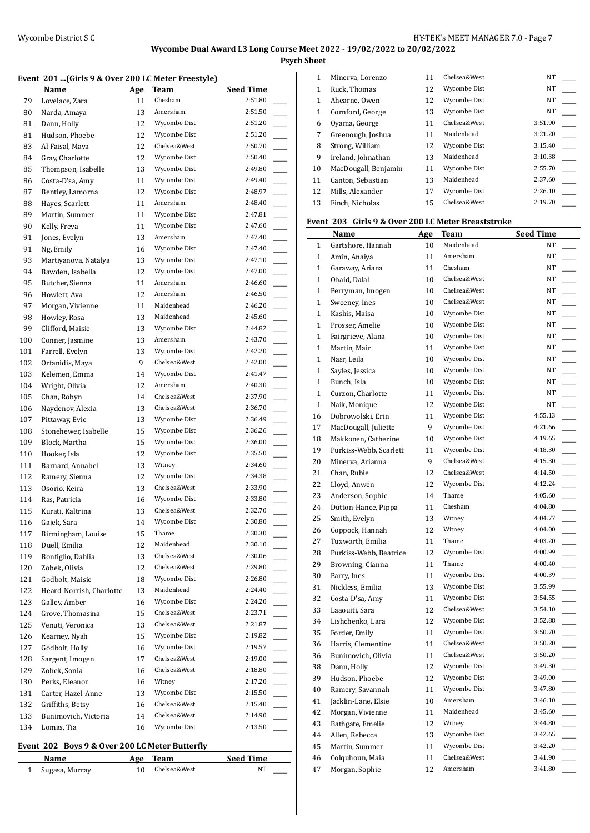**Psych Sheet**

#### **Event 201 ...(Girls 9 & Over 200 LC Meter Freestyle)**

|            | Name                                | Age      | Team                   | <b>Seed Time</b>                               |
|------------|-------------------------------------|----------|------------------------|------------------------------------------------|
| 79         | Lovelace, Zara                      | 11       | Chesham                | 2:51.80                                        |
| 80         | Narda, Amaya                        | 13       | Amersham               | 2:51.50                                        |
| 81         | Dann, Holly                         | 12       | Wycombe Dist           | 2:51.20<br>$\overline{\phantom{a}}$            |
| 81         | Hudson, Phoebe                      | 12       | Wycombe Dist           | 2:51.20<br>$\overline{\phantom{a}}$            |
| 83         | Al Faisal, Maya                     | 12       | Chelsea&West           | 2:50.70                                        |
| 84         | Gray, Charlotte                     | 12       | Wycombe Dist           | 2:50.40<br>$\overline{\phantom{a}}$            |
| 85         | Thompson, Isabelle                  | 13       | Wycombe Dist           | 2:49.80<br>$\overline{\phantom{0}}$            |
| 86         | Costa-D'sa, Amy                     | 11       | Wycombe Dist           | 2:49.40                                        |
| 87         | Bentley, Lamorna                    | 12       | Wycombe Dist           | 2:48.97<br>$\overline{\phantom{a}}$            |
| 88         | Hayes, Scarlett                     | 11       | Amersham               | 2:48.40<br>$\overline{\phantom{a}}$            |
| 89         | Martin, Summer                      | 11       | Wycombe Dist           | 2:47.81<br>$\overline{\phantom{a}}$            |
| 90         | Kelly, Freya                        | 11       | Wycombe Dist           | 2:47.60<br>$\overline{\phantom{a}}$            |
| 91         | Jones, Evelyn                       | 13       | Amersham               | 2:47.40<br>$\overline{\phantom{a}}$            |
| 91         | Ng, Emily                           | 16       | Wycombe Dist           | 2:47.40<br>$\overline{\phantom{a}}$            |
| 93         | Martiyanova, Natalya                | 13       | Wycombe Dist           | 2:47.10<br>$\overline{\phantom{a}}$            |
| 94         | Bawden, Isabella                    | 12       | Wycombe Dist           | $\overline{\phantom{a}}$<br>2:47.00            |
| 95         | Butcher, Sienna                     | 11       | Amersham               | 2:46.60<br>$\sim$                              |
| 96         | Howlett, Ava                        | 12       | Amersham               | 2:46.50                                        |
| 97         | Morgan, Vivienne                    | 11       | Maidenhead             | 2:46.20<br>$\overline{\phantom{0}}$            |
| 98         | Howley, Rosa                        | 13       | Maidenhead             | 2:45.60                                        |
| 99         | Clifford, Maisie                    | 13       | Wycombe Dist           | 2:44.82                                        |
| 100        | Conner, Jasmine                     | 13       | Amersham               | 2:43.70<br>$\overline{\phantom{a}}$            |
| 101        | Farrell, Evelyn                     | 13       | Wycombe Dist           | 2:42.20                                        |
| 102        | Orfanidis, Maya                     | 9        | Chelsea&West           | 2:42.00                                        |
| 103        | Kelemen, Emma                       | 14       | Wycombe Dist           | 2:41.47<br>$\overline{\phantom{a}}$            |
| 104        | Wright, Olivia                      | 12       | Amersham               | 2:40.30                                        |
| 105        | Chan, Robyn                         | 14       | Chelsea&West           | 2:37.90<br>$\overline{\phantom{a}}$            |
| 106        | Naydenov, Alexia                    | 13       | Chelsea&West           | $\overline{\phantom{a}}$<br>2:36.70            |
| 107        | Pittaway, Evie                      | 13       | Wycombe Dist           | 2:36.49                                        |
| 108        | Stonehewer, Isabelle                | 15       | Wycombe Dist           | 2:36.26                                        |
| 109        | Block, Martha                       | 15       | Wycombe Dist           | 2:36.00<br>$\frac{1}{2}$                       |
| 110        | Hooker, Isla                        | 12       | Wycombe Dist           | 2:35.50                                        |
| 111        | Barnard, Annabel                    | 13       | Witney<br>Wycombe Dist | 2:34.60<br>$\overline{\phantom{a}}$            |
| 112        | Ramery, Sienna                      | 12       | Chelsea&West           | 2:34.38<br>$\overline{\phantom{a}}$<br>2:33.90 |
| 113        | Osorio, Keira                       | 13       | Wycombe Dist           | 2:33.80                                        |
| 114        | Ras, Patricia                       | 16       | Chelsea&West           | 2:32.70                                        |
| 115        | Kurati, Kaltrina                    | 13       | Wycombe Dist           | 2:30.80                                        |
| 116        | Gajek, Sara                         | 14       | Thame                  | 2:30.30                                        |
| 117        | Birmingham, Louise<br>Duell, Emilia | 15<br>12 | Maidenhead             | 2:30.10                                        |
| 118        | Bonfiglio, Dahlia                   | 13       | Chelsea&West           | 2:30.06                                        |
| 119<br>120 | Zobek, Olivia                       | 12       | Chelsea&West           | 2:29.80                                        |
| 121        | Godbolt, Maisie                     | 18       | Wycombe Dist           | 2:26.80                                        |
| 122        | Heard-Norrish, Charlotte            | 13       | Maidenhead             | 2:24.40                                        |
| 123        | Galley, Amber                       | 16       | Wycombe Dist           | $\overline{\phantom{a}}$<br>2:24.20            |
| 124        | Grove, Thomasina                    | 15       | Chelsea&West           | 2:23.71                                        |
| 125        | Venuti, Veronica                    | 13       | Chelsea&West           | 2:21.87                                        |
| 126        | Kearney, Nyah                       | 15       | Wycombe Dist           | 2:19.82                                        |
| 127        | Godbolt, Holly                      | 16       | Wycombe Dist           | 2:19.57                                        |
| 128        | Sargent, Imogen                     | 17       | Chelsea&West           | 2:19.00                                        |
| 129        | Zobek, Sonia                        | 16       | Chelsea&West           | 2:18.80                                        |
| 130        | Perks, Eleanor                      | 16       | Witney                 | 2:17.20                                        |
| 131        | Carter, Hazel-Anne                  | 13       | Wycombe Dist           | 2:15.50                                        |
| 132        | Griffiths, Betsy                    | 16       | Chelsea&West           | 2:15.40                                        |
| 133        | Bunimovich, Victoria                | 14       | Chelsea&West           | 2:14.90                                        |
| 134        | Lomas, Tia                          | 16       | Wycombe Dist           | 2:13.50                                        |
|            |                                     |          |                        |                                                |

#### **Event 202 Boys 9 & Over 200 LC Meter Butterfly**

| Name           | Age | Team         | <b>Seed Time</b> |
|----------------|-----|--------------|------------------|
| Sugasa, Murray |     | Chelsea&West |                  |

| 1            | Minerva, Lorenzo     | 11 | Chelsea&West | <b>NT</b> |  |
|--------------|----------------------|----|--------------|-----------|--|
| 1            | Ruck, Thomas         | 12 | Wycombe Dist | NT        |  |
| 1            | Ahearne, Owen        | 12 | Wycombe Dist | NT        |  |
| $\mathbf{1}$ | Cornford, George     | 13 | Wycombe Dist | NT        |  |
| 6            | Oyama, George        | 11 | Chelsea&West | 3:51.90   |  |
| 7            | Greenough, Joshua    | 11 | Maidenhead   | 3:21.20   |  |
| 8            | Strong, William      | 12 | Wycombe Dist | 3:15.40   |  |
| 9            | Ireland, Johnathan   | 13 | Maidenhead   | 3:10.38   |  |
| 10           | MacDougall, Benjamin | 11 | Wycombe Dist | 2:55.70   |  |
| 11           | Canton, Sebastian    | 13 | Maidenhead   | 2:37.60   |  |
| 12           | Mills. Alexander     | 17 | Wycombe Dist | 2:26.10   |  |
| 13           | Finch. Nicholas      | 15 | Chelsea&West | 2:19.70   |  |
|              |                      |    |              |           |  |

### **Event 203 Girls 9 & Over 200 LC Meter Breaststroke**

|              | Name                   | <b>Age</b> | <b>Team</b>  | <b>Seed Time</b>                    |
|--------------|------------------------|------------|--------------|-------------------------------------|
| $\mathbf{1}$ | Gartshore, Hannah      | 10         | Maidenhead   | NT                                  |
| $\mathbf{1}$ | Amin, Anaiya           | 11         | Amersham     | NT                                  |
| $\mathbf{1}$ | Garaway, Ariana        | 11         | Chesham      | NT                                  |
| $\mathbf{1}$ | Obaid, Dalal           | 10         | Chelsea&West | NT                                  |
| $\mathbf{1}$ | Perryman, Imogen       | 10         | Chelsea&West | NT                                  |
| $\mathbf{1}$ | Sweeney, Ines          | 10         | Chelsea&West | NT                                  |
| $\mathbf{1}$ | Kashis, Maisa          | 10         | Wycombe Dist | NT                                  |
| $\mathbf{1}$ | Prosser, Amelie        | 10         | Wycombe Dist | NT                                  |
| $\mathbf{1}$ | Fairgrieve, Alana      | 10         | Wycombe Dist | NT                                  |
| $\mathbf{1}$ | Martin, Mair           | 11         | Wycombe Dist | NT                                  |
| $\mathbf{1}$ | Nasr, Leila            | 10         | Wycombe Dist | NT                                  |
| $\mathbf{1}$ | Sayles, Jessica        | 10         | Wycombe Dist | NT                                  |
| 1            | Bunch, Isla            | 10         | Wycombe Dist | $\overline{\phantom{a}}$<br>NT      |
| $\mathbf{1}$ | Curzon, Charlotte      | 11         | Wycombe Dist | NT                                  |
| $\mathbf{1}$ | Naik, Monique          | 12         | Wycombe Dist | NT<br>$\overline{\phantom{a}}$      |
| 16           | Dobrowolski, Erin      | 11         | Wycombe Dist | 4:55.13<br>$\overline{\phantom{a}}$ |
| 17           | MacDougall, Juliette   | 9          | Wycombe Dist | 4:21.66<br>$\overline{\phantom{a}}$ |
| 18           | Makkonen, Catherine    | 10         | Wycombe Dist | 4:19.65<br>$\overline{\phantom{a}}$ |
| 19           | Purkiss-Webb, Scarlett | 11         | Wycombe Dist | 4:18.30<br>$\overline{\phantom{a}}$ |
| 20           | Minerva, Arianna       | 9          | Chelsea&West | 4:15.30<br><u>.</u>                 |
| 21           | Chan, Rubie            | 12         | Chelsea&West | 4:14.50<br>$\overline{\phantom{a}}$ |
| 22           | Lloyd, Anwen           | 12         | Wycombe Dist | 4:12.24<br>$\overline{\phantom{a}}$ |
| 23           | Anderson, Sophie       | 14         | Thame        | 4:05.60<br>$\overline{\phantom{a}}$ |
| 24           | Dutton-Hance, Pippa    | 11         | Chesham      | 4:04.80<br>$\overline{\phantom{a}}$ |
| 25           | Smith, Evelyn          | 13         | Witney       | $\overline{\phantom{a}}$<br>4:04.77 |
| 26           | Coppock, Hannah        | 12         | Witney       | $\overline{\phantom{a}}$<br>4:04.00 |
| 27           | Tuxworth, Emilia       | 11         | Thame        | 4:03.20<br>$\overline{\phantom{a}}$ |
| 28           | Purkiss-Webb, Beatrice | 12         | Wycombe Dist | 4:00.99<br>$\overline{\phantom{a}}$ |
| 29           | Browning, Cianna       | 11         | Thame        | 4:00.40                             |
| 30           | Parry, Ines            | 11         | Wycombe Dist | 4:00.39                             |
| 31           | Nickless, Emilia       | 13         | Wycombe Dist | 3:55.99                             |
| 32           | Costa-D'sa, Amy        | 11         | Wycombe Dist | 3:54.55                             |
| 33           | Laaouiti, Sara         | 12         | Chelsea&West | 3:54.10<br>$\overline{\phantom{a}}$ |
| 34           | Lishchenko, Lara       | 12         | Wycombe Dist | 3:52.88<br>$\overline{\phantom{a}}$ |
| 35           | Forder, Emily          | 11         | Wycombe Dist | 3:50.70                             |
| 36           | Harris, Clementine     | 11         | Chelsea&West | 3:50.20                             |
| 36           | Bunimovich, Olivia     | 11         | Chelsea&West | 3:50.20                             |
| 38           | Dann, Holly            | 12         | Wycombe Dist | 3:49.30                             |
| 39           | Hudson, Phoebe         | 12         | Wycombe Dist | 3:49.00                             |
| $40\,$       | Ramery, Savannah       | 11         | Wycombe Dist | 3:47.80                             |
| 41           | Jacklin-Lane, Elsie    | 10         | Amersham     | 3:46.10                             |
| 42           | Morgan, Vivienne       | 11         | Maidenhead   | 3:45.60                             |
| 43           | Bathgate, Emelie       | 12         | Witney       | 3:44.80                             |
| 44           | Allen, Rebecca         | 13         | Wycombe Dist | 3:42.65                             |
| 45           | Martin, Summer         | 11         | Wycombe Dist | 3:42.20                             |
| 46           | Colquhoun, Maia        | 11         | Chelsea&West | 3:41.90                             |
| 47           | Morgan, Sophie         | 12         | Amersham     | 3:41.80                             |
|              |                        |            |              |                                     |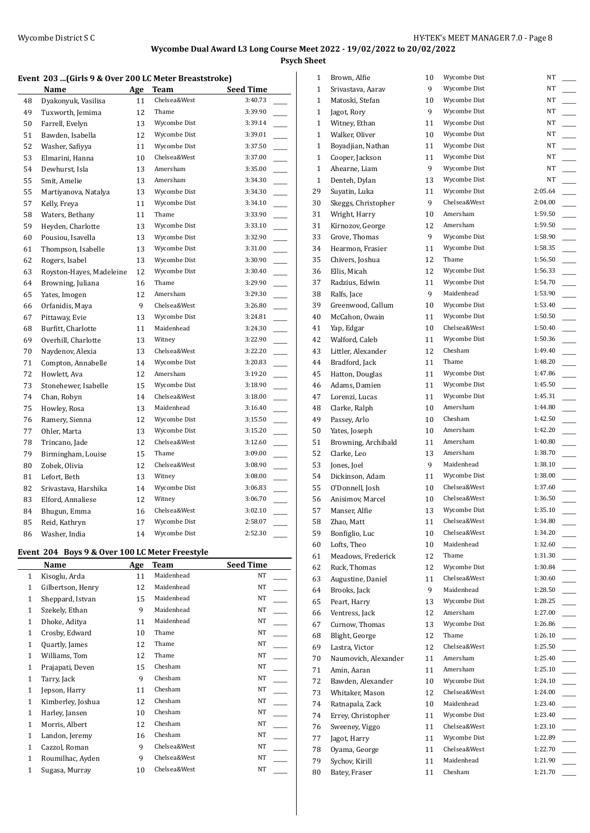**Psych Sheet**

#### **Event 203 ...(Girls 9 & Over 200 LC Meter Breaststroke)**

|    | Name                     | Age | Team         | <b>Seed Time</b>                    |
|----|--------------------------|-----|--------------|-------------------------------------|
| 48 | Dyakonyuk, Vasilisa      | 11  | Chelsea&West | 3:40.73                             |
| 49 | Tuxworth, Jemima         | 12  | Thame        | 3:39.90                             |
| 50 | Farrell, Evelyn          | 13  | Wycombe Dist | 3:39.14                             |
| 51 | Bawden, Isabella         | 12  | Wycombe Dist | 3:39.01                             |
| 52 | Washer, Safiyya          | 11  | Wycombe Dist | 3:37.50                             |
| 53 | Elmarini, Hanna          | 10  | Chelsea&West | 3:37.00<br>$\overline{\phantom{a}}$ |
| 54 | Dewhurst, Isla           | 13  | Amersham     | 3:35.00<br>$\frac{1}{1}$            |
| 55 | Smit, Amelie             | 13  | Amersham     | 3:34.30                             |
| 55 | Martiyanova, Natalya     | 13  | Wycombe Dist | 3:34.30                             |
| 57 | Kelly, Freya             | 11  | Wycombe Dist | 3:34.10                             |
| 58 | Waters, Bethany          | 11  | Thame        | 3:33.90                             |
| 59 | Heyden, Charlotte        | 13  | Wycombe Dist | 3:33.10                             |
| 60 | Pousiou, Isavella        | 13  | Wycombe Dist | 3:32.90                             |
| 61 | Thompson, Isabelle       | 13  | Wycombe Dist | 3:31.00                             |
| 62 | Rogers, Isabel           | 13  | Wycombe Dist | 3:30.90<br>$\overline{\phantom{0}}$ |
| 63 | Royston-Hayes, Madeleine | 12  | Wycombe Dist | 3:30.40                             |
| 64 | Browning, Juliana        | 16  | Thame        | 3:29.90                             |
| 65 | Yates, Imogen            | 12  | Amersham     | 3:29.30                             |
| 66 | Orfanidis, Maya          | 9   | Chelsea&West | 3:26.80                             |
| 67 | Pittaway, Evie           | 13  | Wycombe Dist | 3:24.81                             |
| 68 | Burfitt, Charlotte       | 11  | Maidenhead   | 3:24.30                             |
| 69 | Overhill, Charlotte      | 13  | Witney       | 3:22.90<br>$\sim$                   |
| 70 | Naydenov, Alexia         | 13  | Chelsea&West | 3:22.20                             |
| 71 | Compton, Annabelle       | 14  | Wycombe Dist | 3:20.83                             |
| 72 | Howlett, Ava             | 12  | Amersham     | 3:19.20                             |
| 73 | Stonehewer, Isabelle     | 15  | Wycombe Dist | 3:18.90                             |
| 74 | Chan, Robyn              | 14  | Chelsea&West | 3:18.00                             |
| 75 | Howley, Rosa             | 13  | Maidenhead   | 3:16.40                             |
| 76 | Ramery, Sienna           | 12  | Wycombe Dist | 3:15.50                             |
| 77 | Ohler, Marta             | 13  | Wycombe Dist | 3:15.20                             |
| 78 | Trincano, Jade           | 12  | Chelsea&West | 3:12.60                             |
| 79 | Birmingham, Louise       | 15  | Thame        | 3:09.00                             |
| 80 | Zobek, Olivia            | 12  | Chelsea&West | 3:08.90                             |
| 81 | Lefort, Beth             | 13  | Witney       | 3:08.00                             |
| 82 | Srivastava, Harshika     | 14  | Wycombe Dist | 3:06.83                             |
| 83 | Elford, Annaliese        | 12  | Witney       | 3:06.70                             |
| 84 | Bhugun, Emma             | 16  | Chelsea&West | 3:02.10                             |
| 85 | Reid, Kathryn            | 17  | Wycombe Dist | 2:58.07                             |
| 86 | Washer, India            | 14  | Wycombe Dist | 2:52.30                             |

#### **Event 204 Boys 9 & Over 100 LC Meter Freestyle**

|              | Name              | <b>Age</b> | <b>Team</b>  | <b>Seed Time</b> |
|--------------|-------------------|------------|--------------|------------------|
| 1            | Kisoglu, Arda     | 11         | Maidenhead   | NT               |
| $\mathbf{1}$ | Gilbertson, Henry | 12         | Maidenhead   | NT               |
| $\mathbf{1}$ | Sheppard, Istvan  | 15         | Maidenhead   | NT               |
| 1            | Szekely, Ethan    | 9          | Maidenhead   | NT               |
| 1            | Dhoke, Aditya     | 11         | Maidenhead   | NT               |
| 1            | Crosby, Edward    | 10         | Thame        | NT               |
| 1            | Quartly, James    | 12         | Thame        | NT               |
| 1            | Williams, Tom     | 12         | Thame        | NT               |
| 1            | Prajapati, Deven  | 15         | Chesham      | NT               |
| 1            | Tarry, Jack       | 9          | Chesham      | NT               |
| 1            | Jepson, Harry     | 11         | Chesham      | NT               |
| 1            | Kimberley, Joshua | 12         | Chesham      | NT               |
| 1            | Harley, Jansen    | 10         | Chesham      | NT               |
| 1            | Morris, Albert    | 12         | Chesham      | NT               |
| 1            | Landon, Jeremy    | 16         | Chesham      | NT               |
| 1            | Cazzol, Roman     | 9          | Chelsea&West | NT               |
| 1            | Roumilhac, Ayden  | 9          | Chelsea&West | NT               |
| 1            | Sugasa, Murray    | 10         | Chelsea&West | NT               |
|              |                   |            |              |                  |

| 1            | Brown, Alfie         | 10 | Wycombe Dist                 | NT                 |
|--------------|----------------------|----|------------------------------|--------------------|
| $\mathbf{1}$ | Srivastava, Aarav    | 9  | Wycombe Dist                 | NT                 |
| 1            | Matoski, Stefan      | 10 | Wycombe Dist                 | NT                 |
| 1            | Jagot, Rory          | 9  | Wycombe Dist                 | NT                 |
| 1            | Witney, Ethan        | 11 | Wycombe Dist                 | NT                 |
| 1            | Walker, Oliver       | 10 | Wycombe Dist                 | NT                 |
| 1            | Boyadjian, Nathan    | 11 | Wycombe Dist                 | NT                 |
| 1            | Cooper, Jackson      | 11 | Wycombe Dist                 | NT                 |
| $\mathbf{1}$ | Ahearne, Liam        | 9  | Wycombe Dist                 | NT                 |
| $\mathbf{1}$ | Denteh, Dylan        | 13 | Wycombe Dist                 | NT                 |
| 29           | Suyatin, Luka        | 11 | Wycombe Dist                 | 2:05.64            |
| 30           | Skeggs, Christopher  | 9  | Chelsea&West                 | 2:04.00            |
| 31           | Wright, Harry        | 10 | Amersham                     | 1:59.50            |
| 31           | Kirnozov, George     | 12 | Amersham                     | 1:59.50            |
| 33           | Grove, Thomas        | 9  | Wycombe Dist                 | 1:58.90            |
| 34           | Hearmon, Frasier     | 11 | Wycombe Dist                 | 1:58.35            |
| 35           | Chivers, Joshua      | 12 | Thame                        | 1:56.50            |
| 36           | Ellis, Micah         | 12 | Wycombe Dist                 | 1:56.33            |
| 37           | Radzius, Edwin       | 11 | Wycombe Dist                 | 1:54.70            |
| 38           | Ralfs, Jace          | 9  | Maidenhead                   | 1:53.90            |
| 39           | Greenwood, Callum    | 10 | Wycombe Dist                 | 1:53.40            |
| 40           | McCahon, Owain       | 11 | Wycombe Dist                 | 1:50.50            |
| 41           | Yap, Edgar           | 10 | Chelsea&West                 | 1:50.40            |
| 42           | Walford, Caleb       | 11 | Wycombe Dist                 | 1:50.36            |
| 43           | Littler, Alexander   | 12 | Chesham                      | 1:49.40            |
| 44           | Bradford, Jack       | 11 | Thame                        | 1:48.20            |
| 45           | Hatton, Douglas      | 11 | Wycombe Dist                 | 1:47.86            |
| 46           | Adams, Damien        | 11 | Wycombe Dist                 | 1:45.50            |
| 47           | Lorenzi, Lucas       | 11 | Wycombe Dist                 | 1:45.31            |
| 48           | Clarke, Ralph        | 10 | Amersham                     | 1:44.80            |
| 49           | Passey, Arlo         | 10 | Chesham                      | 1:42.50            |
| 50           | Yates, Joseph        | 10 | Amersham                     | 1:42.20            |
| 51           | Browning, Archibald  | 11 | Amersham                     | 1:40.80            |
| 52           | Clarke, Leo          | 13 | Amersham                     | 1:38.70            |
| 53           | Jones, Joel          | 9  | Maidenhead                   | 1:38.10            |
| 54           | Dickinson, Adam      | 11 | Wycombe Dist                 | 1:38.00            |
| 55           | O'Donnell, Josh      | 10 | Chelsea&West                 | 1:37.60            |
|              | Anisimov, Marcel     | 10 | Chelsea&West                 | 1:36.50            |
| 56           | Manser, Alfie        | 13 | Wycombe Dist                 | 1:35.10            |
| 57           |                      |    | Chelsea&West                 | 1:34.80            |
| 58           | Zhao, Matt           | 11 | Chelsea&West                 | 1:34.20            |
| 59           | Bonfiglio, Luc       | 10 | Maidenhead                   | 1:32.60            |
| 60           | Lofts, Theo          | 10 | Thame                        |                    |
| 61           | Meadows, Frederick   | 12 |                              | 1:31.30            |
| 62           | Ruck, Thomas         | 12 | Wycombe Dist<br>Chelsea&West | 1:30.84<br>1:30.60 |
| 63           | Augustine, Daniel    | 11 | Maidenhead                   |                    |
| 64           | Brooks, Jack         | 9  |                              | 1:28.50            |
| 65           | Peart, Harry         | 13 | Wycombe Dist<br>Amersham     | 1:28.25            |
| 66           | Ventress, Jack       | 12 |                              | 1:27.00            |
| 67           | Curnow, Thomas       | 13 | Wycombe Dist                 | 1:26.86            |
| 68           | Blight, George       | 12 | Thame                        | 1:26.10            |
| 69           | Lastra, Victor       | 12 | Chelsea&West                 | 1:25.50            |
| 70           | Naumovich, Alexander | 11 | Amersham                     | 1:25.40            |
| 71           | Amin, Aaran          | 11 | Amersham                     | 1:25.10            |
| 72           | Bawden, Alexander    | 10 | Wycombe Dist                 | 1:24.10            |
| 73           | Whitaker, Mason      | 12 | Chelsea&West                 | 1:24.00            |
| 74           | Ratnapala, Zack      | 10 | Maidenhead                   | 1:23.40            |
| 74           | Errey, Christopher   | 11 | Wycombe Dist                 | 1:23.40            |
| 76           | Sweeney, Viggo       | 11 | Chelsea&West                 | 1:23.10            |
| 77           | Jagot, Harry         | 11 | Wycombe Dist                 | 1:22.89            |
| 78           | Oyama, George        | 11 | Chelsea&West                 | 1:22.70            |
| 79           | Sychov, Kirill       | 11 | Maidenhead                   | 1:21.90            |
| 80           | Batey, Fraser        | 11 | Chesham                      | 1:21.70            |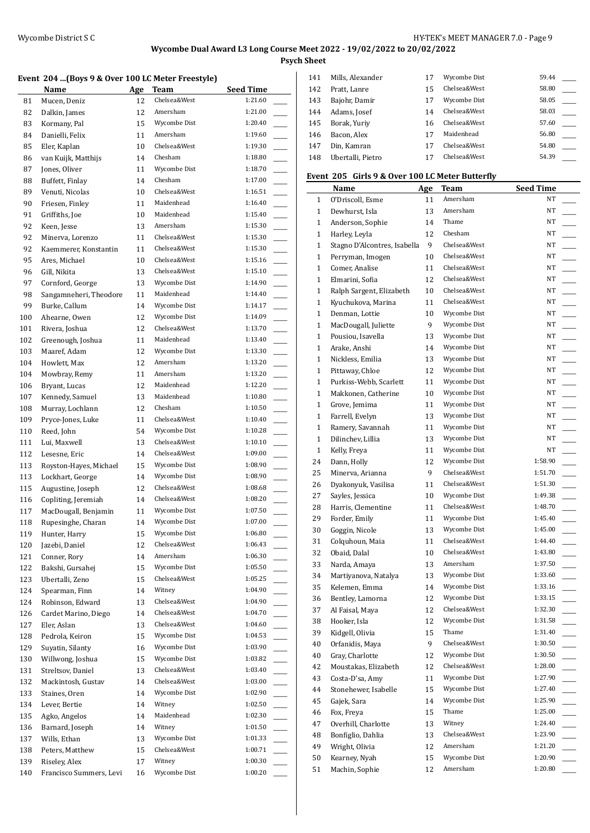**Psych Sheet**

#### **Event 204 ...(Boys 9 & Over 100 LC Meter Freestyle)**

|     | Name                    | <u>Age</u> | <b>Team</b>  | <b>Seed Time</b> |
|-----|-------------------------|------------|--------------|------------------|
| 81  | Mucen, Deniz            | 12         | Chelsea&West | 1:21.60          |
| 82  | Dalkin, James           | 12         | Amersham     | 1:21.00          |
| 83  | Kormany, Pal            | 15         | Wycombe Dist | 1:20.40          |
| 84  | Danielli, Felix         | 11         | Amersham     | 1:19.60          |
| 85  | Eler, Kaplan            | 10         | Chelsea&West | 1:19.30          |
| 86  | van Kuijk, Matthijs     | 14         | Chesham      | 1:18.80          |
| 87  | Jones, Oliver           | 11         | Wycombe Dist | 1:18.70          |
| 88  | Buffett, Finlay         | 14         | Chesham      | 1:17.00          |
| 89  | Venuti, Nicolas         | 10         | Chelsea&West | 1:16.51          |
| 90  | Friesen, Finley         | 11         | Maidenhead   | 1:16.40          |
| 91  | Griffiths, Joe          | 10         | Maidenhead   | 1:15.40          |
| 92  | Keen, Jesse             | 13         | Amersham     | 1:15.30          |
| 92  | Minerva, Lorenzo        | 11         | Chelsea&West | 1:15.30          |
| 92  | Kaemmerer, Konstantin   | 11         | Chelsea&West | 1:15.30          |
| 95  | Ares, Michael           | 10         | Chelsea&West | 1:15.16          |
| 96  | Gill, Nikita            | 13         | Chelsea&West | 1:15.10          |
| 97  | Cornford, George        | 13         | Wycombe Dist | 1:14.90          |
| 98  | Sangamneheri, Theodore  | 11         | Maidenhead   | 1:14.40          |
| 99  | Burke, Callum           | 14         | Wycombe Dist | 1:14.17          |
| 100 | Ahearne, Owen           | 12         | Wycombe Dist | 1:14.09          |
| 101 | Rivera, Joshua          | 12         | Chelsea&West | 1:13.70          |
| 102 | Greenough, Joshua       | 11         | Maidenhead   | 1:13.40          |
| 103 | Maaref, Adam            | 12         | Wycombe Dist | 1:13.30          |
| 104 | Howlett, Max            | 12         | Amersham     | 1:13.20          |
| 104 | Mowbray, Remy           | 11         | Amersham     | 1:13.20          |
| 106 | Bryant, Lucas           | 12         | Maidenhead   | 1:12.20          |
| 107 | Kennedy, Samuel         | 13         | Maidenhead   | 1:10.80          |
| 108 | Murray, Lochlann        | 12         | Chesham      | 1:10.50          |
| 109 | Pryce-Jones, Luke       | 11         | Chelsea&West | 1:10.40          |
| 110 | Reed, John              | 54         | Wycombe Dist | 1:10.28          |
| 111 | Lui, Maxwell            | 13         | Chelsea&West | 1:10.10          |
| 112 | Lesesne, Eric           | 14         | Chelsea&West | 1:09.00          |
| 113 | Royston-Hayes, Michael  | 15         | Wycombe Dist | 1:08.90          |
| 113 | Lockhart, George        | 14         | Wycombe Dist | 1:08.90          |
| 115 | Augustine, Joseph       | 12         | Chelsea&West | 1:08.68          |
| 116 | Copliting, Jeremiah     | 14         | Chelsea&West | 1:08.20          |
| 117 | MacDougall, Benjamin    | 11         | Wycombe Dist | 1:07.50          |
| 118 | Rupesinghe, Charan      | 14         | Wycombe Dist | 1:07.00          |
| 119 | Hunter, Harry           | 15         | Wycombe Dist | 1:06.80          |
| 120 | Jazebi, Daniel          | 12         | Chelsea&West | 1:06.43          |
| 121 | Conner, Rory            | 14         | Amersham     | 1:06.30          |
| 122 | Bakshi, Gursahej        | 15         | Wycombe Dist | 1:05.50          |
| 123 | Ubertalli, Zeno         | 15         | Chelsea&West | 1:05.25          |
| 124 | Spearman, Finn          | 14         | Witney       | 1:04.90          |
| 124 | Robinson, Edward        | 13         | Chelsea&West | 1:04.90          |
| 126 | Cardet Marino, Diego    | 14         | Chelsea&West | 1:04.70          |
| 127 | Eler, Aslan             | 13         | Chelsea&West | 1:04.60          |
| 128 | Pedrola, Keiron         | 15         | Wycombe Dist | 1:04.53          |
| 129 | Suyatin, Silanty        | 16         | Wycombe Dist | 1:03.90          |
| 130 | Willwong, Joshua        | 15         | Wycombe Dist | 1:03.82          |
| 131 | Streltsov, Daniel       | 13         | Chelsea&West | 1:03.40          |
| 132 | Mackintosh, Gustav      | 14         | Chelsea&West | 1:03.00          |
| 133 | Staines, Oren           | 14         | Wycombe Dist | 1:02.90          |
| 134 | Lever, Bertie           | 14         | Witney       | 1:02.50          |
| 135 | Agko, Angelos           | 14         | Maidenhead   | 1:02.30          |
| 136 | Barnard, Joseph         | 14         | Witney       | 1:01.50          |
| 137 | Wills, Ethan            | 13         | Wycombe Dist | 1:01.33          |
| 138 | Peters, Matthew         | 15         | Chelsea&West | 1:00.71          |
| 139 | Riseley, Alex           | 17         | Witney       | 1:00.30          |
| 140 | Francisco Summers, Levi | 16         | Wycombe Dist | 1:00.20          |
|     |                         |            |              |                  |

| 141 | Mills, Alexander  | 17 | Wycombe Dist | 59.44 |  |
|-----|-------------------|----|--------------|-------|--|
| 142 | Pratt, Lanre      | 15 | Chelsea&West | 58.80 |  |
| 143 | Bajohr, Damir     | 17 | Wycombe Dist | 58.05 |  |
| 144 | Adams, Josef      | 14 | Chelsea&West | 58.03 |  |
| 145 | Borak, Yuriy      | 16 | Chelsea&West | 57.60 |  |
| 146 | Bacon, Alex       | 17 | Maidenhead   | 56.80 |  |
| 147 | Din, Kamran       | 17 | Chelsea&West | 54.80 |  |
| 148 | Ubertalli, Pietro |    | Chelsea&West | 54.39 |  |
|     |                   |    |              |       |  |

#### **Event 205 Girls 9 & Over 100 LC Meter Butterfly**

|              | Name                         | Age | Team         | <b>Seed Time</b>                    |
|--------------|------------------------------|-----|--------------|-------------------------------------|
| $\mathbf{1}$ | O'Driscoll, Esme             | 11  | Amersham     | NT                                  |
| $\mathbf{1}$ | Dewhurst, Isla               | 13  | Amersham     | NT                                  |
| $\mathbf{1}$ | Anderson, Sophie             | 14  | Thame        | NT                                  |
| $\mathbf{1}$ | Harley, Leyla                | 12  | Chesham      | NT                                  |
| $\mathbf{1}$ | Stagno D'Alcontres, Isabella | 9   | Chelsea&West | NT                                  |
| $\mathbf{1}$ | Perryman, Imogen             | 10  | Chelsea&West | NT                                  |
| $\mathbf{1}$ | Comer, Analise               | 11  | Chelsea&West | NT                                  |
| $\mathbf{1}$ | Elmarini, Sofia              | 12  | Chelsea&West | NT                                  |
| $\mathbf{1}$ | Ralph Sargent, Elizabeth     | 10  | Chelsea&West | NT                                  |
| $\mathbf{1}$ | Kyuchukova, Marina           | 11  | Chelsea&West | NT                                  |
| $\mathbf{1}$ | Denman, Lottie               | 10  | Wycombe Dist | NT                                  |
| $\mathbf{1}$ | MacDougall, Juliette         | 9   | Wycombe Dist | NΤ                                  |
| $\mathbf{1}$ | Pousiou, Isavella            | 13  | Wycombe Dist | NT                                  |
| $\mathbf{1}$ | Arake, Anshi                 | 14  | Wycombe Dist | NT                                  |
| $\mathbf{1}$ | Nickless, Emilia             | 13  | Wycombe Dist | NT                                  |
| $\mathbf{1}$ | Pittaway, Chloe              | 12  | Wycombe Dist | NT                                  |
| $\mathbf{1}$ | Purkiss-Webb, Scarlett       | 11  | Wycombe Dist | NT                                  |
| $\mathbf{1}$ | Makkonen, Catherine          | 10  | Wycombe Dist | NT                                  |
| $\mathbf{1}$ | Grove, Jemima                | 11  | Wycombe Dist | NT                                  |
| $\mathbf{1}$ | Farrell, Evelyn              | 13  | Wycombe Dist | NT                                  |
| $\mathbf{1}$ | Ramery, Savannah             | 11  | Wycombe Dist | NT                                  |
| $\mathbf{1}$ | Dilinchev, Lillia            | 13  | Wycombe Dist | NT                                  |
| $\mathbf{1}$ | Kelly, Freya                 | 11  | Wycombe Dist | NT                                  |
| 24           | Dann, Holly                  | 12  | Wycombe Dist | 1:58.90                             |
| 25           | Minerva, Arianna             | 9   | Chelsea&West | 1:51.70<br>$\overline{\phantom{a}}$ |
| 26           | Dyakonyuk, Vasilisa          | 11  | Chelsea&West | 1:51.30<br>$\overline{\phantom{a}}$ |
| 27           | Sayles, Jessica              | 10  | Wycombe Dist | 1:49.38                             |
| 28           | Harris, Clementine           | 11  | Chelsea&West | 1:48.70<br>$\overline{\phantom{a}}$ |
| 29           | Forder, Emily                | 11  | Wycombe Dist | 1:45.40<br>$\overline{\phantom{a}}$ |
| 30           | Goggin, Nicole               | 13  | Wycombe Dist | $\overline{\phantom{a}}$<br>1:45.00 |
| 31           | Colquhoun, Maia              | 11  | Chelsea&West | 1:44.40                             |
| 32           | Obaid, Dalal                 | 10  | Chelsea&West | 1:43.80                             |
| 33           | Narda, Amaya                 | 13  | Amersham     | 1:37.50<br>$\overline{\phantom{a}}$ |
| 34           | Martiyanova, Natalya         | 13  | Wycombe Dist | 1:33.60                             |
| 35           | Kelemen, Emma                | 14  | Wycombe Dist | 1:33.16                             |
| 36           | Bentley, Lamorna             | 12  | Wycombe Dist | 1:33.15                             |
| 37           | Al Faisal, Maya              | 12  | Chelsea&West | 1:32.30                             |
| 38           | Hooker, Isla                 | 12  | Wycombe Dist | 1:31.58                             |
| 39           | Kidgell, Olivia              | 15  | Thame        | 1:31.40                             |
| 40           | Orfanidis, Maya              | 9   | Chelsea&West | 1:30.50                             |
| 40           | Gray, Charlotte              | 12  | Wycombe Dist | 1:30.50                             |
| 42           | Moustakas, Elizabeth         | 12  | Chelsea&West | 1:28.00                             |
| 43           | Costa-D'sa, Amy              | 11  | Wycombe Dist | 1:27.90                             |
| 44           | Stonehewer, Isabelle         | 15  | Wycombe Dist | 1:27.40                             |
| 45           | Gajek, Sara                  | 14  | Wycombe Dist | 1:25.90<br>$\overline{\phantom{a}}$ |
| 46           | Fox, Freya                   | 15  | Thame        | 1:25.00<br>$\overline{\phantom{a}}$ |
| 47           | Overhill, Charlotte          | 13  | Witney       | 1:24.40<br>$\overline{\phantom{a}}$ |
| 48           | Bonfiglio, Dahlia            | 13  | Chelsea&West | 1:23.90<br>$\overline{\phantom{a}}$ |
| 49           | Wright, Olivia               | 12  | Amersham     | 1:21.20<br>$\overline{\phantom{a}}$ |
| 50           | Kearney, Nyah                | 15  | Wycombe Dist | 1:20.90                             |
| 51           | Machin, Sophie               | 12  | Amersham     | 1:20.80                             |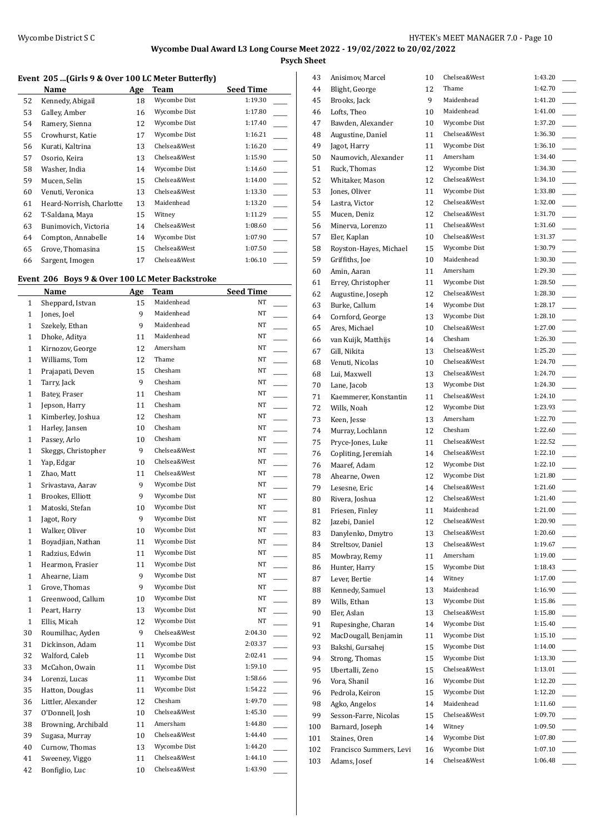**Psych Sheet**

#### **Event 205 ...(Girls 9 & Over 100 LC Meter Butterfly)**

|    | Name                     | Age | Team         | <b>Seed Time</b> |
|----|--------------------------|-----|--------------|------------------|
| 52 | Kennedy, Abigail         | 18  | Wycombe Dist | 1:19.30          |
| 53 | Galley, Amber            | 16  | Wycombe Dist | 1:17.80          |
| 54 | Ramery, Sienna           | 12  | Wycombe Dist | 1:17.40          |
| 55 | Crowhurst, Katie         | 17  | Wycombe Dist | 1:16.21          |
| 56 | Kurati, Kaltrina         | 13  | Chelsea&West | 1:16.20          |
| 57 | Osorio, Keira            | 13  | Chelsea&West | 1:15.90          |
| 58 | Washer, India            | 14  | Wycombe Dist | 1:14.60          |
| 59 | Mucen, Selin             | 15  | Chelsea&West | 1:14.00          |
| 60 | Venuti, Veronica         | 13  | Chelsea&West | 1:13.30          |
| 61 | Heard-Norrish, Charlotte | 13  | Maidenhead   | 1:13.20          |
| 62 | T-Saldana, Maya          | 15  | Witney       | 1:11.29          |
| 63 | Bunimovich, Victoria     | 14  | Chelsea&West | 1:08.60          |
| 64 | Compton, Annabelle       | 14  | Wycombe Dist | 1:07.90          |
| 65 | Grove, Thomasina         | 15  | Chelsea&West | 1:07.50          |
| 66 | Sargent, Imogen          | 17  | Chelsea&West | 1:06.10          |

# **Event 206 Boys 9 & Over 100 LC Meter Backstroke**

|              | Name                | Age | <b>Team</b>  | <b>Seed Time</b> |
|--------------|---------------------|-----|--------------|------------------|
| 1            | Sheppard, Istvan    | 15  | Maidenhead   | NT               |
| 1            | Jones, Joel         | 9   | Maidenhead   | NT               |
| $\mathbf{1}$ | Szekely, Ethan      | 9   | Maidenhead   | NT               |
| $\mathbf{1}$ | Dhoke, Aditya       | 11  | Maidenhead   | NT               |
| $\mathbf{1}$ | Kirnozov, George    | 12  | Amersham     | NT               |
| 1            | Williams, Tom       | 12  | Thame        | NT               |
| $\mathbf{1}$ | Prajapati, Deven    | 15  | Chesham      | NT               |
| $\mathbf{1}$ | Tarry, Jack         | 9   | Chesham      | NT               |
| $\mathbf{1}$ | Batey, Fraser       | 11  | Chesham      | $_{\rm NT}$      |
| 1            | Jepson, Harry       | 11  | Chesham      | NT               |
| $\mathbf{1}$ | Kimberley, Joshua   | 12  | Chesham      | NT               |
| $\mathbf{1}$ | Harley, Jansen      | 10  | Chesham      | NT               |
| $\mathbf{1}$ | Passey, Arlo        | 10  | Chesham      | $_{\rm NT}$      |
| $\mathbf{1}$ | Skeggs, Christopher | 9   | Chelsea&West | NT               |
| $\mathbf{1}$ | Yap, Edgar          | 10  | Chelsea&West | NT               |
| $\mathbf{1}$ | Zhao, Matt          | 11  | Chelsea&West | NT               |
| 1            | Srivastava, Aarav   | 9   | Wycombe Dist | NT               |
| $\mathbf{1}$ | Brookes, Elliott    | 9   | Wycombe Dist | NT               |
| $\mathbf{1}$ | Matoski, Stefan     | 10  | Wycombe Dist | NT               |
| $\mathbf{1}$ | Jagot, Rory         | 9   | Wycombe Dist | NT               |
| $\mathbf{1}$ | Walker, Oliver      | 10  | Wycombe Dist | NT               |
| 1            | Boyadjian, Nathan   | 11  | Wycombe Dist | NT               |
| $\mathbf{1}$ | Radzius, Edwin      | 11  | Wycombe Dist | NT               |
| $\mathbf{1}$ | Hearmon, Frasier    | 11  | Wycombe Dist | NT               |
| $\mathbf{1}$ | Ahearne, Liam       | 9   | Wycombe Dist | NT               |
| $\mathbf{1}$ | Grove, Thomas       | 9   | Wycombe Dist | NT               |
| $\mathbf{1}$ | Greenwood, Callum   | 10  | Wycombe Dist | NT               |
| $\mathbf{1}$ | Peart, Harry        | 13  | Wycombe Dist | NT               |
| $\mathbf{1}$ | Ellis, Micah        | 12  | Wycombe Dist | NT               |
| 30           | Roumilhac, Ayden    | 9   | Chelsea&West | 2:04.30          |
| 31           | Dickinson, Adam     | 11  | Wycombe Dist | 2:03.37          |
| 32           | Walford, Caleb      | 11  | Wycombe Dist | 2:02.41          |
| 33           | McCahon, Owain      | 11  | Wycombe Dist | 1:59.10          |
| 34           | Lorenzi, Lucas      | 11  | Wycombe Dist | 1:58.66          |
| 35           | Hatton, Douglas     | 11  | Wycombe Dist | 1:54.22          |
| 36           | Littler, Alexander  | 12  | Chesham      | 1:49.70          |
| 37           | O'Donnell, Josh     | 10  | Chelsea&West | 1:45.30          |
| 38           | Browning, Archibald | 11  | Amersham     | 1:44.80          |
| 39           | Sugasa, Murray      | 10  | Chelsea&West | 1:44.40          |
| 40           | Curnow, Thomas      | 13  | Wycombe Dist | 1:44.20          |
| 41           | Sweeney, Viggo      | 11  | Chelsea&West | 1:44.10          |
| 42           | Bonfiglio, Luc      | 10  | Chelsea&West | 1:43.90          |

| 43  | Anisimov, Marcel        | 10 | Chelsea&West | 1:43.20 |
|-----|-------------------------|----|--------------|---------|
| 44  | Blight, George          | 12 | Thame        | 1:42.70 |
| 45  | Brooks, Jack            | 9  | Maidenhead   | 1:41.20 |
|     |                         |    | Maidenhead   | 1:41.00 |
| 46  | Lofts, Theo             | 10 |              |         |
| 47  | Bawden, Alexander       | 10 | Wycombe Dist | 1:37.20 |
| 48  | Augustine, Daniel       | 11 | Chelsea&West | 1:36.30 |
| 49  | Jagot, Harry            | 11 | Wycombe Dist | 1:36.10 |
| 50  | Naumovich, Alexander    | 11 | Amersham     | 1:34.40 |
| 51  | Ruck, Thomas            | 12 | Wycombe Dist | 1:34.30 |
| 52  | Whitaker, Mason         | 12 | Chelsea&West | 1:34.10 |
| 53  | Jones, Oliver           | 11 | Wycombe Dist | 1:33.80 |
| 54  | Lastra, Victor          | 12 | Chelsea&West | 1:32.00 |
| 55  | Mucen, Deniz            | 12 | Chelsea&West | 1:31.70 |
| 56  | Minerva, Lorenzo        | 11 | Chelsea&West | 1:31.60 |
| 57  | Eler, Kaplan            | 10 | Chelsea&West | 1:31.37 |
| 58  | Royston-Hayes, Michael  | 15 | Wycombe Dist | 1:30.79 |
| 59  | Griffiths, Joe          | 10 | Maidenhead   | 1:30.30 |
| 60  | Amin, Aaran             | 11 | Amersham     | 1:29.30 |
|     |                         |    | Wycombe Dist | 1:28.50 |
| 61  | Errey, Christopher      | 11 | Chelsea&West |         |
| 62  | Augustine, Joseph       | 12 |              | 1:28.30 |
| 63  | Burke, Callum           | 14 | Wycombe Dist | 1:28.17 |
| 64  | Cornford, George        | 13 | Wycombe Dist | 1:28.10 |
| 65  | Ares, Michael           | 10 | Chelsea&West | 1:27.00 |
| 66  | van Kuijk, Matthijs     | 14 | Chesham      | 1:26.30 |
| 67  | Gill, Nikita            | 13 | Chelsea&West | 1:25.20 |
| 68  | Venuti, Nicolas         | 10 | Chelsea&West | 1:24.70 |
| 68  | Lui, Maxwell            | 13 | Chelsea&West | 1:24.70 |
| 70  | Lane, Jacob             | 13 | Wycombe Dist | 1:24.30 |
| 71  | Kaemmerer, Konstantin   | 11 | Chelsea&West | 1:24.10 |
| 72  | Wills, Noah             | 12 | Wycombe Dist | 1:23.93 |
| 73  | Keen, Jesse             | 13 | Amersham     | 1:22.70 |
| 74  | Murray, Lochlann        | 12 | Chesham      | 1:22.60 |
| 75  | Pryce-Jones, Luke       | 11 | Chelsea&West | 1:22.52 |
| 76  | Copliting, Jeremiah     | 14 | Chelsea&West | 1:22.10 |
| 76  | Maaref, Adam            | 12 | Wycombe Dist | 1:22.10 |
|     |                         |    | Wycombe Dist | 1:21.80 |
| 78  | Ahearne, Owen           | 12 | Chelsea&West |         |
| 79  | Lesesne, Eric           | 14 |              | 1:21.60 |
| 80  | Rivera, Joshua          | 12 | Chelsea&West | 1:21.40 |
| 81  | Friesen, Finley         | 11 | Maidenhead   | 1:21.00 |
| 82  | Jazebi, Daniel          | 12 | Chelsea&West | 1:20.90 |
| 83  | Danylenko, Dmytro       | 13 | Chelsea&West | 1:20.60 |
| 84  | Streltsov, Daniel       | 13 | Chelsea&West | 1:19.67 |
| 85  | Mowbray, Remy           | 11 | Amersham     | 1:19.00 |
| 86  | Hunter, Harry           | 15 | Wycombe Dist | 1:18.43 |
| 87  | Lever, Bertie           | 14 | Witney       | 1:17.00 |
| 88  | Kennedy, Samuel         | 13 | Maidenhead   | 1:16.90 |
| 89  | Wills, Ethan            | 13 | Wycombe Dist | 1:15.86 |
| 90  | Eler, Aslan             | 13 | Chelsea&West | 1:15.80 |
| 91  | Rupesinghe, Charan      | 14 | Wycombe Dist | 1:15.40 |
| 92  | MacDougall, Benjamin    | 11 | Wycombe Dist | 1:15.10 |
| 93  | Bakshi, Gursahej        | 15 | Wycombe Dist | 1:14.00 |
| 94  | Strong, Thomas          | 15 | Wycombe Dist | 1:13.30 |
| 95  | Ubertalli, Zeno         | 15 | Chelsea&West | 1:13.01 |
| 96  | Vora, Shanil            | 16 | Wycombe Dist | 1:12.20 |
| 96  | Pedrola, Keiron         | 15 | Wycombe Dist | 1:12.20 |
| 98  | Agko, Angelos           | 14 | Maidenhead   | 1:11.60 |
|     |                         |    | Chelsea&West | 1:09.70 |
| 99  | Sesson-Farre, Nicolas   | 15 |              |         |
| 100 | Barnard, Joseph         | 14 | Witney       | 1:09.50 |
| 101 | Staines, Oren           | 14 | Wycombe Dist | 1:07.80 |
| 102 | Francisco Summers, Levi | 16 | Wycombe Dist | 1:07.10 |
| 103 | Adams, Josef            | 14 | Chelsea&West | 1:06.48 |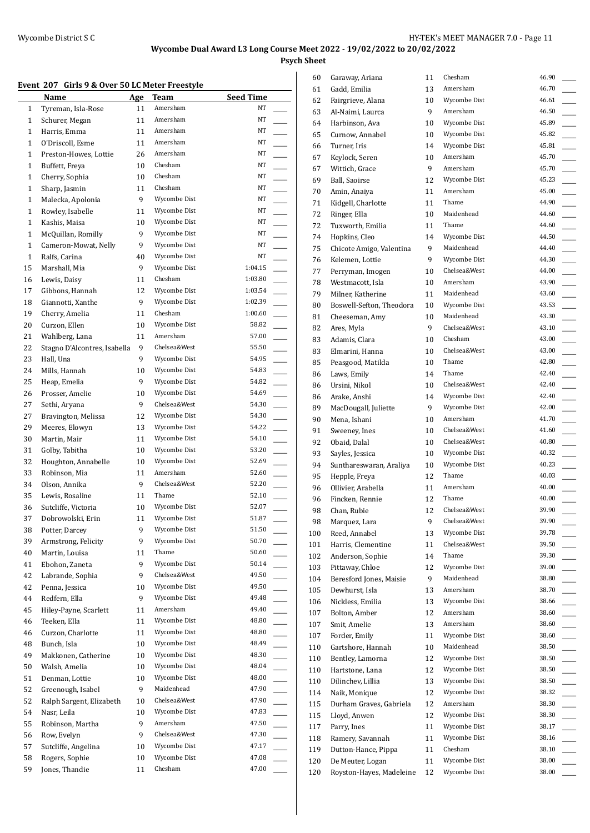**Psych Sheet**

### **Event 207 Girls 9 & Over 50 LC Meter Freestyle**

|              | Name                         | <b>Age</b> | Team         | <b>Seed Time</b> |
|--------------|------------------------------|------------|--------------|------------------|
| 1            | Tyreman, Isla-Rose           | 11         | Amersham     | NT               |
| 1            | Schurer, Megan               | 11         | Amersham     | NT               |
| 1            | Harris, Emma                 | 11         | Amersham     | NT               |
| 1            | O'Driscoll, Esme             | 11         | Amersham     | NT               |
| $\mathbf{1}$ | Preston-Howes, Lottie        | 26         | Amersham     | NT               |
| $\mathbf{1}$ | Buffett, Freya               | 10         | Chesham      | NT               |
| $\mathbf{1}$ | Cherry, Sophia               | 10         | Chesham      | NT               |
| $\mathbf{1}$ | Sharp, Jasmin                | 11         | Chesham      | NT               |
| 1            | Malecka, Apolonia            | 9          | Wycombe Dist | NT               |
| 1            | Rowley, Isabelle             | 11         | Wycombe Dist | NT               |
| $\mathbf{1}$ | Kashis, Maisa                | 10         | Wycombe Dist | NT               |
| $\mathbf{1}$ | McQuillan, Romilly           | 9          | Wycombe Dist | NT               |
| $\mathbf{1}$ | Cameron-Mowat, Nelly         | 9          | Wycombe Dist | NT               |
| $\mathbf{1}$ | Ralfs, Carina                | 40         | Wycombe Dist | NT               |
| 15           | Marshall, Mia                | 9          | Wycombe Dist | 1:04.15          |
| 16           | Lewis, Daisy                 | 11         | Chesham      | 1:03.80          |
| 17           | Gibbons, Hannah              | 12         | Wycombe Dist | 1:03.54          |
| 18           | Giannotti, Xanthe            | 9          | Wycombe Dist | 1:02.39          |
| 19           | Cherry, Amelia               | 11         | Chesham      | 1:00.60          |
| 20           | Curzon, Ellen                | 10         | Wycombe Dist | 58.82            |
| 21           | Wahlberg, Lana               | 11         | Amersham     | 57.00            |
| 22           | Stagno D'Alcontres, Isabella | 9          | Chelsea&West | 55.50            |
| 23           | Hall, Una                    | 9          | Wycombe Dist | 54.95            |
| 24           |                              | 10         | Wycombe Dist | 54.83            |
|              | Mills, Hannah                |            | Wycombe Dist | 54.82            |
| 25           | Heap, Emelia                 | 9          | Wycombe Dist | 54.69            |
| 26           | Prosser, Amelie              | 10         | Chelsea&West |                  |
| 27           | Sethi, Aryana                | 9          |              | 54.30            |
| 27           | Bravington, Melissa          | 12         | Wycombe Dist | 54.30            |
| 29           | Meeres, Elowyn               | 13         | Wycombe Dist | 54.22            |
| 30           | Martin, Mair                 | 11         | Wycombe Dist | 54.10            |
| 31           | Golby, Tabitha               | 10         | Wycombe Dist | 53.20            |
| 32           | Houghton, Annabelle          | 10         | Wycombe Dist | 52.69            |
| 33           | Robinson, Mia                | 11         | Amersham     | 52.60            |
| 34           | Olson, Annika                | 9          | Chelsea&West | 52.20            |
| 35           | Lewis, Rosaline              | 11         | Thame        | 52.10            |
| 36           | Sutcliffe, Victoria          | 10         | Wycombe Dist | 52.07            |
| 37           | Dobrowolski, Erin            | 11         | Wycombe Dist | 51.87            |
| 38           | Potter, Darcey               | 9          | Wycombe Dist | 51.50            |
| 39           | Armstrong, Felicity          | 9          | Wycombe Dist | 50.70            |
| 40           | Martin, Louisa               | 11         | Thame        | 50.60            |
| 41           | Ebohon, Zaneta               | 9          | Wycombe Dist | 50.14            |
| 42           | Labrande, Sophia             | 9          | Chelsea&West | 49.50            |
| 42           | Penna, Jessica               | 10         | Wycombe Dist | 49.50            |
| 44           | Redfern, Ella                | 9          | Wycombe Dist | 49.48            |
| 45           | Hiley-Payne, Scarlett        | 11         | Amersham     | 49.40            |
| 46           | Teeken, Ella                 | 11         | Wycombe Dist | 48.80            |
| 46           | Curzon, Charlotte            | 11         | Wycombe Dist | 48.80            |
| 48           | Bunch, Isla                  | 10         | Wycombe Dist | 48.49            |
| 49           | Makkonen, Catherine          | 10         | Wycombe Dist | 48.30            |
| 50           | Walsh, Amelia                | 10         | Wycombe Dist | 48.04            |
| 51           | Denman, Lottie               | 10         | Wycombe Dist | 48.00            |
| 52           | Greenough, Isabel            | 9          | Maidenhead   | 47.90            |
| 52           | Ralph Sargent, Elizabeth     | 10         | Chelsea&West | 47.90            |
| 54           | Nasr, Leila                  | 10         | Wycombe Dist | 47.83            |
| 55           | Robinson, Martha             | 9          | Amersham     | 47.50            |
| 56           | Row, Evelyn                  | 9          | Chelsea&West | 47.30            |
| 57           | Sutcliffe, Angelina          | 10         | Wycombe Dist | 47.17            |
| 58           | Rogers, Sophie               | 10         | Wycombe Dist | 47.08            |
| 59           | Jones, Thandie               | 11         | Chesham      | 47.00            |
|              |                              |            |              |                  |

| 60  | Garaway, Ariana          | 11 | Chesham      | 46.90 |
|-----|--------------------------|----|--------------|-------|
| 61  | Gadd, Emilia             | 13 | Amersham     | 46.70 |
| 62  | Fairgrieve, Alana        | 10 | Wycombe Dist | 46.61 |
| 63  | Al-Naimi, Laurca         | 9  | Amersham     | 46.50 |
| 64  | Harbinson, Ava           | 10 | Wycombe Dist | 45.89 |
| 65  | Curnow, Annabel          | 10 | Wycombe Dist | 45.82 |
| 66  | Turner, Iris             | 14 | Wycombe Dist | 45.81 |
| 67  | Keylock, Seren           | 10 | Amersham     | 45.70 |
| 67  | Wittich, Grace           | 9  | Amersham     | 45.70 |
| 69  | Ball, Saoirse            | 12 | Wycombe Dist | 45.23 |
| 70  | Amin, Anaiya             | 11 | Amersham     | 45.00 |
| 71  | Kidgell, Charlotte       | 11 | Thame        | 44.90 |
| 72  | Ringer, Ella             | 10 | Maidenhead   | 44.60 |
| 72  | Tuxworth, Emilia         | 11 | Thame        | 44.60 |
| 74  | Hopkins, Cleo            | 14 | Wycombe Dist | 44.50 |
| 75  | Chicote Amigo, Valentina | 9  | Maidenhead   | 44.40 |
| 76  | Kelemen, Lottie          | 9  | Wycombe Dist | 44.30 |
| 77  | Perryman, Imogen         | 10 | Chelsea&West | 44.00 |
| 78  | Westmacott, Isla         | 10 | Amersham     | 43.90 |
| 79  | Milner, Katherine        | 11 | Maidenhead   | 43.60 |
| 80  | Boswell-Sefton, Theodora | 10 | Wycombe Dist | 43.53 |
| 81  | Cheeseman, Amy           | 10 | Maidenhead   | 43.30 |
| 82  | Ares, Myla               | 9  | Chelsea&West | 43.10 |
| 83  | Adamis, Clara            | 10 | Chesham      | 43.00 |
|     | Elmarini, Hanna          | 10 | Chelsea&West | 43.00 |
| 83  |                          |    | Thame        | 42.80 |
| 85  | Peasgood, Matilda        | 10 | Thame        | 42.40 |
| 86  | Laws, Emily              | 14 |              |       |
| 86  | Ursini, Nikol            | 10 | Chelsea&West | 42.40 |
| 86  | Arake, Anshi             | 14 | Wycombe Dist | 42.40 |
| 89  | MacDougall, Juliette     | 9  | Wycombe Dist | 42.00 |
| 90  | Mena, Ishani             | 10 | Amersham     | 41.70 |
| 91  | Sweeney, Ines            | 10 | Chelsea&West | 41.60 |
| 92  | Obaid, Dalal             | 10 | Chelsea&West | 40.80 |
| 93  | Sayles, Jessica          | 10 | Wycombe Dist | 40.32 |
| 94  | Sunthareswaran, Araliya  | 10 | Wycombe Dist | 40.23 |
| 95  | Hepple, Freya            | 12 | Thame        | 40.03 |
| 96  | Ollivier, Arabella       | 11 | Amersham     | 40.00 |
| 96  | Fincken, Rennie          | 12 | Thame        | 40.00 |
| 98  | Chan, Rubie              | 12 | Chelsea&West | 39.90 |
| 98  | Marquez, Lara            | 9  | Chelsea&West | 39.90 |
| 100 | Reed, Annabel            | 13 | Wycombe Dist | 39.78 |
| 101 | Harris, Clementine       | 11 | Chelsea&West | 39.50 |
| 102 | Anderson, Sophie         | 14 | Thame        | 39.30 |
| 103 | Pittaway, Chloe          | 12 | Wycombe Dist | 39.00 |
| 104 | Beresford Jones, Maisie  | 9  | Maidenhead   | 38.80 |
| 105 | Dewhurst, Isla           | 13 | Amersham     | 38.70 |
| 106 | Nickless, Emilia         | 13 | Wycombe Dist | 38.66 |
| 107 | Bolton, Amber            | 12 | Amersham     | 38.60 |
| 107 | Smit, Amelie             | 13 | Amersham     | 38.60 |
| 107 | Forder, Emily            | 11 | Wycombe Dist | 38.60 |
| 110 | Gartshore, Hannah        | 10 | Maidenhead   | 38.50 |
| 110 | Bentley, Lamorna         | 12 | Wycombe Dist | 38.50 |
| 110 | Hartstone, Lana          | 12 | Wycombe Dist | 38.50 |
| 110 | Dilinchev, Lillia        | 13 | Wycombe Dist | 38.50 |
| 114 | Naik, Monique            | 12 | Wycombe Dist | 38.32 |
| 115 | Durham Graves, Gabriela  | 12 | Amersham     | 38.30 |
| 115 | Lloyd, Anwen             | 12 | Wycombe Dist | 38.30 |
| 117 | Parry, Ines              | 11 | Wycombe Dist | 38.17 |
| 118 | Ramery, Savannah         | 11 | Wycombe Dist | 38.16 |
| 119 | Dutton-Hance, Pippa      | 11 | Chesham      | 38.10 |
| 120 | De Meuter, Logan         | 11 | Wycombe Dist | 38.00 |
| 120 | Royston-Hayes, Madeleine | 12 | Wycombe Dist | 38.00 |
|     |                          |    |              |       |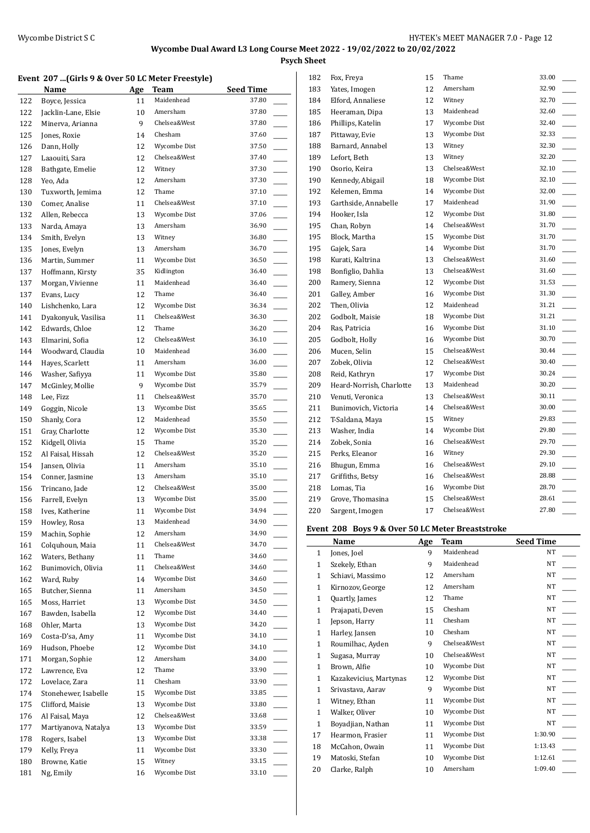**Psych Sheet**

#### **Event 207 ...(Girls 9 & Over 50 LC Meter Freestyle)**

|            | <u>Name</u>                 | <b>Age</b> | Team                     | <b>Seed Time</b> |
|------------|-----------------------------|------------|--------------------------|------------------|
| 122        | Boyce, Jessica              | 11         | Maidenhead               | 37.80            |
| 122        | Jacklin-Lane, Elsie         | 10         | Amersham                 | 37.80            |
| 122        | Minerva, Arianna            | 9          | Chelsea&West             | 37.80            |
| 125        | Jones, Roxie                | 14         | Chesham                  | 37.60            |
| 126        | Dann, Holly                 | 12         | Wycombe Dist             | 37.50            |
| 127        | Laaouiti, Sara              | 12         | Chelsea&West             | 37.40            |
| 128        | Bathgate, Emelie            | 12         | Witney                   | 37.30            |
| 128        | Yeo, Ada                    | 12         | Amersham                 | 37.30            |
| 130        | Tuxworth, Jemima            | 12         | Thame                    | 37.10            |
| 130        | Comer, Analise              | 11         | Chelsea&West             | 37.10            |
| 132        | Allen, Rebecca              | 13         | Wycombe Dist             | 37.06            |
| 133        | Narda, Amaya                | 13         | Amersham                 | 36.90            |
| 134        | Smith, Evelyn               | 13         | Witney                   | 36.80            |
| 135        | Jones, Evelyn               | 13         | Amersham                 | 36.70            |
| 136        | Martin, Summer              | 11         | Wycombe Dist             | 36.50            |
| 137        | Hoffmann, Kirsty            | 35         | Kidlington<br>Maidenhead | 36.40<br>36.40   |
| 137        | Morgan, Vivienne            | 11         |                          |                  |
| 137        | Evans, Lucy                 | 12         | Thame<br>Wycombe Dist    | 36.40<br>36.34   |
| 140        | Lishchenko, Lara            | 12         | Chelsea&West             | 36.30            |
| 141        | Dyakonyuk, Vasilisa         | 11         | Thame                    | 36.20            |
| 142        | Edwards, Chloe              | 12         | Chelsea&West             |                  |
| 143        | Elmarini, Sofia             | 12         | Maidenhead               | 36.10<br>36.00   |
| 144        | Woodward, Claudia           | 10         | Amersham                 | 36.00            |
| 144        | Hayes, Scarlett             | 11         | Wycombe Dist             | 35.80            |
| 146        | Washer, Safiyya             | 11<br>9    | Wycombe Dist             | 35.79            |
| 147        | McGinley, Mollie            |            | Chelsea&West             | 35.70            |
| 148<br>149 | Lee, Fizz<br>Goggin, Nicole | 11<br>13   | Wycombe Dist             | 35.65            |
| 150        | Shanly, Cora                | 12         | Maidenhead               | 35.50            |
| 151        | Gray, Charlotte             | 12         | Wycombe Dist             | 35.30            |
| 152        | Kidgell, Olivia             | 15         | Thame                    | 35.20            |
| 152        | Al Faisal, Hissah           | 12         | Chelsea&West             | 35.20            |
| 154        | Jansen, Olivia              | 11         | Amersham                 | 35.10            |
| 154        | Conner, Jasmine             | 13         | Amersham                 | 35.10            |
| 156        | Trincano, Jade              | 12         | Chelsea&West             | 35.00            |
| 156        | Farrell, Evelyn             | 13         | Wycombe Dist             | 35.00            |
| 158        | Ives, Katherine             | 11         | Wycombe Dist             | 34.94            |
| 159        | Howley, Rosa                | 13         | Maidenhead               | 34.90            |
| 159        | Machin, Sophie              | 12         | Amersham                 | 34.90            |
| 161        | Colquhoun, Maia             | 11         | Chelsea&West             | 34.70            |
| 162        | Waters, Bethany             | 11         | Thame                    | 34.60            |
| 162        | Bunimovich, Olivia          | 11         | Chelsea&West             | 34.60            |
| 162        | Ward, Ruby                  | 14         | Wycombe Dist             | 34.60            |
| 165        | Butcher, Sienna             | 11         | Amersham                 | 34.50            |
| 165        | Moss, Harriet               | 13         | Wycombe Dist             | 34.50            |
| 167        | Bawden, Isabella            | 12         | Wycombe Dist             | 34.40            |
| 168        | Ohler, Marta                | 13         | Wycombe Dist             | 34.20            |
| 169        | Costa-D'sa, Amy             | 11         | Wycombe Dist             | 34.10            |
| 169        | Hudson, Phoebe              | 12         | Wycombe Dist             | 34.10            |
| 171        | Morgan, Sophie              | 12         | Amersham                 | 34.00            |
| 172        | Lawrence, Eva               | 12         | Thame                    | 33.90            |
| 172        | Lovelace, Zara              | 11         | Chesham                  | 33.90            |
| 174        | Stonehewer, Isabelle        | 15         | Wycombe Dist             | 33.85            |
| 175        | Clifford, Maisie            | 13         | Wycombe Dist             | 33.80            |
| 176        | Al Faisal, Maya             | 12         | Chelsea&West             | 33.68            |
| 177        | Martiyanova, Natalya        | 13         | Wycombe Dist             | 33.59            |
| 178        | Rogers, Isabel              | 13         | Wycombe Dist             | 33.38            |
| 179        | Kelly, Freya                | 11         | Wycombe Dist             | 33.30            |
| 180        | Browne, Katie               | 15         | Witney                   | 33.15            |
| 181        | Ng, Emily                   | 16         | Wycombe Dist             | 33.10            |
|            |                             |            |                          |                  |

| 182 | Fox, Freya               | 15 | Thame        | 33.00 |
|-----|--------------------------|----|--------------|-------|
| 183 | Yates, Imogen            | 12 | Amersham     | 32.90 |
| 184 | Elford, Annaliese        | 12 | Witney       | 32.70 |
| 185 | Heeraman, Dipa           | 13 | Maidenhead   | 32.60 |
| 186 | Phillips, Katelin        | 17 | Wycombe Dist | 32.40 |
| 187 | Pittaway, Evie           | 13 | Wycombe Dist | 32.33 |
| 188 | Barnard, Annabel         | 13 | Witney       | 32.30 |
| 189 | Lefort, Beth             | 13 | Witney       | 32.20 |
| 190 | Osorio, Keira            | 13 | Chelsea&West | 32.10 |
| 190 | Kennedy, Abigail         | 18 | Wycombe Dist | 32.10 |
| 192 | Kelemen, Emma            | 14 | Wycombe Dist | 32.00 |
| 193 | Garthside, Annabelle     | 17 | Maidenhead   | 31.90 |
| 194 | Hooker, Isla             | 12 | Wycombe Dist | 31.80 |
| 195 | Chan, Robyn              | 14 | Chelsea&West | 31.70 |
| 195 | Block, Martha            | 15 | Wycombe Dist | 31.70 |
| 195 | Gajek, Sara              | 14 | Wycombe Dist | 31.70 |
| 198 | Kurati, Kaltrina         | 13 | Chelsea&West | 31.60 |
| 198 | Bonfiglio, Dahlia        | 13 | Chelsea&West | 31.60 |
| 200 | Ramery, Sienna           | 12 | Wycombe Dist | 31.53 |
| 201 | Galley, Amber            | 16 | Wycombe Dist | 31.30 |
| 202 | Then, Olivia             | 12 | Maidenhead   | 31.21 |
| 202 | Godbolt, Maisie          | 18 | Wycombe Dist | 31.21 |
| 204 | Ras, Patricia            | 16 | Wycombe Dist | 31.10 |
| 205 | Godbolt, Holly           | 16 | Wycombe Dist | 30.70 |
| 206 | Mucen, Selin             | 15 | Chelsea&West | 30.44 |
| 207 | Zobek, Olivia            | 12 | Chelsea&West | 30.40 |
| 208 | Reid, Kathryn            | 17 | Wycombe Dist | 30.24 |
| 209 | Heard-Norrish, Charlotte | 13 | Maidenhead   | 30.20 |
| 210 | Venuti, Veronica         | 13 | Chelsea&West | 30.11 |
| 211 | Bunimovich, Victoria     | 14 | Chelsea&West | 30.00 |
| 212 | T-Saldana, Maya          | 15 | Witney       | 29.83 |
| 213 | Washer, India            | 14 | Wycombe Dist | 29.80 |
| 214 | Zobek, Sonia             | 16 | Chelsea&West | 29.70 |
| 215 | Perks, Eleanor           | 16 | Witney       | 29.30 |
| 216 | Bhugun, Emma             | 16 | Chelsea&West | 29.10 |
| 217 | Griffiths, Betsy         | 16 | Chelsea&West | 28.88 |
| 218 | Lomas, Tia               | 16 | Wycombe Dist | 28.70 |
| 219 | Grove, Thomasina         | 15 | Chelsea&West | 28.61 |
| 220 | Sargent, Imogen          | 17 | Chelsea&West | 27.80 |
|     |                          |    |              |       |

### **Event 208 Boys 9 & Over 50 LC Meter Breaststroke**

|              | Name                   | Age | Team         | <b>Seed Time</b> |
|--------------|------------------------|-----|--------------|------------------|
| $\mathbf{1}$ | Jones, Joel            | 9   | Maidenhead   | NT               |
| $\mathbf{1}$ | Szekely, Ethan         | 9   | Maidenhead   | <b>NT</b>        |
| $\mathbf{1}$ | Schiavi, Massimo       | 12  | Amersham     | <b>NT</b>        |
| $\mathbf{1}$ | Kirnozov, George       | 12  | Amersham     | <b>NT</b>        |
| $\mathbf{1}$ | Quartly, James         | 12  | Thame        | <b>NT</b>        |
| $\mathbf{1}$ | Prajapati, Deven       | 15  | Chesham      | <b>NT</b>        |
| $\mathbf{1}$ | Jepson, Harry          | 11  | Chesham      | <b>NT</b>        |
| $\mathbf{1}$ | Harley, Jansen         | 10  | Chesham      | NT               |
| $\mathbf{1}$ | Roumilhac, Ayden       | 9   | Chelsea&West | NT               |
| $\mathbf{1}$ | Sugasa, Murray         | 10  | Chelsea&West | NT               |
| $\mathbf{1}$ | Brown, Alfie           | 10  | Wycombe Dist | <b>NT</b>        |
| 1            | Kazakevicius, Martynas | 12  | Wycombe Dist | <b>NT</b>        |
| $\mathbf{1}$ | Srivastava, Aarav      | 9   | Wycombe Dist | NT               |
| $\mathbf{1}$ | Witney, Ethan          | 11  | Wycombe Dist | <b>NT</b>        |
| $\mathbf{1}$ | Walker, Oliver         | 10  | Wycombe Dist | NT               |
| $\mathbf{1}$ | Boyadjian, Nathan      | 11  | Wycombe Dist | NT               |
| 17           | Hearmon, Frasier       | 11  | Wycombe Dist | 1:30.90          |
| 18           | McCahon, Owain         | 11  | Wycombe Dist | 1:13.43          |
| 19           | Matoski, Stefan        | 10  | Wycombe Dist | 1:12.61          |
| 20           | Clarke, Ralph          | 10  | Amersham     | 1:09.40          |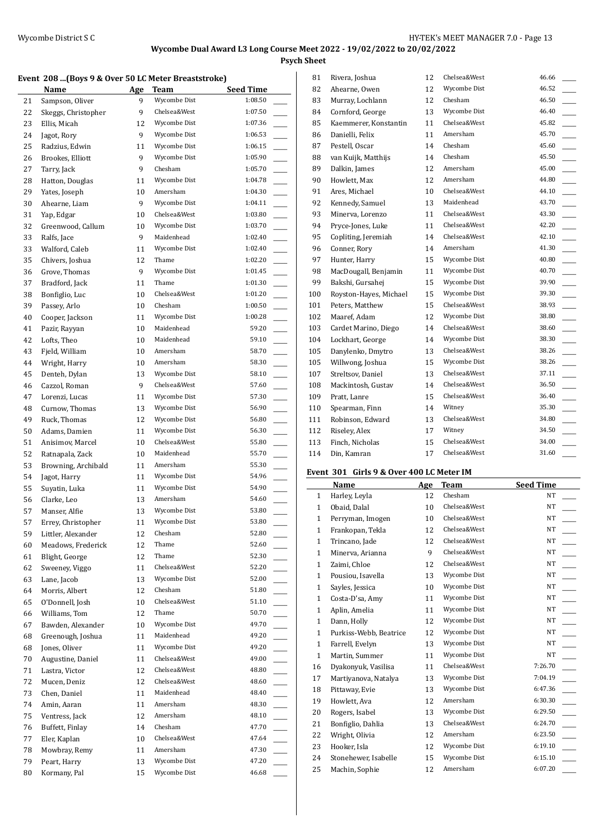**Psych Sheet**

#### **Event 208 ...(Boys 9 & Over 50 LC Meter Breaststroke)**

|    | Name                | Age | Team         | <b>Seed Time</b> |
|----|---------------------|-----|--------------|------------------|
| 21 | Sampson, Oliver     | 9   | Wycombe Dist | 1:08.50          |
| 22 | Skeggs, Christopher | 9   | Chelsea&West | 1:07.50          |
| 23 | Ellis, Micah        | 12  | Wycombe Dist | 1:07.36          |
| 24 | Jagot, Rory         | 9   | Wycombe Dist | 1:06.53          |
| 25 | Radzius. Edwin      | 11  | Wycombe Dist | 1:06.15          |
| 26 | Brookes, Elliott    | 9   | Wycombe Dist | 1:05.90          |
| 27 | Tarry, Jack         | 9   | Chesham      | 1:05.70          |
| 28 | Hatton, Douglas     | 11  | Wycombe Dist | 1:04.78          |
| 29 | Yates, Joseph       | 10  | Amersham     | 1:04.30          |
| 30 | Ahearne, Liam       | 9   | Wycombe Dist | 1:04.11          |
| 31 | Yap, Edgar          | 10  | Chelsea&West | 1:03.80          |
| 32 | Greenwood, Callum   | 10  | Wycombe Dist | 1:03.70          |
| 33 | Ralfs, Jace         | 9   | Maidenhead   | 1:02.40          |
| 33 | Walford, Caleb      | 11  | Wycombe Dist | 1:02.40          |
| 35 | Chivers, Joshua     | 12  | Thame        | 1:02.20          |
| 36 | Grove, Thomas       | 9   | Wycombe Dist | 1:01.45          |
| 37 | Bradford, Jack      | 11  | Thame        | 1:01.30          |
| 38 | Bonfiglio, Luc      | 10  | Chelsea&West | 1:01.20          |
| 39 | Passey, Arlo        | 10  | Chesham      | 1:00.50          |
| 40 | Cooper, Jackson     | 11  | Wycombe Dist | 1:00.28          |
| 41 | Pazir, Rayyan       | 10  | Maidenhead   | 59.20            |
| 42 | Lofts, Theo         | 10  | Maidenhead   | 59.10            |
| 43 | Field, William      | 10  | Amersham     | 58.70            |
| 44 | Wright, Harry       | 10  | Amersham     | 58.30            |
| 45 | Denteh, Dylan       | 13  | Wycombe Dist | 58.10            |
| 46 | Cazzol, Roman       | 9   | Chelsea&West | 57.60            |
| 47 | Lorenzi, Lucas      | 11  | Wycombe Dist | 57.30            |
| 48 | Curnow, Thomas      | 13  | Wycombe Dist | 56.90            |
| 49 | Ruck, Thomas        | 12  | Wycombe Dist | 56.80            |
| 50 | Adams, Damien       | 11  | Wycombe Dist | 56.30            |
| 51 | Anisimov, Marcel    | 10  | Chelsea&West | 55.80            |
| 52 | Ratnapala, Zack     | 10  | Maidenhead   | 55.70            |
| 53 | Browning, Archibald | 11  | Amersham     | 55.30            |
| 54 | Jagot, Harry        | 11  | Wycombe Dist | 54.96            |
| 55 | Suyatin, Luka       | 11  | Wycombe Dist | 54.90            |
| 56 | Clarke, Leo         | 13  | Amersham     | 54.60            |
| 57 | Manser, Alfie       | 13  | Wycombe Dist | 53.80            |
| 57 | Errey, Christopher  | 11  | Wycombe Dist | 53.80            |
| 59 | Littler, Alexander  | 12  | Chesham      | 52.80            |
| 60 | Meadows, Frederick  | 12  | Thame        | 52.60            |
| 61 | Blight, George      | 12  | Thame        | 52.30            |
| 62 | Sweeney, Viggo      | 11  | Chelsea&West | 52.20            |
| 63 | Lane, Jacob         | 13  | Wycombe Dist | 52.00            |
| 64 | Morris, Albert      | 12  | Chesham      | 51.80            |
| 65 | O'Donnell, Josh     | 10  | Chelsea&West | 51.10            |
| 66 | Williams, Tom       | 12  | Thame        | 50.70            |
| 67 | Bawden, Alexander   | 10  | Wycombe Dist | 49.70            |
| 68 | Greenough, Joshua   | 11  | Maidenhead   | 49.20            |
| 68 | Jones, Oliver       | 11  | Wycombe Dist | 49.20            |
| 70 | Augustine, Daniel   | 11  | Chelsea&West | 49.00            |
| 71 | Lastra, Victor      | 12  | Chelsea&West | 48.80            |
| 72 | Mucen, Deniz        | 12  | Chelsea&West | 48.60            |
| 73 | Chen, Daniel        | 11  | Maidenhead   | 48.40            |
| 74 | Amin, Aaran         | 11  | Amersham     | 48.30            |
| 75 | Ventress, Jack      | 12  | Amersham     | 48.10            |
| 76 | Buffett, Finlay     | 14  | Chesham      | 47.70            |
| 77 | Eler, Kaplan        | 10  | Chelsea&West | 47.64            |
| 78 | Mowbray, Remy       | 11  | Amersham     | 47.30            |
| 79 | Peart, Harry        | 13  | Wycombe Dist | 47.20            |
| 80 | Kormany, Pal        | 15  | Wycombe Dist | 46.68            |
|    |                     |     |              |                  |

| Rivera, Joshua         | 12 | Chelsea&West | 46.66 |
|------------------------|----|--------------|-------|
| Ahearne, Owen          | 12 | Wycombe Dist | 46.52 |
| Murray, Lochlann       | 12 | Chesham      | 46.50 |
| Cornford, George       | 13 | Wycombe Dist | 46.40 |
| Kaemmerer, Konstantin  | 11 | Chelsea&West | 45.82 |
| Danielli, Felix        | 11 | Amersham     | 45.70 |
| Pestell, Oscar         | 14 | Chesham      | 45.60 |
| van Kuijk, Matthijs    | 14 | Chesham      | 45.50 |
| Dalkin, James          | 12 | Amersham     | 45.00 |
| Howlett, Max           | 12 | Amersham     | 44.80 |
| Ares, Michael          | 10 | Chelsea&West | 44.10 |
| Kennedy, Samuel        | 13 | Maidenhead   | 43.70 |
| Minerva, Lorenzo       | 11 | Chelsea&West | 43.30 |
| Pryce-Jones, Luke      | 11 | Chelsea&West | 42.20 |
| Copliting, Jeremiah    | 14 | Chelsea&West | 42.10 |
| Conner, Rory           | 14 | Amersham     | 41.30 |
| Hunter, Harry          | 15 | Wycombe Dist | 40.80 |
| MacDougall, Benjamin   | 11 | Wycombe Dist | 40.70 |
| Bakshi, Gursahej       | 15 | Wycombe Dist | 39.90 |
| Royston-Hayes, Michael | 15 | Wycombe Dist | 39.30 |
| Peters, Matthew        | 15 | Chelsea&West | 38.93 |
| Maaref, Adam           | 12 | Wycombe Dist | 38.80 |
| Cardet Marino, Diego   | 14 | Chelsea&West | 38.60 |
| Lockhart, George       | 14 | Wycombe Dist | 38.30 |
| Danylenko, Dmytro      | 13 | Chelsea&West | 38.26 |
| Willwong, Joshua       | 15 | Wycombe Dist | 38.26 |
| Streltsov, Daniel      | 13 | Chelsea&West | 37.11 |
| Mackintosh, Gustav     | 14 | Chelsea&West | 36.50 |
| Pratt, Lanre           | 15 | Chelsea&West | 36.40 |
| Spearman, Finn         | 14 | Witney       | 35.30 |
| Robinson, Edward       | 13 | Chelsea&West | 34.80 |
| Riseley, Alex          | 17 | Witney       | 34.50 |
| Finch, Nicholas        | 15 | Chelsea&West | 34.00 |
| Din, Kamran            | 17 | Chelsea&West | 31.60 |
|                        |    |              |       |

# **Event 301 Girls 9 & Over 400 LC Meter IM**

|              | Name                   | Age | Team         | <b>Seed Time</b> |
|--------------|------------------------|-----|--------------|------------------|
| $\mathbf{1}$ | Harley, Leyla          | 12  | Chesham      | NT               |
| $\mathbf{1}$ | Obaid, Dalal           | 10  | Chelsea&West | NT               |
| $\mathbf{1}$ | Perryman, Imogen       | 10  | Chelsea&West | NT               |
| $\mathbf{1}$ | Frankopan, Tekla       | 12  | Chelsea&West | NT               |
| $\mathbf{1}$ | Trincano, Jade         | 12  | Chelsea&West | NT               |
| $\mathbf{1}$ | Minerva, Arianna       | 9   | Chelsea&West | NT               |
| $\mathbf{1}$ | Zaimi, Chloe           | 12  | Chelsea&West | NT               |
| $\mathbf{1}$ | Pousiou, Isavella      | 13  | Wycombe Dist | NT               |
| $\mathbf{1}$ | Sayles, Jessica        | 10  | Wycombe Dist | NT               |
| $\mathbf{1}$ | Costa-D'sa, Amy        | 11  | Wycombe Dist | <b>NT</b>        |
| $\mathbf{1}$ | Aplin, Amelia          | 11  | Wycombe Dist | NT               |
| $\mathbf{1}$ | Dann, Holly            | 12  | Wycombe Dist | <b>NT</b>        |
| $\mathbf{1}$ | Purkiss-Webb, Beatrice | 12  | Wycombe Dist | NT               |
| $\mathbf{1}$ | Farrell, Evelyn        | 13  | Wycombe Dist | NT               |
| $\mathbf{1}$ | Martin, Summer         | 11  | Wycombe Dist | NT               |
| 16           | Dyakonyuk, Vasilisa    | 11  | Chelsea&West | 7:26.70          |
| 17           | Martiyanova, Natalya   | 13  | Wycombe Dist | 7:04.19          |
| 18           | Pittaway, Evie         | 13  | Wycombe Dist | 6:47.36          |
| 19           | Howlett, Ava           | 12  | Amersham     | 6:30.30          |
| 20           | Rogers, Isabel         | 13  | Wycombe Dist | 6:29.50          |
| 21           | Bonfiglio, Dahlia      | 13  | Chelsea&West | 6:24.70          |
| 22           | Wright, Olivia         | 12  | Amersham     | 6:23.50          |
| 23           | Hooker, Isla           | 12  | Wycombe Dist | 6:19.10          |
| 24           | Stonehewer, Isabelle   | 15  | Wycombe Dist | 6:15.10          |
| 25           | Machin, Sophie         | 12  | Amersham     | 6:07.20          |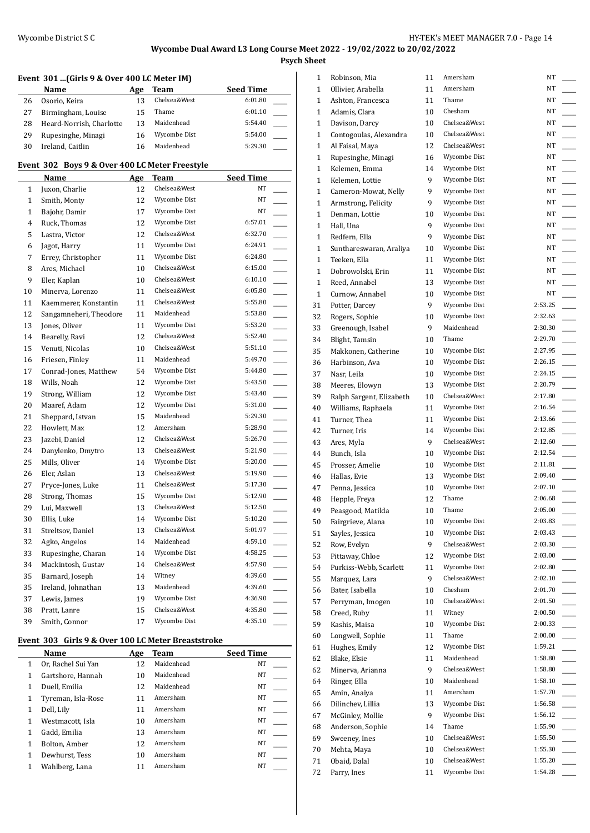**Psych Sheet**

## **Event 301 ...(Girls 9 & Over 400 LC Meter IM)**

|    | Name                     | Age | Team         | <b>Seed Time</b> |
|----|--------------------------|-----|--------------|------------------|
| 26 | Osorio, Keira            | 13  | Chelsea&West | 6:01.80          |
| 27 | Birmingham, Louise       | 15  | Thame        | 6:01.10          |
| 28 | Heard-Norrish, Charlotte | 13  | Maidenhead   | 5:54.40          |
| 29 | Rupesinghe, Minagi       | 16  | Wycombe Dist | 5:54.00          |
| 30 | Ireland, Caitlin         | 16  | Maidenhead   | 5:29.30          |

### **Event 302 Boys 9 & Over 400 LC Meter Freestyle**

|              | <b>Name</b>            | <u>Age</u> | Team         | <b>Seed Time</b>                    |  |
|--------------|------------------------|------------|--------------|-------------------------------------|--|
| 1            | Juxon, Charlie         | 12         | Chelsea&West | NT                                  |  |
| 1            | Smith, Monty           | 12         | Wycombe Dist | NT                                  |  |
| $\mathbf{1}$ | Bajohr, Damir          | 17         | Wycombe Dist | NT                                  |  |
| 4            | Ruck, Thomas           | 12         | Wycombe Dist | 6:57.01                             |  |
| 5            | Lastra, Victor         | 12         | Chelsea&West | 6:32.70<br>$\overline{\phantom{a}}$ |  |
| 6            | Jagot, Harry           | 11         | Wycombe Dist | 6:24.91<br>$\overline{\phantom{a}}$ |  |
| 7            | Errey, Christopher     | 11         | Wycombe Dist | 6:24.80                             |  |
| 8            | Ares, Michael          | 10         | Chelsea&West | 6:15.00                             |  |
| 9            | Eler, Kaplan           | 10         | Chelsea&West | 6:10.10                             |  |
| 10           | Minerva, Lorenzo       | 11         | Chelsea&West | 6:05.80                             |  |
| 11           | Kaemmerer, Konstantin  | 11         | Chelsea&West | 5:55.80                             |  |
| 12           | Sangamneheri, Theodore | 11         | Maidenhead   | 5:53.80<br>$\overline{\phantom{0}}$ |  |
| 13           | Jones, Oliver          | 11         | Wycombe Dist | 5:53.20                             |  |
| 14           | Bearelly, Ravi         | 12         | Chelsea&West | 5:52.40<br>$\overline{\phantom{a}}$ |  |
| 15           | Venuti, Nicolas        | 10         | Chelsea&West | 5:51.10                             |  |
| 16           | Friesen, Finley        | 11         | Maidenhead   | 5:49.70                             |  |
| 17           | Conrad-Jones, Matthew  | 54         | Wycombe Dist | 5:44.80                             |  |
| 18           | Wills, Noah            | 12         | Wycombe Dist | 5:43.50<br>$\overline{a}$           |  |
| 19           | Strong, William        | 12         | Wycombe Dist | 5:43.40                             |  |
| 20           | Maaref, Adam           | 12         | Wycombe Dist | 5:31.00                             |  |
| 21           | Sheppard, Istvan       | 15         | Maidenhead   | 5:29.30<br>$\overline{\phantom{a}}$ |  |
| 22           | Howlett, Max           | 12         | Amersham     | 5:28.90<br>$\overline{\phantom{a}}$ |  |
| 23           | Jazebi, Daniel         | 12         | Chelsea&West | 5:26.70<br>L.                       |  |
| 24           | Danylenko, Dmytro      | 13         | Chelsea&West | 5:21.90<br>$\overline{\phantom{a}}$ |  |
| 25           | Mills, Oliver          | 14         | Wycombe Dist | 5:20.00                             |  |
| 26           | Eler, Aslan            | 13         | Chelsea&West | 5:19.90                             |  |
| 27           | Pryce-Jones, Luke      | 11         | Chelsea&West | 5:17.30                             |  |
| 28           | Strong, Thomas         | 15         | Wycombe Dist | 5:12.90                             |  |
| 29           | Lui, Maxwell           | 13         | Chelsea&West | 5:12.50<br>L.                       |  |
| 30           | Ellis, Luke            | 14         | Wycombe Dist | 5:10.20<br>$\overline{\phantom{a}}$ |  |
| 31           | Streltsov, Daniel      | 13         | Chelsea&West | 5:01.97                             |  |
| 32           | Agko, Angelos          | 14         | Maidenhead   | 4:59.10                             |  |
| 33           | Rupesinghe, Charan     | 14         | Wycombe Dist | 4:58.25                             |  |
| 34           | Mackintosh, Gustav     | 14         | Chelsea&West | 4:57.90                             |  |
| 35           | Barnard, Joseph        | 14         | Witney       | 4:39.60                             |  |
| 35           | Ireland, Johnathan     | 13         | Maidenhead   | 4:39.60                             |  |
| 37           | Lewis, James           | 19         | Wycombe Dist | 4:36.90                             |  |
| 38           | Pratt, Lanre           | 15         | Chelsea&West | 4:35.80                             |  |
| 39           | Smith, Connor          | 17         | Wycombe Dist | 4:35.10                             |  |

#### **Event 303 Girls 9 & Over 100 LC Meter Breaststroke**

|   | Name               | Age | Team       | <b>Seed Time</b> |
|---|--------------------|-----|------------|------------------|
| 1 | Or, Rachel Sui Yan | 12  | Maidenhead | NT               |
| 1 | Gartshore, Hannah  | 10  | Maidenhead | NT               |
| 1 | Duell, Emilia      | 12  | Maidenhead | NT               |
| 1 | Tyreman, Isla-Rose | 11  | Amersham   | NT               |
| 1 | Dell, Lily         | 11  | Amersham   | NT               |
| 1 | Westmacott. Isla   | 10  | Amersham   | NT               |
| 1 | Gadd, Emilia       | 13  | Amersham   | NT               |
| 1 | Bolton, Amber      | 12  | Amersham   | NT               |
|   | Dewhurst, Tess     | 10  | Amersham   | NT               |
|   | Wahlberg, Lana     |     | Amersham   | NT               |

| $\mathbf{1}$ | Robinson, Mia            | 11     | Amersham     | NT      |  |
|--------------|--------------------------|--------|--------------|---------|--|
| 1            | Ollivier, Arabella       | 11     | Amersham     | NT      |  |
| 1            | Ashton, Francesca        | 11     | Thame        | NT      |  |
| $\mathbf{1}$ | Adamis, Clara            | 10     | Chesham      | NT      |  |
| $\mathbf{1}$ | Davison, Darcy           | 10     | Chelsea&West | NT      |  |
| $\mathbf{1}$ | Contogoulas, Alexandra   | 10     | Chelsea&West | NT      |  |
| 1            | Al Faisal, Maya          | 12     | Chelsea&West | NT      |  |
| 1            | Rupesinghe, Minagi       | 16     | Wycombe Dist | NT      |  |
| 1            | Kelemen, Emma            | 14     | Wycombe Dist | NT      |  |
| $\mathbf{1}$ | Kelemen, Lottie          | 9      | Wycombe Dist | NT      |  |
| 1            | Cameron-Mowat, Nelly     | 9      | Wycombe Dist | NT      |  |
| $\mathbf{1}$ | Armstrong, Felicity      | 9      | Wycombe Dist | NT      |  |
| $\mathbf{1}$ | Denman, Lottie           | 10     | Wycombe Dist | NT      |  |
| 1            | Hall, Una                | 9      | Wycombe Dist | NT      |  |
| 1            | Redfern, Ella            | 9      | Wycombe Dist | NT      |  |
| 1            | Sunthareswaran, Araliya  | 10     | Wycombe Dist | NT      |  |
| 1            | Teeken, Ella             | 11     | Wycombe Dist | NT      |  |
| $\mathbf{1}$ | Dobrowolski, Erin        | 11     | Wycombe Dist | NT      |  |
| 1            | Reed, Annabel            | 13     | Wycombe Dist | NT      |  |
| 1            | Curnow, Annabel          | 10     | Wycombe Dist | NT      |  |
| 31           | Potter, Darcey           | 9      | Wycombe Dist | 2:53.25 |  |
| 32           | Rogers, Sophie           | 10     | Wycombe Dist | 2:32.63 |  |
| 33           | Greenough, Isabel        | 9      | Maidenhead   | 2:30.30 |  |
| 34           | Blight, Tamsin           | 10     | Thame        | 2:29.70 |  |
| 35           | Makkonen, Catherine      | 10     | Wycombe Dist | 2:27.95 |  |
| 36           | Harbinson, Ava           | 10     | Wycombe Dist | 2:26.15 |  |
| 37           | Nasr, Leila              | 10     | Wycombe Dist | 2:24.15 |  |
| 38           | Meeres, Elowyn           | 13     | Wycombe Dist | 2:20.79 |  |
| 39           | Ralph Sargent, Elizabeth | 10     | Chelsea&West | 2:17.80 |  |
| 40           | Williams, Raphaela       | 11     | Wycombe Dist | 2:16.54 |  |
| 41           | Turner, Thea             | 11     | Wycombe Dist | 2:13.66 |  |
| 42           | Turner, Iris             | 14     | Wycombe Dist | 2:12.85 |  |
| 43           | Ares, Myla               | 9      | Chelsea&West | 2:12.60 |  |
| 44           | Bunch, Isla              | 10     | Wycombe Dist | 2:12.54 |  |
| 45           | Prosser, Amelie          | 10     | Wycombe Dist | 2:11.81 |  |
| 46           | Hallas, Evie             | 13     | Wycombe Dist | 2:09.40 |  |
| 47           | Penna, Jessica           | 10     | Wycombe Dist | 2:07.10 |  |
| 48           | Hepple, Freya            | 12     | Thame        | 2:06.68 |  |
| 49           | Peasgood, Matilda        | $10\,$ | Thame        | 2:05.00 |  |
| 50           | Fairgrieve, Alana        | 10     | Wycombe Dist | 2:03.83 |  |
| 51           | Sayles, Jessica          | 10     | Wycombe Dist | 2:03.43 |  |
| 52           | Row, Evelyn              | 9      | Chelsea&West | 2:03.30 |  |
| 53           | Pittaway, Chloe          | 12     | Wycombe Dist | 2:03.00 |  |
| 54           | Purkiss-Webb, Scarlett   | 11     | Wycombe Dist | 2:02.80 |  |
| 55           | Marquez, Lara            | 9      | Chelsea&West | 2:02.10 |  |
| 56           | Bater, Isabella          | 10     | Chesham      | 2:01.70 |  |
| 57           | Perryman, Imogen         | 10     | Chelsea&West | 2:01.50 |  |
| 58           | Creed, Ruby              | 11     | Witney       | 2:00.50 |  |
| 59           | Kashis, Maisa            | 10     | Wycombe Dist | 2:00.33 |  |
| 60           | Longwell, Sophie         | 11     | Thame        | 2:00.00 |  |
| 61           | Hughes, Emily            | 12     | Wycombe Dist | 1:59.21 |  |
| 62           | Blake, Elsie             | 11     | Maidenhead   | 1:58.80 |  |
| 62           | Minerva, Arianna         | 9      | Chelsea&West | 1:58.80 |  |
| 64           | Ringer, Ella             | 10     | Maidenhead   | 1:58.10 |  |
| 65           | Amin, Anaiya             | 11     | Amersham     | 1:57.70 |  |
| 66           | Dilinchev, Lillia        | 13     | Wycombe Dist | 1:56.58 |  |
| 67           | McGinley, Mollie         | 9      | Wycombe Dist | 1:56.12 |  |
| 68           | Anderson, Sophie         | 14     | Thame        | 1:55.90 |  |
| 69           | Sweeney, Ines            | 10     | Chelsea&West | 1:55.50 |  |
| 70           | Mehta, Maya              | 10     | Chelsea&West | 1:55.30 |  |
| 71           | Obaid, Dalal             | 10     | Chelsea&West | 1:55.20 |  |
| 72           | Parry, Ines              | 11     | Wycombe Dist | 1:54.28 |  |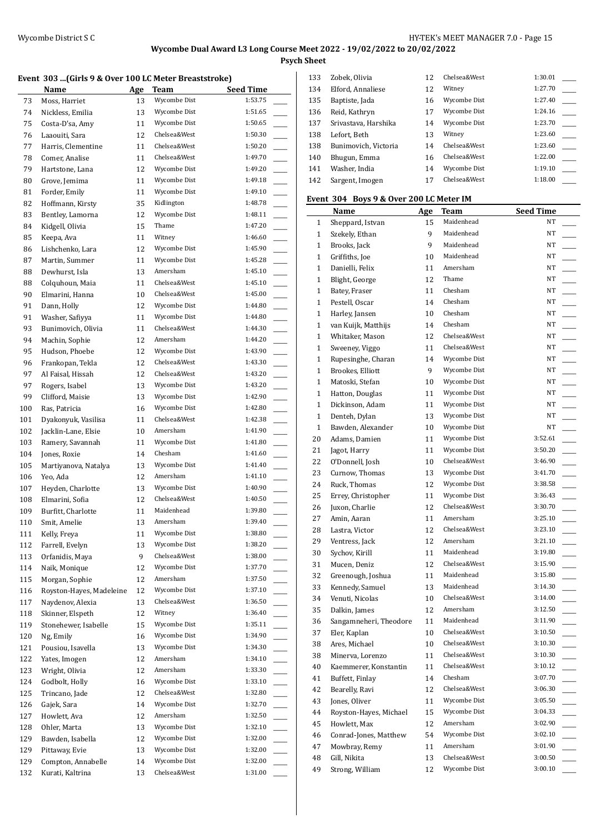**Psych Sheet**

## **Event 303 ...(Girls 9 & Over 100 LC Meter Breaststroke)**

|     | LVCIIt 909 [ullis 7 & OVCL 100 LC MCRI DI Caststi OKC]<br>Name |    | Age Team     | <b>Seed Time</b> |
|-----|----------------------------------------------------------------|----|--------------|------------------|
| 73  | Moss, Harriet                                                  | 13 | Wycombe Dist | 1:53.75          |
| 74  | Nickless, Emilia                                               | 13 | Wycombe Dist | 1:51.65          |
| 75  | Costa-D'sa, Amy                                                | 11 | Wycombe Dist | 1:50.65          |
| 76  | Laaouiti, Sara                                                 | 12 | Chelsea&West | 1:50.30          |
| 77  | Harris, Clementine                                             | 11 | Chelsea&West | 1:50.20          |
| 78  | Comer, Analise                                                 | 11 | Chelsea&West | 1:49.70          |
| 79  | Hartstone, Lana                                                | 12 | Wycombe Dist | 1:49.20          |
| 80  | Grove, Jemima                                                  | 11 | Wycombe Dist | 1:49.18          |
| 81  | Forder, Emily                                                  | 11 | Wycombe Dist | 1:49.10          |
| 82  | Hoffmann, Kirsty                                               | 35 | Kidlington   | 1:48.78          |
| 83  | Bentley, Lamorna                                               | 12 | Wycombe Dist | 1:48.11          |
| 84  | Kidgell, Olivia                                                | 15 | Thame        | 1:47.20          |
| 85  | Keepa, Ava                                                     | 11 | Witney       | 1:46.60          |
| 86  | Lishchenko, Lara                                               | 12 | Wycombe Dist | 1:45.90          |
| 87  | Martin, Summer                                                 | 11 | Wycombe Dist | 1:45.28          |
| 88  | Dewhurst, Isla                                                 | 13 | Amersham     | 1:45.10          |
| 88  | Colquhoun, Maia                                                | 11 | Chelsea&West | 1:45.10          |
| 90  | Elmarini, Hanna                                                | 10 | Chelsea&West | 1:45.00          |
| 91  | Dann, Holly                                                    | 12 | Wycombe Dist | 1:44.80          |
| 91  | Washer, Safiyya                                                | 11 | Wycombe Dist | 1:44.80          |
| 93  | Bunimovich, Olivia                                             | 11 | Chelsea&West | 1:44.30          |
| 94  | Machin, Sophie                                                 | 12 | Amersham     | 1:44.20          |
| 95  | Hudson, Phoebe                                                 | 12 | Wycombe Dist | 1:43.90          |
| 96  | Frankopan, Tekla                                               | 12 | Chelsea&West | 1:43.30          |
| 97  | Al Faisal, Hissah                                              | 12 | Chelsea&West | 1:43.20          |
| 97  | Rogers, Isabel                                                 | 13 | Wycombe Dist | 1:43.20          |
| 99  | Clifford, Maisie                                               | 13 | Wycombe Dist | 1:42.90          |
| 100 | Ras, Patricia                                                  | 16 | Wycombe Dist | 1:42.80          |
| 101 | Dyakonyuk, Vasilisa                                            | 11 | Chelsea&West | 1:42.38          |
| 102 | Jacklin-Lane, Elsie                                            | 10 | Amersham     | 1:41.90          |
| 103 | Ramery, Savannah                                               | 11 | Wycombe Dist | 1:41.80          |
| 104 | Jones, Roxie                                                   | 14 | Chesham      | 1:41.60          |
| 105 | Martiyanova, Natalya                                           | 13 | Wycombe Dist | 1:41.40          |
| 106 | Yeo, Ada                                                       | 12 | Amersham     | 1:41.10          |
| 107 | Heyden, Charlotte                                              | 13 | Wycombe Dist | 1:40.90          |
| 108 | Elmarini, Sofia                                                | 12 | Chelsea&West | 1:40.50          |
| 109 | Burfitt, Charlotte                                             | 11 | Maidenhead   | 1:39.80          |
| 110 | Smit, Amelie                                                   | 13 | Amersham     | 1:39.40          |
| 111 | Kelly, Freya                                                   | 11 | Wycombe Dist | 1:38.80          |
| 112 | Farrell, Evelyn                                                | 13 | Wycombe Dist | 1:38.20          |
| 113 | Orfanidis, Maya                                                | 9  | Chelsea&West | 1:38.00          |
| 114 | Naik, Monique                                                  | 12 | Wycombe Dist | 1:37.70          |
| 115 | Morgan, Sophie                                                 | 12 | Amersham     | 1:37.50          |
| 116 | Royston-Hayes, Madeleine                                       | 12 | Wycombe Dist | 1:37.10          |
| 117 | Naydenov, Alexia                                               | 13 | Chelsea&West | 1:36.50          |
| 118 | Skinner, Elspeth                                               | 12 | Witney       | 1:36.40          |
| 119 | Stonehewer, Isabelle                                           | 15 | Wycombe Dist | 1:35.11          |
| 120 | Ng, Emily                                                      | 16 | Wycombe Dist | 1:34.90          |
| 121 | Pousiou, Isavella                                              | 13 | Wycombe Dist | 1:34.30          |
| 122 | Yates, Imogen                                                  | 12 | Amersham     | 1:34.10          |
| 123 | Wright, Olivia                                                 | 12 | Amersham     | 1:33.30          |
| 124 | Godbolt, Holly                                                 | 16 | Wycombe Dist | 1:33.10          |
| 125 | Trincano, Jade                                                 | 12 | Chelsea&West | 1:32.80          |
| 126 | Gajek, Sara                                                    | 14 | Wycombe Dist | 1:32.70          |
| 127 | Howlett, Ava                                                   | 12 | Amersham     | 1:32.50          |
| 128 | Ohler, Marta                                                   | 13 | Wycombe Dist | 1:32.10          |
| 129 | Bawden, Isabella                                               | 12 | Wycombe Dist | 1:32.00          |
| 129 | Pittaway, Evie                                                 | 13 | Wycombe Dist | 1:32.00          |
| 129 | Compton, Annabelle                                             | 14 | Wycombe Dist | 1:32.00          |
| 132 | Kurati, Kaltrina                                               | 13 | Chelsea&West | 1:31.00          |

| 133 | Zobek, Olivia        | 12 | Chelsea&West | 1:30.01 |  |
|-----|----------------------|----|--------------|---------|--|
| 134 | Elford, Annaliese    | 12 | Witney       | 1:27.70 |  |
| 135 | Baptiste, Jada       | 16 | Wycombe Dist | 1:27.40 |  |
| 136 | Reid, Kathryn        | 17 | Wycombe Dist | 1:24.16 |  |
| 137 | Srivastava, Harshika | 14 | Wycombe Dist | 1:23.70 |  |
| 138 | Lefort, Beth         | 13 | Witney       | 1:23.60 |  |
| 138 | Bunimovich, Victoria | 14 | Chelsea&West | 1:23.60 |  |
| 140 | Bhugun, Emma         | 16 | Chelsea&West | 1:22.00 |  |
| 141 | Washer, India        | 14 | Wycombe Dist | 1:19.10 |  |
| 142 | Sargent, Imogen      | 17 | Chelsea&West | 1:18.00 |  |
|     |                      |    |              |         |  |

### **Event 304 Boys 9 & Over 200 LC Meter IM**

|              | Name                                     | <u>Age</u> | Team         | <b>Seed Time</b> |
|--------------|------------------------------------------|------------|--------------|------------------|
| 1            | Sheppard, Istvan                         | 15         | Maidenhead   | NT               |
| $\mathbf{1}$ | Szekely, Ethan                           | 9          | Maidenhead   | NT               |
| $\mathbf{1}$ | Brooks, Jack                             | 9          | Maidenhead   | NT               |
| $\mathbf{1}$ | Griffiths, Joe                           | 10         | Maidenhead   | NT               |
| $\mathbf{1}$ | Danielli, Felix                          | 11         | Amersham     | NT               |
| $\mathbf{1}$ | Blight, George                           | 12         | Thame        | NT               |
| 1            | Batey, Fraser                            | 11         | Chesham      | NT               |
| 1            | Pestell, Oscar                           | 14         | Chesham      | NT               |
| $\mathbf{1}$ | Harley, Jansen                           | 10         | Chesham      | NT               |
| 1            | van Kuijk, Matthijs                      | 14         | Chesham      | NT               |
| $\mathbf{1}$ | Whitaker, Mason                          | 12         | Chelsea&West | NT               |
| $\mathbf{1}$ | Sweeney, Viggo                           | 11         | Chelsea&West | NT               |
| 1            | Rupesinghe, Charan                       | 14         | Wycombe Dist | NT               |
| 1            | Brookes, Elliott                         | 9          | Wycombe Dist | NT               |
| $\mathbf{1}$ | Matoski, Stefan                          | 10         | Wycombe Dist | NT               |
| 1            | Hatton, Douglas                          | 11         | Wycombe Dist | NT               |
| $\mathbf{1}$ | Dickinson, Adam                          | 11         | Wycombe Dist | NT               |
| $\mathbf{1}$ | Denteh, Dylan                            | 13         | Wycombe Dist | NT               |
| $\mathbf{1}$ | Bawden, Alexander                        | 10         | Wycombe Dist | NT               |
| 20           | Adams, Damien                            | 11         | Wycombe Dist | 3:52.61          |
| 21           | Jagot, Harry                             | 11         | Wycombe Dist | 3:50.20          |
| 22           | O'Donnell, Josh                          | 10         | Chelsea&West | 3:46.90          |
| 23           | Curnow, Thomas                           | 13         | Wycombe Dist | 3:41.70          |
| 24           | Ruck, Thomas                             | 12         | Wycombe Dist | 3:38.58          |
| 25           | Errey, Christopher                       | 11         | Wycombe Dist | 3:36.43          |
| 26           | Juxon, Charlie                           | 12         | Chelsea&West | 3:30.70          |
| 27           | Amin, Aaran                              | 11         | Amersham     | 3:25.10          |
| 28           | Lastra, Victor                           | 12         | Chelsea&West | 3:23.10          |
| 29           | Ventress, Jack                           | 12         | Amersham     | 3:21.10          |
| 30           | Sychov, Kirill                           | 11         | Maidenhead   | 3:19.80          |
| 31           | Mucen, Deniz                             | 12         | Chelsea&West | 3:15.90          |
| 32           | Greenough, Joshua                        | 11         | Maidenhead   | 3:15.80          |
| 33           | Kennedy, Samuel                          | 13         | Maidenhead   | 3:14.30          |
| 34           | Venuti, Nicolas                          | 10         | Chelsea&West | 3:14.00          |
| 35           | Dalkin, James                            | 12         | Amersham     | 3:12.50          |
| 36           | Sangamneheri, Theodore                   | 11         | Maidenhead   | 3:11.90          |
| 37           | Eler, Kaplan                             | 10         | Chelsea&West | 3:10.50          |
| 38           | Ares, Michael                            | 10         | Chelsea&West | 3:10.30          |
| 38           | Minerva, Lorenzo                         | 11         | Chelsea&West | 3:10.30          |
|              |                                          | 11         | Chelsea&West | 3:10.12          |
| 40<br>41     | Kaemmerer, Konstantin<br>Buffett, Finlay | 14         | Chesham      | 3:07.70          |
|              | Bearelly, Ravi                           |            | Chelsea&West | 3:06.30          |
| 42           |                                          | 12         | Wycombe Dist |                  |
| 43           | Jones, Oliver                            | 11         |              | 3:05.50          |
| 44           | Royston-Hayes, Michael                   | 15         | Wycombe Dist | 3:04.33          |
| 45           | Howlett, Max                             | 12         | Amersham     | 3:02.90          |
| 46           | Conrad-Jones, Matthew                    | 54         | Wycombe Dist | 3:02.10          |
| 47           | Mowbray, Remy                            | 11         | Amersham     | 3:01.90          |
| 48           | Gill, Nikita                             | 13         | Chelsea&West | 3:00.50          |
| 49           | Strong, William                          | 12         | Wycombe Dist | 3:00.10          |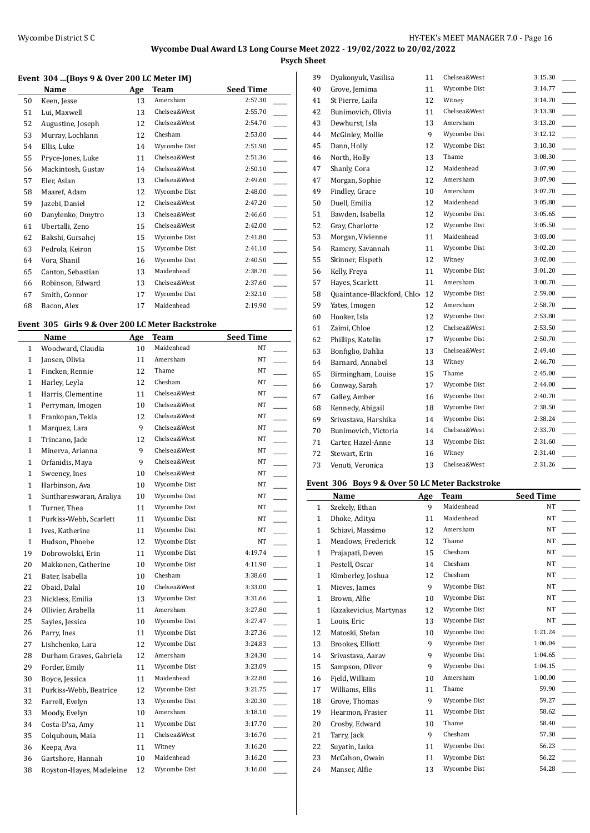**Psych Sheet**

### **Event 304 ...(Boys 9 & Over 200 LC Meter IM)**

|    | Name               | Age | Team         | Seed Time |
|----|--------------------|-----|--------------|-----------|
| 50 | Keen, Jesse        | 13  | Amersham     | 2:57.30   |
| 51 | Lui, Maxwell       | 13  | Chelsea&West | 2:55.70   |
| 52 | Augustine, Joseph  | 12  | Chelsea&West | 2:54.70   |
| 53 | Murray, Lochlann   | 12  | Chesham      | 2:53.00   |
| 54 | Ellis, Luke        | 14  | Wycombe Dist | 2:51.90   |
| 55 | Pryce-Jones, Luke  | 11  | Chelsea&West | 2:51.36   |
| 56 | Mackintosh, Gustav | 14  | Chelsea&West | 2:50.10   |
| 57 | Eler, Aslan        | 13  | Chelsea&West | 2:49.60   |
| 58 | Maaref, Adam       | 12  | Wycombe Dist | 2:48.00   |
| 59 | Jazebi, Daniel     | 12  | Chelsea&West | 2:47.20   |
| 60 | Danylenko, Dmytro  | 13  | Chelsea&West | 2:46.60   |
| 61 | Ubertalli, Zeno    | 15  | Chelsea&West | 2:42.00   |
| 62 | Bakshi, Gursahej   | 15  | Wycombe Dist | 2:41.80   |
| 63 | Pedrola, Keiron    | 15  | Wycombe Dist | 2:41.10   |
| 64 | Vora, Shanil       | 16  | Wycombe Dist | 2:40.50   |
| 65 | Canton, Sebastian  | 13  | Maidenhead   | 2:38.70   |
| 66 | Robinson, Edward   | 13  | Chelsea&West | 2:37.60   |
| 67 | Smith, Connor      | 17  | Wycombe Dist | 2:32.10   |
| 68 | Bacon, Alex        | 17  | Maidenhead   | 2:19.90   |

#### **Event 305 Girls 9 & Over 200 LC Meter Backstroke**

|              | <b>Name</b>              | Age | <b>Team</b>  | <b>Seed Time</b> |  |
|--------------|--------------------------|-----|--------------|------------------|--|
| $\mathbf{1}$ | Woodward, Claudia        | 10  | Maidenhead   | NT               |  |
| $\mathbf{1}$ | Jansen, Olivia           | 11  | Amersham     | NT               |  |
| $\mathbf{1}$ | Fincken, Rennie          | 12  | Thame        | NT               |  |
| $\mathbf{1}$ | Harley, Leyla            | 12  | Chesham      | NT               |  |
| 1            | Harris, Clementine       | 11  | Chelsea&West | NT               |  |
| $\mathbf{1}$ | Perryman, Imogen         | 10  | Chelsea&West | NT               |  |
| $\mathbf{1}$ | Frankopan, Tekla         | 12  | Chelsea&West | NT               |  |
| $\mathbf{1}$ | Marquez, Lara            | 9   | Chelsea&West | NT               |  |
| $\mathbf{1}$ | Trincano, Jade           | 12  | Chelsea&West | NT               |  |
| $\mathbf{1}$ | Minerva, Arianna         | 9   | Chelsea&West | NT               |  |
| $\mathbf{1}$ | Orfanidis, Maya          | 9   | Chelsea&West | NT               |  |
| $\mathbf{1}$ | Sweeney, Ines            | 10  | Chelsea&West | NT               |  |
| $\mathbf{1}$ | Harbinson, Ava           | 10  | Wycombe Dist | NT               |  |
| $\mathbf{1}$ | Sunthareswaran, Araliya  | 10  | Wycombe Dist | NT               |  |
| $\mathbf{1}$ | Turner, Thea             | 11  | Wycombe Dist | NT               |  |
| $\mathbf{1}$ | Purkiss-Webb, Scarlett   | 11  | Wycombe Dist | NT               |  |
| $\mathbf{1}$ | Ives, Katherine          | 11  | Wycombe Dist | NT               |  |
| $\mathbf{1}$ | Hudson, Phoebe           | 12  | Wycombe Dist | NT               |  |
| 19           | Dobrowolski, Erin        | 11  | Wycombe Dist | 4:19.74          |  |
| 20           | Makkonen, Catherine      | 10  | Wycombe Dist | 4:11.90          |  |
| 21           | Bater, Isabella          | 10  | Chesham      | 3:38.60          |  |
| 22           | Obaid, Dalal             | 10  | Chelsea&West | 3:33.00          |  |
| 23           | Nickless, Emilia         | 13  | Wycombe Dist | 3:31.66          |  |
| 24           | Ollivier, Arabella       | 11  | Amersham     | 3:27.80          |  |
| 25           | Sayles, Jessica          | 10  | Wycombe Dist | 3:27.47          |  |
| 26           | Parry, Ines              | 11  | Wycombe Dist | 3:27.36          |  |
| 27           | Lishchenko, Lara         | 12  | Wycombe Dist | 3:24.83          |  |
| 28           | Durham Graves, Gabriela  | 12  | Amersham     | 3:24.30          |  |
| 29           | Forder, Emily            | 11  | Wycombe Dist | 3:23.09          |  |
| 30           | Boyce, Jessica           | 11  | Maidenhead   | 3:22.80          |  |
| 31           | Purkiss-Webb, Beatrice   | 12  | Wycombe Dist | 3:21.75          |  |
| 32           | Farrell, Evelyn          | 13  | Wycombe Dist | 3:20.30          |  |
| 33           | Moody, Evelyn            | 10  | Amersham     | 3:18.10          |  |
| 34           | Costa-D'sa, Amy          | 11  | Wycombe Dist | 3:17.70          |  |
| 35           | Colquhoun, Maia          | 11  | Chelsea&West | 3:16.70<br>a.    |  |
| 36           | Keepa, Ava               | 11  | Witney       | 3:16.20          |  |
| 36           | Gartshore, Hannah        | 10  | Maidenhead   | 3:16.20          |  |
| 38           | Royston-Hayes, Madeleine | 12  | Wycombe Dist | 3:16.00          |  |

| 39 | Dyakonyuk, Vasilisa         | 11 | Chelsea&West | 3:15.30 |
|----|-----------------------------|----|--------------|---------|
| 40 | Grove, Jemima               | 11 | Wycombe Dist | 3:14.77 |
| 41 | St Pierre, Laila            | 12 | Witney       | 3:14.70 |
| 42 | Bunimovich, Olivia          | 11 | Chelsea&West | 3:13.30 |
| 43 | Dewhurst, Isla              | 13 | Amersham     | 3:13.20 |
| 44 | McGinley, Mollie            | 9  | Wycombe Dist | 3:12.12 |
| 45 | Dann, Holly                 | 12 | Wycombe Dist | 3:10.30 |
| 46 | North, Holly                | 13 | Thame        | 3:08.30 |
| 47 | Shanly, Cora                | 12 | Maidenhead   | 3:07.90 |
| 47 | Morgan, Sophie              | 12 | Amersham     | 3:07.90 |
| 49 | Findley, Grace              | 10 | Amersham     | 3:07.70 |
| 50 | Duell, Emilia               | 12 | Maidenhead   | 3:05.80 |
| 51 | Bawden, Isabella            | 12 | Wycombe Dist | 3:05.65 |
| 52 | Gray, Charlotte             | 12 | Wycombe Dist | 3:05.50 |
| 53 | Morgan, Vivienne            | 11 | Maidenhead   | 3:03.00 |
| 54 | Ramery, Savannah            | 11 | Wycombe Dist | 3:02.20 |
| 55 | Skinner, Elspeth            | 12 | Witney       | 3:02.00 |
| 56 | Kelly, Freya                | 11 | Wycombe Dist | 3:01.20 |
| 57 | Hayes, Scarlett             | 11 | Amersham     | 3:00.70 |
| 58 | Quaintance-Blackford, Chlo- | 12 | Wycombe Dist | 2:59.00 |
| 59 | Yates, Imogen               | 12 | Amersham     | 2:58.70 |
| 60 | Hooker, Isla                | 12 | Wycombe Dist | 2:53.80 |
| 61 | Zaimi, Chloe                | 12 | Chelsea&West | 2:53.50 |
| 62 | Phillips, Katelin           | 17 | Wycombe Dist | 2:50.70 |
| 63 | Bonfiglio, Dahlia           | 13 | Chelsea&West | 2:49.40 |
| 64 | Barnard, Annabel            | 13 | Witney       | 2:46.70 |
| 65 | Birmingham, Louise          | 15 | Thame        | 2:45.00 |
| 66 | Conway, Sarah               | 17 | Wycombe Dist | 2:44.00 |
| 67 | Galley, Amber               | 16 | Wycombe Dist | 2:40.70 |
| 68 | Kennedy, Abigail            | 18 | Wycombe Dist | 2:38.50 |
| 69 | Srivastava, Harshika        | 14 | Wycombe Dist | 2:38.24 |
| 70 | Bunimovich, Victoria        | 14 | Chelsea&West | 2:33.70 |
| 71 | Carter, Hazel-Anne          | 13 | Wycombe Dist | 2:31.60 |
| 72 | Stewart, Erin               | 16 | Witney       | 2:31.40 |
| 73 | Venuti, Veronica            | 13 | Chelsea&West | 2:31.26 |
|    |                             |    |              |         |

### **Event 306 Boys 9 & Over 50 LC Meter Backstroke**

|              | EVEIL 500 BOYS 9 & OVER 50 LC MELER BACKSLIOKE<br>Name | Age | Team         | <b>Seed Time</b> |
|--------------|--------------------------------------------------------|-----|--------------|------------------|
| 1            | Szekely, Ethan                                         | 9   | Maidenhead   | NT               |
| 1            | Dhoke, Aditya                                          | 11  | Maidenhead   | NT               |
| 1            | Schiavi, Massimo                                       | 12  | Amersham     | NT               |
| 1            | Meadows, Frederick                                     | 12  | Thame        | NT               |
| 1            | Prajapati, Deven                                       | 15  | Chesham      | NT               |
| $\mathbf{1}$ | Pestell, Oscar                                         | 14  | Chesham      | NT               |
| $\mathbf{1}$ | Kimberley, Joshua                                      | 12  | Chesham      | NT               |
| 1            | Mieves, James                                          | 9   | Wycombe Dist | NT               |
| 1            | Brown, Alfie                                           | 10  | Wycombe Dist | NT               |
| 1            | Kazakevicius, Martynas                                 | 12  | Wycombe Dist | NT               |
| 1            | Louis, Eric                                            | 13  | Wycombe Dist | NT               |
| 12           | Matoski, Stefan                                        | 10  | Wycombe Dist | 1:21.24          |
| 13           | Brookes, Elliott                                       | 9   | Wycombe Dist | 1:06.04          |
| 14           | Srivastava, Aarav                                      | 9   | Wycombe Dist | 1:04.65          |
| 15           | Sampson, Oliver                                        | 9   | Wycombe Dist | 1:04.15          |
| 16           | Fjeld, William                                         | 10  | Amersham     | 1:00.00          |
| 17           | Williams, Ellis                                        | 11  | Thame        | 59.90            |
| 18           | Grove, Thomas                                          | 9   | Wycombe Dist | 59.27            |
| 19           | Hearmon, Frasier                                       | 11  | Wycombe Dist | 58.62            |
| 20           | Crosby, Edward                                         | 10  | Thame        | 58.40            |
| 21           | Tarry, Jack                                            | 9   | Chesham      | 57.30            |
| 22           | Suyatin, Luka                                          | 11  | Wycombe Dist | 56.23            |
| 23           | McCahon, Owain                                         | 11  | Wycombe Dist | 56.22            |
| 24           | Manser, Alfie                                          | 13  | Wycombe Dist | 54.28            |
|              |                                                        |     |              |                  |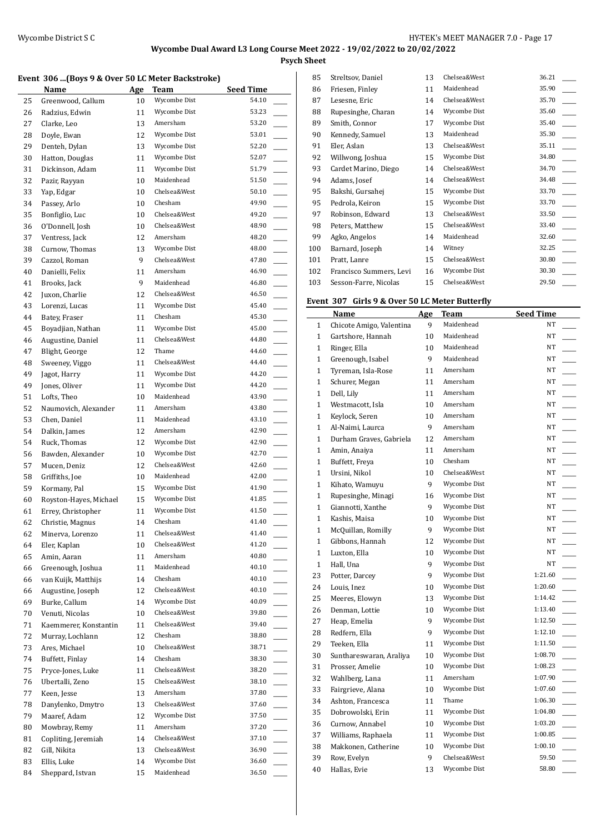**Psych Sheet**

#### **Event 306 ...(Boys 9 & Over 50 LC Meter Backstroke)**

|    | Name                   | Age | Team         | <b>Seed Time</b> |
|----|------------------------|-----|--------------|------------------|
| 25 | Greenwood, Callum      | 10  | Wycombe Dist | 54.10            |
| 26 | Radzius, Edwin         | 11  | Wycombe Dist | 53.23            |
| 27 | Clarke, Leo            | 13  | Amersham     | 53.20            |
| 28 | Doyle, Ewan            | 12  | Wycombe Dist | 53.01            |
| 29 | Denteh, Dylan          | 13  | Wycombe Dist | 52.20            |
| 30 | Hatton, Douglas        | 11  | Wycombe Dist | 52.07            |
| 31 | Dickinson, Adam        | 11  | Wycombe Dist | 51.79            |
| 32 | Pazir, Rayyan          | 10  | Maidenhead   | 51.50            |
| 33 | Yap, Edgar             | 10  | Chelsea&West | 50.10            |
| 34 | Passey, Arlo           | 10  | Chesham      | 49.90            |
| 35 | Bonfiglio, Luc         | 10  | Chelsea&West | 49.20            |
| 36 | O'Donnell, Josh        | 10  | Chelsea&West | 48.90            |
| 37 | Ventress, Jack         | 12  | Amersham     | 48.20            |
| 38 | Curnow, Thomas         | 13  | Wycombe Dist | 48.00            |
| 39 | Cazzol, Roman          | 9   | Chelsea&West | 47.80            |
| 40 | Danielli, Felix        | 11  | Amersham     | 46.90            |
| 41 | Brooks, Jack           | 9   | Maidenhead   | 46.80            |
| 42 | Juxon, Charlie         | 12  | Chelsea&West | 46.50            |
| 43 | Lorenzi, Lucas         | 11  | Wycombe Dist | 45.40            |
| 44 | Batey, Fraser          | 11  | Chesham      | 45.30            |
| 45 | Boyadjian, Nathan      | 11  | Wycombe Dist | 45.00            |
| 46 | Augustine, Daniel      | 11  | Chelsea&West | 44.80            |
| 47 | Blight, George         | 12  | Thame        | 44.60            |
| 48 | Sweeney, Viggo         | 11  | Chelsea&West | 44.40            |
| 49 | Jagot, Harry           | 11  | Wycombe Dist | 44.20            |
| 49 | Jones, Oliver          | 11  | Wycombe Dist | 44.20            |
| 51 | Lofts, Theo            | 10  | Maidenhead   | 43.90            |
| 52 | Naumovich, Alexander   | 11  | Amersham     | 43.80            |
| 53 | Chen, Daniel           | 11  | Maidenhead   | 43.10            |
| 54 | Dalkin, James          | 12  | Amersham     | 42.90            |
| 54 | Ruck, Thomas           | 12  | Wycombe Dist | 42.90            |
| 56 | Bawden, Alexander      | 10  | Wycombe Dist | 42.70            |
| 57 | Mucen, Deniz           | 12  | Chelsea&West | 42.60            |
| 58 | Griffiths, Joe         | 10  | Maidenhead   | 42.00            |
| 59 | Kormany, Pal           | 15  | Wycombe Dist | 41.90            |
| 60 | Royston-Hayes, Michael | 15  | Wycombe Dist | 41.85            |
| 61 | Errey, Christopher     | 11  | Wycombe Dist | 41.50            |
| 62 | Christie, Magnus       | 14  | Chesham      | 41.40            |
| 62 | Minerva, Lorenzo       | 11  | Chelsea&West | 41.40            |
| 64 | Eler, Kaplan           | 10  | Chelsea&West | 41.20            |
| 65 | Amin, Aaran            | 11  | Amersham     | 40.80            |
| 66 | Greenough, Joshua      | 11  | Maidenhead   | 40.10            |
| 66 | van Kuijk, Matthijs    | 14  | Chesham      | 40.10            |
| 66 | Augustine, Joseph      | 12  | Chelsea&West | 40.10            |
| 69 | Burke, Callum          | 14  | Wycombe Dist | 40.09            |
| 70 | Venuti, Nicolas        | 10  | Chelsea&West | 39.80            |
| 71 | Kaemmerer, Konstantin  | 11  | Chelsea&West | 39.40            |
| 72 | Murray, Lochlann       | 12  | Chesham      | 38.80            |
| 73 | Ares, Michael          | 10  | Chelsea&West | 38.71            |
| 74 | Buffett, Finlay        | 14  | Chesham      | 38.30            |
| 75 | Pryce-Jones, Luke      | 11  | Chelsea&West | 38.20            |
| 76 | Ubertalli, Zeno        | 15  | Chelsea&West | 38.10            |
| 77 | Keen, Jesse            | 13  | Amersham     | 37.80            |
| 78 | Danylenko, Dmytro      |     | Chelsea&West | 37.60            |
| 79 |                        | 13  | Wycombe Dist | 37.50            |
|    | Maaref, Adam           | 12  | Amersham     | 37.20            |
| 80 | Mowbray, Remy          | 11  | Chelsea&West | 37.10            |
| 81 | Copliting, Jeremiah    | 14  | Chelsea&West |                  |
| 82 | Gill, Nikita           | 13  |              | 36.90            |
| 83 | Ellis, Luke            | 14  | Wycombe Dist | 36.60            |
| 84 | Sheppard, Istvan       | 15  | Maidenhead   | 36.50            |

| 85  | Streltsov, Daniel       | 13 | Chelsea&West | 36.21 |  |
|-----|-------------------------|----|--------------|-------|--|
| 86  | Friesen, Finley         | 11 | Maidenhead   | 35.90 |  |
| 87  | Lesesne, Eric           | 14 | Chelsea&West | 35.70 |  |
| 88  | Rupesinghe, Charan      | 14 | Wycombe Dist | 35.60 |  |
| 89  | Smith, Connor           | 17 | Wycombe Dist | 35.40 |  |
| 90  | Kennedy, Samuel         | 13 | Maidenhead   | 35.30 |  |
| 91  | Eler, Aslan             | 13 | Chelsea&West | 35.11 |  |
| 92  | Willwong, Joshua        | 15 | Wycombe Dist | 34.80 |  |
| 93  | Cardet Marino, Diego    | 14 | Chelsea&West | 34.70 |  |
| 94  | Adams, Josef            | 14 | Chelsea&West | 34.48 |  |
| 95  | Bakshi, Gursahej        | 15 | Wycombe Dist | 33.70 |  |
| 95  | Pedrola, Keiron         | 15 | Wycombe Dist | 33.70 |  |
| 97  | Robinson, Edward        | 13 | Chelsea&West | 33.50 |  |
| 98  | Peters, Matthew         | 15 | Chelsea&West | 33.40 |  |
| 99  | Agko, Angelos           | 14 | Maidenhead   | 32.60 |  |
| 100 | Barnard, Joseph         | 14 | Witney       | 32.25 |  |
| 101 | Pratt, Lanre            | 15 | Chelsea&West | 30.80 |  |
| 102 | Francisco Summers, Levi | 16 | Wycombe Dist | 30.30 |  |
| 103 | Sesson-Farre, Nicolas   | 15 | Chelsea&West | 29.50 |  |

# **Event 307 Girls 9 & Over 50 LC Meter Butterfly**

|              | and 7 & Over 50 LC meter butterily<br>Name | Age             | <b>Team</b>  | Seed Time                           |
|--------------|--------------------------------------------|-----------------|--------------|-------------------------------------|
| $\mathbf{1}$ | Chicote Amigo, Valentina                   | 9               | Maidenhead   | NT                                  |
| $\mathbf{1}$ | Gartshore, Hannah                          | 10              | Maidenhead   | NT                                  |
| $\mathbf{1}$ | Ringer, Ella                               | 10 <sup>1</sup> | Maidenhead   | NT                                  |
| $\mathbf{1}$ | Greenough, Isabel                          | 9               | Maidenhead   | <b>NT</b>                           |
| $\mathbf{1}$ | Tyreman, Isla-Rose                         | 11              | Amersham     | NT                                  |
| $\mathbf{1}$ | Schurer, Megan                             | 11              | Amersham     | NT                                  |
| $\mathbf{1}$ | Dell, Lily                                 | 11              | Amersham     | NT                                  |
| $\mathbf{1}$ | Westmacott, Isla                           | 10              | Amersham     | NT                                  |
| $\mathbf{1}$ | Keylock, Seren                             | 10              | Amersham     | NT                                  |
| $\mathbf{1}$ | Al-Naimi, Laurca                           | 9               | Amersham     | NT                                  |
| $\mathbf{1}$ | Durham Graves, Gabriela                    | 12              | Amersham     | NT                                  |
| $\mathbf{1}$ | Amin, Anaiya                               | 11              | Amersham     | NT                                  |
| $\mathbf{1}$ | Buffett, Freya                             | 10              | Chesham      | NT                                  |
| $\mathbf{1}$ | Ursini, Nikol                              | 10              | Chelsea&West | NT                                  |
| $\mathbf{1}$ | Kihato, Wamuyu                             | 9               | Wycombe Dist | NT                                  |
| $\mathbf{1}$ | Rupesinghe, Minagi                         | 16              | Wycombe Dist | NT                                  |
| $\mathbf{1}$ | Giannotti, Xanthe                          | 9               | Wycombe Dist | NT                                  |
| $\mathbf{1}$ | Kashis, Maisa                              | 10              | Wycombe Dist | NT                                  |
| $\mathbf{1}$ | McQuillan, Romilly                         | 9               | Wycombe Dist | NT                                  |
| $\mathbf{1}$ | Gibbons, Hannah                            | 12              | Wycombe Dist | NT                                  |
| $\mathbf{1}$ | Luxton, Ella                               | 10              | Wycombe Dist | NT<br>$\mathbb{R}^n$                |
| $\mathbf{1}$ | Hall, Una                                  | 9               | Wycombe Dist | NT<br>$\overline{\phantom{a}}$      |
| 23           | Potter, Darcey                             | 9               | Wycombe Dist | 1:21.60                             |
| 24           | Louis, Inez                                | 10              | Wycombe Dist | 1:20.60                             |
| 25           | Meeres, Elowyn                             | 13              | Wycombe Dist | 1:14.42                             |
| 26           | Denman, Lottie                             | 10              | Wycombe Dist | 1:13.40<br>$\overline{\phantom{a}}$ |
| 27           | Heap, Emelia                               | 9               | Wycombe Dist | 1:12.50                             |
| 28           | Redfern, Ella                              | 9               | Wycombe Dist | 1:12.10                             |
| 29           | Teeken, Ella                               | 11              | Wycombe Dist | 1:11.50                             |
| 30           | Sunthareswaran, Araliya                    | 10              | Wycombe Dist | 1:08.70                             |
| 31           | Prosser, Amelie                            | 10              | Wycombe Dist | 1:08.23                             |
| 32           | Wahlberg, Lana                             | 11              | Amersham     | 1:07.90                             |
| 33           | Fairgrieve, Alana                          | 10              | Wycombe Dist | 1:07.60                             |
| 34           | Ashton, Francesca                          | 11              | Thame        | 1:06.30                             |
| 35           | Dobrowolski, Erin                          | 11              | Wycombe Dist | 1:04.80<br>$\overline{\phantom{a}}$ |
| 36           | Curnow, Annabel                            | 10              | Wycombe Dist | 1:03.20<br>$\overline{\phantom{a}}$ |
| 37           | Williams, Raphaela                         | 11              | Wycombe Dist | 1:00.85                             |
| 38           | Makkonen, Catherine                        | 10              | Wycombe Dist | 1:00.10                             |
| 39           | Row, Evelyn                                | 9               | Chelsea&West | 59.50                               |
| 40           | Hallas, Evie                               | 13              | Wycombe Dist | 58.80                               |
|              |                                            |                 |              |                                     |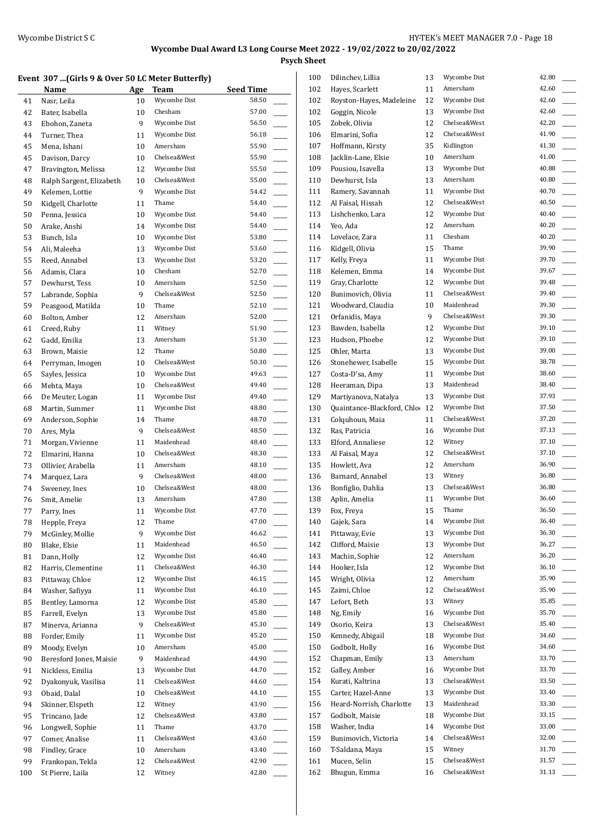**Psych Sheet**

#### **Event 307 ...(Girls 9 & Over 50 LC Meter Butterfly)**

|     | <b>Name</b>              | Age | <u>Team</u>           | <b>Seed Time</b> |
|-----|--------------------------|-----|-----------------------|------------------|
| 41  | Nasr, Leila              | 10  | Wycombe Dist          | 58.50            |
| 42  | Bater, Isabella          | 10  | Chesham               | 57.00            |
| 43  | Ebohon, Zaneta           | 9   | Wycombe Dist          | 56.50            |
| 44  | Turner, Thea             | 11  | Wycombe Dist          | 56.18            |
| 45  | Mena, Ishani             | 10  | Amersham              | 55.90            |
| 45  | Davison, Darcy           | 10  | Chelsea&West          | 55.90            |
| 47  | Bravington, Melissa      | 12  | Wycombe Dist          | 55.50            |
| 48  | Ralph Sargent, Elizabeth | 10  | Chelsea&West          | 55.00            |
| 49  | Kelemen, Lottie          | 9   | Wycombe Dist          | 54.42            |
| 50  | Kidgell, Charlotte       | 11  | Thame                 | 54.40            |
| 50  | Penna, Jessica           | 10  | Wycombe Dist          | 54.40            |
| 50  | Arake, Anshi             | 14  | Wycombe Dist          | 54.40            |
| 53  | Bunch, Isla              | 10  | Wycombe Dist          | 53.80            |
| 54  | Ali, Maleeha             | 13  | Wycombe Dist          | 53.60            |
| 55  | Reed, Annabel            | 13  | Wycombe Dist          | 53.20            |
| 56  | Adamis, Clara            | 10  | Chesham               | 52.70            |
| 57  | Dewhurst, Tess           | 10  | Amersham              | 52.50            |
| 57  | Labrande, Sophia         | 9   | Chelsea&West          | 52.50            |
| 59  | Peasgood, Matilda        | 10  | Thame                 | 52.10            |
| 60  | Bolton, Amber            | 12  | Amersham              | 52.00            |
| 61  | Creed, Ruby              | 11  | Witney                | 51.90            |
| 62  | Gadd, Emilia             | 13  | Amersham              | 51.30            |
| 63  | Brown, Maisie            | 12  | Thame                 | 50.80            |
| 64  | Perryman, Imogen         | 10  | Chelsea&West          | 50.30            |
| 65  | Sayles, Jessica          | 10  | Wycombe Dist          | 49.63            |
| 66  | Mehta, Maya              | 10  | Chelsea&West          | 49.40            |
| 66  | De Meuter, Logan         | 11  | Wycombe Dist          | 49.40            |
| 68  | Martin, Summer           | 11  | Wycombe Dist          | 48.80            |
| 69  | Anderson, Sophie         | 14  | Thame                 | 48.70            |
| 70  | Ares, Myla               | 9   | Chelsea&West          | 48.50            |
| 71  | Morgan, Vivienne         | 11  | Maidenhead            | 48.40            |
| 72  | Elmarini, Hanna          | 10  | Chelsea&West          | 48.30            |
| 73  | Ollivier, Arabella       | 11  | Amersham              | 48.10            |
| 74  | Marquez, Lara            | 9   | Chelsea&West          | 48.00            |
| 74  | Sweeney, Ines            | 10  | Chelsea&West          | 48.00            |
| 76  | Smit, Amelie             | 13  | Amersham              | 47.80            |
| 77  | Parry, Ines              | 11  | Wycombe Dist          | 47.70            |
| 78  | Hepple, Freya            | 12  | Thame                 | 47.00            |
| 79  | McGinley, Mollie         | 9   | Wycombe Dist          | 46.62            |
| 80  | Blake, Elsie             | 11  | Maidenhead            | 46.50            |
| 81  | Dann, Holly              | 12  | Wycombe Dist          | 46.40            |
| 82  | Harris, Clementine       | 11  | Chelsea&West          | 46.30            |
| 83  | Pittaway, Chloe          | 12  | Wycombe Dist          | 46.15            |
| 84  | Washer, Safiyya          | 11  | Wycombe Dist          | 46.10            |
| 85  | Bentley, Lamorna         | 12  | Wycombe Dist          | 45.80            |
| 85  | Farrell, Evelyn          | 13  | Wycombe Dist          | 45.80            |
| 87  | Minerva, Arianna         | 9   | Chelsea&West          | 45.30            |
| 88  | Forder, Emily            | 11  | Wycombe Dist          | 45.20            |
| 89  | Moody, Evelyn            | 10  | Amersham              | 45.00            |
| 90  | Beresford Jones, Maisie  | 9   | Maidenhead            | 44.90            |
| 91  | Nickless, Emilia         | 13  | Wycombe Dist          | 44.70            |
| 92  | Dyakonyuk, Vasilisa      | 11  | Chelsea&West          | 44.60            |
| 93  | Obaid, Dalal             | 10  | Chelsea&West          | 44.10            |
| 94  | Skinner, Elspeth         | 12  | Witney                | 43.90            |
| 95  | Trincano, Jade           | 12  | Chelsea&West          | 43.80            |
| 96  | Longwell, Sophie         | 11  | Thame<br>Chelsea&West | 43.70            |
| 97  | Comer, Analise           | 11  | Amersham              | 43.60            |
| 98  | Findley, Grace           | 10  | Chelsea&West          | 43.40<br>42.90   |
| 99  | Frankopan, Tekla         | 12  | Witney                | 42.80            |
| 100 | St Pierre, Laila         | 12  |                       |                  |

| 100 | Dilinchev, Lillia              | 13 | Wycombe Dist | 42.80 |
|-----|--------------------------------|----|--------------|-------|
| 102 | Hayes, Scarlett                | 11 | Amersham     | 42.60 |
| 102 | Royston-Hayes, Madeleine       | 12 | Wycombe Dist | 42.60 |
| 102 | Goggin, Nicole                 | 13 | Wycombe Dist | 42.60 |
| 105 | Zobek, Olivia                  | 12 | Chelsea&West | 42.20 |
| 106 | Elmarini, Sofia                | 12 | Chelsea&West | 41.90 |
| 107 | Hoffmann, Kirsty               | 35 | Kidlington   | 41.30 |
| 108 | Jacklin-Lane, Elsie            | 10 | Amersham     | 41.00 |
| 109 | Pousiou, Isavella              | 13 | Wycombe Dist | 40.88 |
| 110 | Dewhurst, Isla                 | 13 | Amersham     | 40.80 |
| 111 | Ramery, Savannah               | 11 | Wycombe Dist | 40.70 |
| 112 | Al Faisal, Hissah              | 12 | Chelsea&West | 40.50 |
| 113 | Lishchenko, Lara               | 12 | Wycombe Dist | 40.40 |
| 114 | Yeo, Ada                       | 12 | Amersham     | 40.20 |
| 114 | Lovelace, Zara                 | 11 | Chesham      | 40.20 |
| 116 | Kidgell, Olivia                | 15 | Thame        | 39.90 |
| 117 | Kelly, Freya                   | 11 | Wycombe Dist | 39.70 |
| 118 | Kelemen, Emma                  | 14 | Wycombe Dist | 39.67 |
| 119 | Gray, Charlotte                | 12 | Wycombe Dist | 39.48 |
| 120 | Bunimovich, Olivia             | 11 | Chelsea&West | 39.40 |
| 121 | Woodward, Claudia              | 10 | Maidenhead   | 39.30 |
| 121 | Orfanidis, Maya                | 9  | Chelsea&West | 39.30 |
| 123 | Bawden, Isabella               | 12 | Wycombe Dist | 39.10 |
|     |                                |    | Wycombe Dist | 39.10 |
| 123 | Hudson, Phoebe<br>Ohler, Marta | 12 | Wycombe Dist | 39.00 |
| 125 |                                | 13 | Wycombe Dist | 38.78 |
| 126 | Stonehewer, Isabelle           | 15 | Wycombe Dist | 38.60 |
| 127 | Costa-D'sa, Amy                | 11 |              |       |
| 128 | Heeraman, Dipa                 | 13 | Maidenhead   | 38.40 |
| 129 | Martiyanova, Natalya           | 13 | Wycombe Dist | 37.93 |
| 130 | Quaintance-Blackford, Chlo     | 12 | Wycombe Dist | 37.50 |
| 131 | Colquhoun, Maia                | 11 | Chelsea&West | 37.20 |
| 132 | Ras, Patricia                  | 16 | Wycombe Dist | 37.13 |
| 133 | Elford, Annaliese              | 12 | Witney       | 37.10 |
| 133 | Al Faisal, Maya                | 12 | Chelsea&West | 37.10 |
| 135 | Howlett, Ava                   | 12 | Amersham     | 36.90 |
| 136 | Barnard, Annabel               | 13 | Witney       | 36.80 |
| 136 | Bonfiglio, Dahlia              | 13 | Chelsea&West | 36.80 |
| 138 | Aplin, Amelia                  | 11 | Wycombe Dist | 36.60 |
| 139 | Fox, Freya                     | 15 | Thame        | 36.50 |
| 140 | Gajek, Sara                    | 14 | Wycombe Dist | 36.40 |
| 141 | Pittaway, Evie                 | 13 | Wycombe Dist | 36.30 |
| 142 | Clifford, Maisie               | 13 | Wycombe Dist | 36.27 |
| 143 | Machin, Sophie                 | 12 | Amersham     | 36.20 |
| 144 | Hooker, Isla                   | 12 | Wycombe Dist | 36.10 |
| 145 | Wright, Olivia                 | 12 | Amersham     | 35.90 |
| 145 | Zaimi, Chloe                   | 12 | Chelsea&West | 35.90 |
| 147 | Lefort, Beth                   | 13 | Witney       | 35.85 |
| 148 | Ng, Emily                      | 16 | Wycombe Dist | 35.70 |
| 149 | Osorio, Keira                  | 13 | Chelsea&West | 35.40 |
| 150 | Kennedy, Abigail               | 18 | Wycombe Dist | 34.60 |
| 150 | Godbolt, Holly                 | 16 | Wycombe Dist | 34.60 |
| 152 | Chapman, Emily                 | 13 | Amersham     | 33.70 |
| 152 | Galley, Amber                  | 16 | Wycombe Dist | 33.70 |
| 154 | Kurati, Kaltrina               | 13 | Chelsea&West | 33.50 |
| 155 | Carter, Hazel-Anne             | 13 | Wycombe Dist | 33.40 |
| 156 | Heard-Norrish, Charlotte       | 13 | Maidenhead   | 33.30 |
| 157 | Godbolt, Maisie                | 18 | Wycombe Dist | 33.15 |
| 158 | Washer, India                  | 14 | Wycombe Dist | 33.00 |
| 159 | Bunimovich, Victoria           | 14 | Chelsea&West | 32.00 |
| 160 | T-Saldana, Maya                | 15 | Witney       | 31.70 |
| 161 | Mucen, Selin                   | 15 | Chelsea&West | 31.57 |
| 162 | Bhugun, Emma                   | 16 | Chelsea&West | 31.13 |
|     |                                |    |              |       |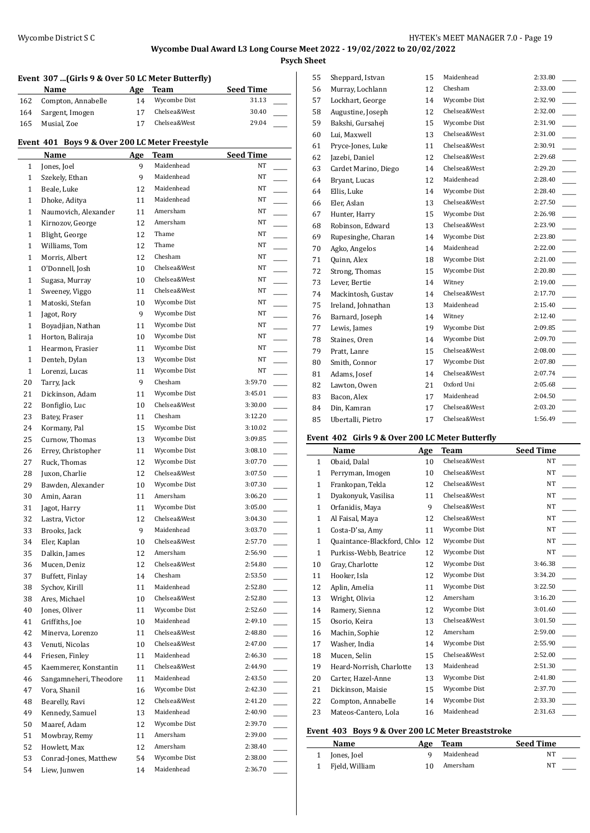**Psych Sheet**

#### **Event 307 ...(Girls 9 & Over 50 LC Meter Butterfly)**

|     | Name               | Age | Team         | <b>Seed Time</b> |
|-----|--------------------|-----|--------------|------------------|
| 162 | Compton, Annabelle | 14  | Wycombe Dist | 31.13            |
| 164 | Sargent, Imogen    |     | Chelsea&West | 30.40            |
| 165 | Musial, Zoe        | 17  | Chelsea&West | 29.04            |
|     |                    |     |              |                  |

### **Event 401 Boys 9 & Over 200 LC Meter Freestyle**

|              | Name                                 | Age | Team                       | <b>Seed Time</b>                      |
|--------------|--------------------------------------|-----|----------------------------|---------------------------------------|
| 1            | Jones, Joel                          | 9   | Maidenhead                 | NT                                    |
| $\mathbf{1}$ | Szekely, Ethan                       | 9   | Maidenhead                 | NT                                    |
| $\mathbf{1}$ | Beale, Luke                          | 12  | Maidenhead                 | NT                                    |
| $\mathbf{1}$ | Dhoke, Aditya                        | 11  | Maidenhead                 | NT                                    |
| $\mathbf{1}$ | Naumovich, Alexander                 | 11  | Amersham                   | NT                                    |
| $\mathbf{1}$ | Kirnozov, George                     | 12  | Amersham                   | NT                                    |
| $\mathbf{1}$ | Blight, George                       | 12  | Thame                      | NT                                    |
| $\mathbf{1}$ | Williams, Tom                        | 12  | Thame                      | NT                                    |
| $\mathbf{1}$ | Morris, Albert                       | 12  | Chesham                    | NT                                    |
| $\mathbf{1}$ | O'Donnell, Josh                      | 10  | Chelsea&West               | NT                                    |
| $\mathbf{1}$ | Sugasa, Murray                       | 10  | Chelsea&West               | NT                                    |
| $\mathbf{1}$ | Sweeney, Viggo                       | 11  | Chelsea&West               | NT                                    |
| $\mathbf{1}$ | Matoski, Stefan                      | 10  | Wycombe Dist               | NT                                    |
| $\mathbf{1}$ | Jagot, Rory                          | 9   | Wycombe Dist               | NT                                    |
| $\mathbf{1}$ | Boyadjian, Nathan                    | 11  | Wycombe Dist               | NT                                    |
| $\mathbf{1}$ | Horton, Baliraja                     | 10  | Wycombe Dist               | NT                                    |
| $\mathbf{1}$ | Hearmon, Frasier                     | 11  | Wycombe Dist               | NT                                    |
| $\mathbf{1}$ | Denteh, Dylan                        | 13  | Wycombe Dist               | NT                                    |
| $\mathbf{1}$ | Lorenzi, Lucas                       | 11  | Wycombe Dist               | NT                                    |
| 20           | Tarry, Jack                          | 9   | Chesham                    | 3:59.70                               |
| 21           | Dickinson, Adam                      | 11  | Wycombe Dist               | 3:45.01                               |
| 22           | Bonfiglio, Luc                       | 10  | Chelsea&West               | 3:30.00                               |
| 23           | Batey, Fraser                        | 11  | Chesham                    | 3:12.20                               |
| 24           | Kormany, Pal                         | 15  | Wycombe Dist               | $\overline{\phantom{a}}$<br>3:10.02   |
| 25           |                                      | 13  | Wycombe Dist               | L.<br>3:09.85                         |
| 26           | Curnow, Thomas<br>Errey, Christopher | 11  | Wycombe Dist               | 3:08.10                               |
| 27           |                                      | 12  | Wycombe Dist               | L.<br>3:07.70                         |
|              | Ruck, Thomas<br>Juxon, Charlie       | 12  | Chelsea&West               | 3:07.50                               |
| 28<br>29     | Bawden, Alexander                    | 10  | Wycombe Dist               | 3:07.30                               |
|              |                                      |     | Amersham                   | 3:06.20                               |
| 30           | Amin, Aaran                          | 11  | Wycombe Dist               | $\mathcal{L}^{\text{max}}$<br>3:05.00 |
| 31           | Jagot, Harry                         | 11  | Chelsea&West               |                                       |
| 32           | Lastra, Victor                       | 12  |                            | 3:04.30<br>$\overline{\phantom{a}}$   |
| 33           | Brooks, Jack                         | 9   | Maidenhead<br>Chelsea&West | 3:03.70<br>$\overline{\phantom{a}}$   |
| 34           | Eler, Kaplan                         | 10  | Amersham                   | 2:57.70<br>2:56.90                    |
| 35           | Dalkin, James                        | 12  |                            |                                       |
| 36           | Mucen, Deniz                         | 12  | Chelsea&West               | 2:54.80                               |
| 37           | Buffett, Finlay                      | 14  | Chesham                    | 2:53.50                               |
| 38           | Sychov, Kirill                       | 11  | Maidenhead                 | 2:52.80                               |
| 38           | Ares, Michael                        | 10  | Chelsea&West               | 2:52.80                               |
| 40           | Jones, Oliver                        | 11  | Wycombe Dist               | 2:52.60                               |
| 41           | Griffiths, Joe                       | 10  | Maidenhead                 | 2:49.10                               |
| 42           | Minerva, Lorenzo                     | 11  | Chelsea&West               | 2:48.80                               |
| 43           | Venuti, Nicolas                      | 10  | Chelsea&West               | 2:47.00                               |
| 44           | Friesen, Finley                      | 11  | Maidenhead                 | 2:46.30<br>$\overline{\phantom{a}}$   |
| 45           | Kaemmerer, Konstantin                | 11  | Chelsea&West               | 2:44.90<br>$\overline{\phantom{a}}$   |
| 46           | Sangamneheri, Theodore               | 11  | Maidenhead                 | 2:43.50<br>$\overline{\phantom{a}}$   |
| 47           | Vora, Shanil                         | 16  | Wycombe Dist               | 2:42.30                               |
| 48           | Bearelly, Ravi                       | 12  | Chelsea&West               | 2:41.20<br>$\overline{\phantom{a}}$   |
| 49           | Kennedy, Samuel                      | 13  | Maidenhead                 | 2:40.90                               |
| 50           | Maaref, Adam                         | 12  | Wycombe Dist               | 2:39.70                               |
| 51           | Mowbray, Remy                        | 11  | Amersham                   | 2:39.00                               |
| 52           | Howlett, Max                         | 12  | Amersham                   | 2:38.40                               |
| 53           | Conrad-Jones, Matthew                | 54  | Wycombe Dist               | 2:38.00                               |
| 54           | Liew, Junwen                         | 14  | Maidenhead                 | 2:36.70                               |

| 55 | Sheppard, Istvan     | 15 | Maidenhead   | 2:33.80 |
|----|----------------------|----|--------------|---------|
| 56 | Murray, Lochlann     | 12 | Chesham      | 2:33.00 |
| 57 | Lockhart, George     | 14 | Wycombe Dist | 2:32.90 |
| 58 | Augustine, Joseph    | 12 | Chelsea&West | 2:32.00 |
| 59 | Bakshi, Gursahej     | 15 | Wycombe Dist | 2:31.90 |
| 60 | Lui, Maxwell         | 13 | Chelsea&West | 2:31.00 |
| 61 | Pryce-Jones, Luke    | 11 | Chelsea&West | 2:30.91 |
| 62 | Jazebi, Daniel       | 12 | Chelsea&West | 2:29.68 |
| 63 | Cardet Marino, Diego | 14 | Chelsea&West | 2:29.20 |
| 64 | Bryant, Lucas        | 12 | Maidenhead   | 2:28.40 |
| 64 | Ellis, Luke          | 14 | Wycombe Dist | 2:28.40 |
| 66 | Eler, Aslan          | 13 | Chelsea&West | 2:27.50 |
| 67 | Hunter, Harry        | 15 | Wycombe Dist | 2:26.98 |
| 68 | Robinson, Edward     | 13 | Chelsea&West | 2:23.90 |
| 69 | Rupesinghe, Charan   | 14 | Wycombe Dist | 2:23.80 |
| 70 | Agko, Angelos        | 14 | Maidenhead   | 2:22.00 |
| 71 | Quinn, Alex          | 18 | Wycombe Dist | 2:21.00 |
| 72 | Strong, Thomas       | 15 | Wycombe Dist | 2:20.80 |
| 73 | Lever, Bertie        | 14 | Witney       | 2:19.00 |
| 74 | Mackintosh, Gustav   | 14 | Chelsea&West | 2:17.70 |
| 75 | Ireland, Johnathan   | 13 | Maidenhead   | 2:15.40 |
| 76 | Barnard, Joseph      | 14 | Witney       | 2:12.40 |
| 77 | Lewis, James         | 19 | Wycombe Dist | 2:09.85 |
| 78 | Staines, Oren        | 14 | Wycombe Dist | 2:09.70 |
| 79 | Pratt, Lanre         | 15 | Chelsea&West | 2:08.00 |
| 80 | Smith, Connor        | 17 | Wycombe Dist | 2:07.80 |
| 81 | Adams, Josef         | 14 | Chelsea&West | 2:07.74 |
| 82 | Lawton, Owen         | 21 | Oxford Uni   | 2:05.68 |
| 83 | Bacon, Alex          | 17 | Maidenhead   | 2:04.50 |
| 84 | Din, Kamran          | 17 | Chelsea&West | 2:03.20 |
| 85 | Ubertalli, Pietro    | 17 | Chelsea&West | 1:56.49 |
|    |                      |    |              |         |

#### **Event 402 Girls 9 & Over 200 LC Meter Butterfly**

|              | Name                       | Age | <b>Team</b>  | <b>Seed Time</b> |
|--------------|----------------------------|-----|--------------|------------------|
| $\mathbf{1}$ | Obaid, Dalal               | 10  | Chelsea&West | <b>NT</b>        |
| $\mathbf{1}$ | Perryman, Imogen           | 10  | Chelsea&West | NT               |
| $\mathbf{1}$ | Frankopan, Tekla           | 12  | Chelsea&West | <b>NT</b>        |
| $\mathbf{1}$ | Dyakonyuk, Vasilisa        | 11  | Chelsea&West | <b>NT</b>        |
| $\mathbf{1}$ | Orfanidis, Maya            | 9   | Chelsea&West | NT               |
| 1            | Al Faisal, Maya            | 12  | Chelsea&West | NT               |
| $\mathbf{1}$ | Costa-D'sa, Amy            | 11  | Wycombe Dist | NT               |
| $\mathbf{1}$ | Quaintance-Blackford, Chlo | 12  | Wycombe Dist | <b>NT</b>        |
| $\mathbf{1}$ | Purkiss-Webb, Beatrice     | 12  | Wycombe Dist | <b>NT</b>        |
| 10           | Gray, Charlotte            | 12  | Wycombe Dist | 3:46.38          |
| 11           | Hooker, Isla               | 12  | Wycombe Dist | 3:34.20          |
| 12           | Aplin, Amelia              | 11  | Wycombe Dist | 3:22.50          |
| 13           | Wright, Olivia             | 12  | Amersham     | 3:16.20          |
| 14           | Ramery, Sienna             | 12  | Wycombe Dist | 3:01.60          |
| 15           | Osorio, Keira              | 13  | Chelsea&West | 3:01.50          |
| 16           | Machin, Sophie             | 12  | Amersham     | 2:59.00          |
| 17           | Washer, India              | 14  | Wycombe Dist | 2:55.90          |
| 18           | Mucen, Selin               | 15  | Chelsea&West | 2:52.00          |
| 19           | Heard-Norrish, Charlotte   | 13  | Maidenhead   | 2:51.30          |
| 20           | Carter, Hazel-Anne         | 13  | Wycombe Dist | 2:41.80          |
| 21           | Dickinson, Maisie          | 15  | Wycombe Dist | 2:37.70          |
| 22           | Compton, Annabelle         | 14  | Wycombe Dist | 2:33.30          |
| 23           | Mateos-Cantero, Lola       | 16  | Maidenhead   | 2:31.63          |

#### **Event 403 Boys 9 & Over 200 LC Meter Breaststroke**

| <b>Name</b>      | Age Team   | <b>Seed Time</b> |  |
|------------------|------------|------------------|--|
| 1 Jones, Joel    | Maidenhead | NT               |  |
| 1 Fjeld, William | Amersham   | NT               |  |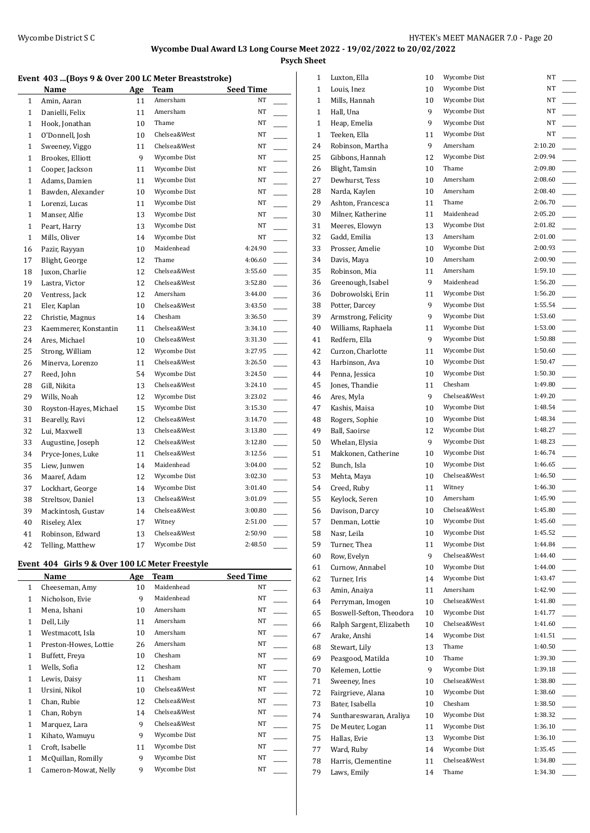**Psych Sheet**

#### **Event 403 ...(Boys 9 & Over 200 LC Meter Breaststroke)**

|              | Name                   | Age | Team         | <b>Seed Time</b>                    |
|--------------|------------------------|-----|--------------|-------------------------------------|
| 1            | Amin, Aaran            | 11  | Amersham     | NT                                  |
| $\mathbf{1}$ | Danielli, Felix        | 11  | Amersham     | NT                                  |
| $\mathbf{1}$ | Hook, Jonathan         | 10  | Thame        | NT                                  |
| $\mathbf{1}$ | O'Donnell, Josh        | 10  | Chelsea&West | NT                                  |
| $\mathbf{1}$ | Sweeney, Viggo         | 11  | Chelsea&West | NT                                  |
| $\mathbf{1}$ | Brookes, Elliott       | 9   | Wycombe Dist | NT                                  |
| $\mathbf{1}$ | Cooper, Jackson        | 11  | Wycombe Dist | NT                                  |
| $\mathbf{1}$ | Adams, Damien          | 11  | Wycombe Dist | NT                                  |
| $\mathbf{1}$ | Bawden, Alexander      | 10  | Wycombe Dist | NT                                  |
| $\mathbf{1}$ | Lorenzi, Lucas         | 11  | Wycombe Dist | NT                                  |
| $\mathbf{1}$ | Manser, Alfie          | 13  | Wycombe Dist | NT                                  |
| $\mathbf{1}$ | Peart, Harry           | 13  | Wycombe Dist | NT                                  |
| $\mathbf{1}$ | Mills, Oliver          | 14  | Wycombe Dist | NT                                  |
| 16           | Pazir, Rayyan          | 10  | Maidenhead   | 4:24.90                             |
| 17           | Blight, George         | 12  | Thame        | 4:06.60                             |
| 18           | Juxon, Charlie         | 12  | Chelsea&West | 3:55.60<br>$\overline{\phantom{a}}$ |
| 19           | Lastra, Victor         | 12  | Chelsea&West | 3:52.80<br>$\overline{\phantom{a}}$ |
| 20           | Ventress, Jack         | 12  | Amersham     | 3:44.00                             |
| 21           | Eler, Kaplan           | 10  | Chelsea&West | 3:43.50                             |
| 22           | Christie, Magnus       | 14  | Chesham      | 3:36.50                             |
| 23           | Kaemmerer, Konstantin  | 11  | Chelsea&West | 3:34.10<br>$\mathbb{R}$             |
| 24           | Ares, Michael          | 10  | Chelsea&West | 3:31.30<br>$\overline{\phantom{a}}$ |
| 25           | Strong, William        | 12  | Wycombe Dist | 3:27.95                             |
| 26           | Minerva, Lorenzo       | 11  | Chelsea&West | 3:26.50                             |
| 27           | Reed, John             | 54  | Wycombe Dist | 3:24.50                             |
| 28           | Gill, Nikita           | 13  | Chelsea&West | 3:24.10                             |
| 29           | Wills, Noah            | 12  | Wycombe Dist | 3:23.02<br>$\overline{\phantom{a}}$ |
| 30           | Royston-Hayes, Michael | 15  | Wycombe Dist | 3:15.30<br>$\overline{\phantom{a}}$ |
| 31           | Bearelly, Ravi         | 12  | Chelsea&West | 3:14.70                             |
| 32           | Lui, Maxwell           | 13  | Chelsea&West | 3:13.80                             |
| 33           | Augustine, Joseph      | 12  | Chelsea&West | 3:12.80                             |
| 34           | Pryce-Jones, Luke      | 11  | Chelsea&West | 3:12.56                             |
| 35           | Liew, Junwen           | 14  | Maidenhead   | 3:04.00<br>$\overline{\phantom{a}}$ |
| 36           | Maaref, Adam           | 12  | Wycombe Dist | 3:02.30<br>$\overline{\phantom{a}}$ |
| 37           | Lockhart, George       | 14  | Wycombe Dist | 3:01.40                             |
| 38           | Streltsov, Daniel      | 13  | Chelsea&West | 3:01.09                             |
| 39           | Mackintosh, Gustav     | 14  | Chelsea&West | 3:00.80                             |
| 40           | Riseley, Alex          | 17  | Witney       | 2:51.00                             |
| 41           | Robinson, Edward       | 13  | Chelsea&West | 2:50.90                             |
| 42           | Telling, Matthew       | 17  | Wycombe Dist | 2:48.50                             |

### **Event 404 Girls 9 & Over 100 LC Meter Freestyle**

|              | Name                  | Age | Team         | <b>Seed Time</b> |
|--------------|-----------------------|-----|--------------|------------------|
| $\mathbf{1}$ | Cheeseman, Amy        | 10  | Maidenhead   | NT               |
| 1            | Nicholson, Evie       | 9   | Maidenhead   | NT               |
| 1            | Mena, Ishani          | 10  | Amersham     | NT               |
| 1            | Dell, Lily            | 11  | Amersham     | <b>NT</b>        |
| 1            | Westmacott, Isla      | 10  | Amersham     | <b>NT</b>        |
| 1            | Preston-Howes, Lottie | 26  | Amersham     | NT               |
| 1            | Buffett, Freya        | 10  | Chesham      | NT               |
| 1            | Wells, Sofia          | 12  | Chesham      | NT               |
| 1            | Lewis, Daisy          | 11  | Chesham      | <b>NT</b>        |
| 1            | Ursini, Nikol         | 10  | Chelsea&West | NT               |
| 1            | Chan, Rubie           | 12  | Chelsea&West | <b>NT</b>        |
| 1            | Chan, Robyn           | 14  | Chelsea&West | NT               |
| 1            | Marquez, Lara         | 9   | Chelsea&West | <b>NT</b>        |
| 1            | Kihato, Wamuyu        | 9   | Wycombe Dist | NT               |
| 1            | Croft, Isabelle       | 11  | Wycombe Dist | NT               |
| 1            | McQuillan, Romilly    | 9   | Wycombe Dist | NT               |
| 1            | Cameron-Mowat, Nelly  | 9   | Wycombe Dist | <b>NT</b>        |

| 1            | Luxton, Ella                     | 10 | Wycombe Dist                 | NΤ      |  |
|--------------|----------------------------------|----|------------------------------|---------|--|
| 1            | Louis, Inez                      | 10 | Wycombe Dist                 | NT      |  |
| 1            | Mills, Hannah                    | 10 | Wycombe Dist                 | NT      |  |
| 1            | Hall, Una                        | 9  | Wycombe Dist                 | NT      |  |
| $\mathbf{1}$ | Heap, Emelia                     | 9  | Wycombe Dist                 | NT      |  |
| $\mathbf{1}$ | Teeken, Ella                     | 11 | Wycombe Dist                 | NT      |  |
| 24           | Robinson, Martha                 | 9  | Amersham                     | 2:10.20 |  |
| 25           | Gibbons, Hannah                  | 12 | Wycombe Dist                 | 2:09.94 |  |
|              |                                  | 10 | Thame                        | 2:09.80 |  |
| 26           | Blight, Tamsin<br>Dewhurst, Tess |    | Amersham                     | 2:08.60 |  |
| 27           |                                  | 10 |                              | 2:08.40 |  |
| 28           | Narda, Kaylen                    | 10 | Amersham                     |         |  |
| 29           | Ashton, Francesca                | 11 | Thame                        | 2:06.70 |  |
| 30           | Milner, Katherine                | 11 | Maidenhead                   | 2:05.20 |  |
| 31           | Meeres, Elowyn                   | 13 | Wycombe Dist                 | 2:01.82 |  |
| 32           | Gadd, Emilia                     | 13 | Amersham                     | 2:01.00 |  |
| 33           | Prosser, Amelie                  | 10 | Wycombe Dist                 | 2:00.93 |  |
| 34           | Davis, Maya                      | 10 | Amersham                     | 2:00.90 |  |
| 35           | Robinson, Mia                    | 11 | Amersham                     | 1:59.10 |  |
| 36           | Greenough, Isabel                | 9  | Maidenhead                   | 1:56.20 |  |
| 36           | Dobrowolski, Erin                | 11 | Wycombe Dist                 | 1:56.20 |  |
| 38           | Potter, Darcey                   | 9  | Wycombe Dist                 | 1:55.54 |  |
| 39           | Armstrong, Felicity              | 9  | Wycombe Dist                 | 1:53.60 |  |
| 40           | Williams, Raphaela               | 11 | Wycombe Dist                 | 1:53.00 |  |
| 41           | Redfern, Ella                    | 9  | Wycombe Dist                 | 1:50.88 |  |
| 42           | Curzon, Charlotte                | 11 | Wycombe Dist                 | 1:50.60 |  |
| 43           | Harbinson, Ava                   | 10 | Wycombe Dist                 | 1:50.47 |  |
| 44           | Penna, Jessica                   | 10 | Wycombe Dist                 | 1:50.30 |  |
| 45           | Jones, Thandie                   | 11 | Chesham                      | 1:49.80 |  |
| 46           | Ares, Myla                       | 9  | Chelsea&West                 | 1:49.20 |  |
| 47           | Kashis, Maisa                    | 10 | Wycombe Dist                 | 1:48.54 |  |
| 48           | Rogers, Sophie                   | 10 | Wycombe Dist                 | 1:48.34 |  |
| 49           | Ball, Saoirse                    | 12 | Wycombe Dist                 | 1:48.27 |  |
|              |                                  | 9  | Wycombe Dist                 | 1:48.23 |  |
| 50           | Whelan, Elysia                   |    |                              | 1:46.74 |  |
| 51           | Makkonen, Catherine              | 10 | Wycombe Dist                 |         |  |
| 52           | Bunch, Isla                      | 10 | Wycombe Dist<br>Chelsea&West | 1:46.65 |  |
| 53           | Mehta, Maya                      | 10 |                              | 1:46.50 |  |
| 54           | Creed, Ruby                      | 11 | Witney                       | 1:46.30 |  |
| 55           | Keylock, Seren                   | 10 | Amersham                     | 1:45.90 |  |
| 56           | Davison, Darcy                   | 10 | Chelsea&West                 | 1:45.80 |  |
| 57           | Denman, Lottie                   | 10 | Wycombe Dist                 | 1:45.60 |  |
| 58           | Nasr, Leila                      | 10 | Wycombe Dist                 | 1:45.52 |  |
| 59           | Turner, Thea                     | 11 | Wycombe Dist                 | 1:44.84 |  |
| 60           | Row, Evelyn                      | 9  | Chelsea&West                 | 1:44.40 |  |
| 61           | Curnow, Annabel                  | 10 | Wycombe Dist                 | 1:44.00 |  |
| 62           | Turner, Iris                     | 14 | Wycombe Dist                 | 1:43.47 |  |
| 63           | Amin, Anaiya                     | 11 | Amersham                     | 1:42.90 |  |
| 64           | Perryman, Imogen                 | 10 | Chelsea&West                 | 1:41.80 |  |
| 65           | Boswell-Sefton, Theodora         | 10 | Wycombe Dist                 | 1:41.77 |  |
| 66           | Ralph Sargent, Elizabeth         | 10 | Chelsea&West                 | 1:41.60 |  |
| 67           | Arake, Anshi                     | 14 | Wycombe Dist                 | 1:41.51 |  |
| 68           | Stewart, Lily                    | 13 | Thame                        | 1:40.50 |  |
| 69           | Peasgood, Matilda                | 10 | Thame                        | 1:39.30 |  |
| 70           | Kelemen, Lottie                  | 9  | Wycombe Dist                 | 1:39.18 |  |
| 71           | Sweeney, Ines                    | 10 | Chelsea&West                 | 1:38.80 |  |
| 72           | Fairgrieve, Alana                | 10 | Wycombe Dist                 | 1:38.60 |  |
| 73           | Bater, Isabella                  | 10 | Chesham                      | 1:38.50 |  |
| 74           | Sunthareswaran, Araliya          | 10 | Wycombe Dist                 | 1:38.32 |  |
| 75           | De Meuter, Logan                 | 11 | Wycombe Dist                 | 1:36.10 |  |
| 75           | Hallas, Evie                     | 13 | Wycombe Dist                 | 1:36.10 |  |
| 77           | Ward, Ruby                       | 14 | Wycombe Dist                 | 1:35.45 |  |
| 78           | Harris, Clementine               | 11 | Chelsea&West                 | 1:34.80 |  |
| 79           | Laws, Emily                      | 14 | Thame                        | 1:34.30 |  |
|              |                                  |    |                              |         |  |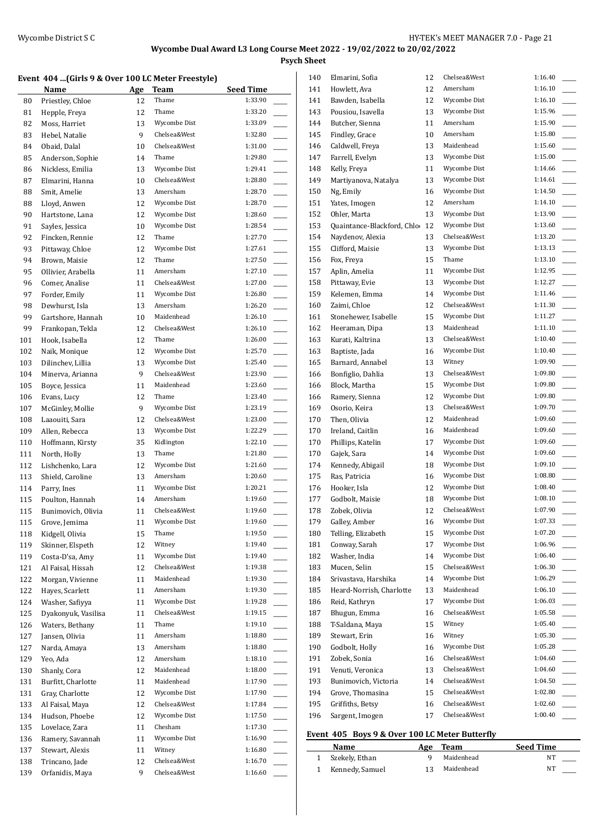**Psych Sheet**

#### **Event 404 ...(Girls 9 & Over 100 LC Meter Freestyle)**

|            | Name                                | Age      | Team                  | <b>Seed Time</b>   |                          |
|------------|-------------------------------------|----------|-----------------------|--------------------|--------------------------|
| 80         | Priestley, Chloe                    | 12       | Thame                 | 1:33.90            |                          |
| 81         | Hepple, Freya                       | 12       | Thame                 | 1:33.20            |                          |
| 82         | Moss, Harriet                       | 13       | Wycombe Dist          | 1:33.09            |                          |
| 83         | Hebel, Natalie                      | 9        | Chelsea&West          | 1:32.80            |                          |
| 84         | Obaid, Dalal                        | 10       | Chelsea&West          | 1:31.00            |                          |
| 85         | Anderson, Sophie                    | 14       | Thame                 | 1:29.80            |                          |
| 86         | Nickless, Emilia                    | 13       | Wycombe Dist          | 1:29.41            |                          |
| 87         | Elmarini, Hanna                     | 10       | Chelsea&West          | 1:28.80            |                          |
| 88         | Smit, Amelie                        | 13       | Amersham              | 1:28.70            |                          |
| 88         | Lloyd, Anwen                        | 12       | Wycombe Dist          | 1:28.70            | $\overline{\phantom{a}}$ |
| 90         | Hartstone, Lana                     | 12       | Wycombe Dist          | 1:28.60            |                          |
| 91<br>92   | Sayles, Jessica<br>Fincken, Rennie  | 10<br>12 | Wycombe Dist<br>Thame | 1:28.54<br>1:27.70 | $\overline{\phantom{a}}$ |
| 93         | Pittaway, Chloe                     | 12       | Wycombe Dist          | 1:27.61            | $\frac{1}{1}$            |
| 94         | Brown, Maisie                       | 12       | Thame                 | 1:27.50            |                          |
| 95         | Ollivier, Arabella                  | 11       | Amersham              | 1:27.10            |                          |
| 96         | Comer, Analise                      | 11       | Chelsea&West          | 1:27.00            | $\overline{\phantom{a}}$ |
| 97         | Forder, Emily                       | 11       | Wycombe Dist          | 1:26.80            |                          |
| 98         | Dewhurst, Isla                      | 13       | Amersham              | 1:26.20            |                          |
| 99         | Gartshore, Hannah                   | 10       | Maidenhead            | 1:26.10            |                          |
| 99         | Frankopan, Tekla                    | 12       | Chelsea&West          | 1:26.10            |                          |
| 101        | Hook, Isabella                      | 12       | Thame                 | 1:26.00            | $\overline{\phantom{a}}$ |
| 102        | Naik, Monique                       | 12       | Wycombe Dist          | 1:25.70            |                          |
| 103        | Dilinchev, Lillia                   | 13       | Wycombe Dist          | 1:25.40            | $\overline{\phantom{a}}$ |
| 104        | Minerva, Arianna                    | 9        | Chelsea&West          | 1:23.90            | $\overline{\phantom{a}}$ |
| 105        | Boyce, Jessica                      | 11       | Maidenhead            | 1:23.60            |                          |
| 106        | Evans, Lucy                         | 12       | Thame                 | 1:23.40            |                          |
| 107        | McGinley, Mollie                    | 9        | Wycombe Dist          | 1:23.19            |                          |
| 108        | Laaouiti, Sara                      | 12       | Chelsea&West          | 1:23.00            |                          |
| 109        | Allen, Rebecca                      | 13       | Wycombe Dist          | 1:22.29            |                          |
| 110        | Hoffmann, Kirsty                    | 35       | Kidlington            | 1:22.10            |                          |
| 111        | North, Holly                        | 13       | Thame                 | 1:21.80            | $\sim$                   |
| 112        | Lishchenko, Lara                    | 12       | Wycombe Dist          | 1:21.60            | $\overline{\phantom{a}}$ |
| 113        | Shield, Caroline                    | 13       | Amersham              | 1:20.60            | $\overline{\phantom{a}}$ |
| 114        | Parry, Ines                         | 11       | Wycombe Dist          | 1:20.21            | $\sim$                   |
| 115        | Poulton, Hannah                     | 14       | Amersham              | 1:19.60            | $\overline{\phantom{a}}$ |
| 115        | Bunimovich, Olivia                  | 11       | Chelsea&West          | 1:19.60            |                          |
| 115        | Grove, Jemima                       | 11       | Wycombe Dist          | 1:19.60            |                          |
| 118        | Kidgell, Olivia                     | 15<br>12 | Thame<br>Witney       | 1:19.50<br>1:19.40 |                          |
| 119        | Skinner, Elspeth<br>Costa-D'sa, Amy |          | Wycombe Dist          | 1:19.40            |                          |
| 119<br>121 | Al Faisal, Hissah                   | 11<br>12 | Chelsea&West          | 1:19.38            |                          |
| 122        | Morgan, Vivienne                    | 11       | Maidenhead            | 1:19.30            |                          |
| 122        | Hayes, Scarlett                     | 11       | Amersham              | 1:19.30            |                          |
| 124        | Washer, Safiyya                     | 11       | Wycombe Dist          | 1:19.28            |                          |
| 125        | Dyakonyuk, Vasilisa                 | 11       | Chelsea&West          | 1:19.15            | $\overline{\phantom{a}}$ |
| 126        | Waters, Bethany                     | 11       | Thame                 | 1:19.10            | $\overline{\phantom{a}}$ |
| 127        | Jansen, Olivia                      | 11       | Amersham              | 1:18.80            | $\overline{\phantom{a}}$ |
| 127        | Narda, Amaya                        | 13       | Amersham              | 1:18.80            | $\overline{\phantom{a}}$ |
| 129        | Yeo, Ada                            | 12       | Amersham              | 1:18.10            | $\overline{\phantom{a}}$ |
| 130        | Shanly, Cora                        | 12       | Maidenhead            | 1:18.00            | ш,                       |
| 131        | Burfitt, Charlotte                  | 11       | Maidenhead            | 1:17.90            |                          |
| 131        | Gray, Charlotte                     | 12       | Wycombe Dist          | 1:17.90            |                          |
| 133        | Al Faisal, Maya                     | 12       | Chelsea&West          | 1:17.84            |                          |
| 134        | Hudson, Phoebe                      | 12       | Wycombe Dist          | 1:17.50            |                          |
| 135        | Lovelace, Zara                      | 11       | Chesham               | 1:17.30            |                          |
| 136        | Ramery, Savannah                    | 11       | Wycombe Dist          | 1:16.90            |                          |
| 137        | Stewart, Alexis                     | 11       | Witney                | 1:16.80            |                          |
| 138        | Trincano, Jade                      | 12       | Chelsea&West          | 1:16.70            | $\overline{\phantom{a}}$ |
| 139        | Orfanidis, Maya                     | 9        | Chelsea&West          | 1:16.60            |                          |

| 140 | Elmarini, Sofia            | 12 | Chelsea&West | 1:16.40 |  |
|-----|----------------------------|----|--------------|---------|--|
| 141 | Howlett, Ava               | 12 | Amersham     | 1:16.10 |  |
| 141 | Bawden, Isabella           | 12 | Wycombe Dist | 1:16.10 |  |
| 143 | Pousiou, Isavella          | 13 | Wycombe Dist | 1:15.96 |  |
| 144 | Butcher, Sienna            | 11 | Amersham     | 1:15.90 |  |
| 145 | Findley, Grace             | 10 | Amersham     | 1:15.80 |  |
| 146 | Caldwell, Freya            | 13 | Maidenhead   | 1:15.60 |  |
| 147 | Farrell, Evelyn            | 13 | Wycombe Dist | 1:15.00 |  |
| 148 | Kelly, Freya               | 11 | Wycombe Dist | 1:14.66 |  |
| 149 | Martiyanova, Natalya       | 13 | Wycombe Dist | 1:14.61 |  |
| 150 | Ng, Emily                  | 16 | Wycombe Dist | 1:14.50 |  |
| 151 | Yates, Imogen              | 12 | Amersham     | 1:14.10 |  |
| 152 | Ohler, Marta               | 13 | Wycombe Dist | 1:13.90 |  |
| 153 | Quaintance-Blackford, Chlo | 12 | Wycombe Dist | 1:13.60 |  |
| 154 | Naydenov, Alexia           | 13 | Chelsea&West | 1:13.20 |  |
| 155 | Clifford, Maisie           | 13 | Wycombe Dist | 1:13.13 |  |
| 156 | Fox, Freya                 | 15 | Thame        | 1:13.10 |  |
| 157 | Aplin, Amelia              | 11 | Wycombe Dist | 1:12.95 |  |
| 158 | Pittaway, Evie             | 13 | Wycombe Dist | 1:12.27 |  |
| 159 | Kelemen, Emma              | 14 | Wycombe Dist | 1:11.46 |  |
| 160 | Zaimi, Chloe               | 12 | Chelsea&West | 1:11.30 |  |
| 161 | Stonehewer, Isabelle       | 15 | Wycombe Dist | 1:11.27 |  |
| 162 | Heeraman, Dipa             | 13 | Maidenhead   | 1:11.10 |  |
| 163 | Kurati, Kaltrina           | 13 | Chelsea&West | 1:10.40 |  |
|     |                            |    | Wycombe Dist | 1:10.40 |  |
| 163 | Baptiste, Jada             | 16 | Witney       | 1:09.90 |  |
| 165 | Barnard, Annabel           | 13 | Chelsea&West | 1:09.80 |  |
| 166 | Bonfiglio, Dahlia          | 13 |              |         |  |
| 166 | Block, Martha              | 15 | Wycombe Dist | 1:09.80 |  |
| 166 | Ramery, Sienna             | 12 | Wycombe Dist | 1:09.80 |  |
| 169 | Osorio, Keira              | 13 | Chelsea&West | 1:09.70 |  |
| 170 | Then, Olivia               | 12 | Maidenhead   | 1:09.60 |  |
| 170 | Ireland, Caitlin           | 16 | Maidenhead   | 1:09.60 |  |
| 170 | Phillips, Katelin          | 17 | Wycombe Dist | 1:09.60 |  |
| 170 | Gajek, Sara                | 14 | Wycombe Dist | 1:09.60 |  |
| 174 | Kennedy, Abigail           | 18 | Wycombe Dist | 1:09.10 |  |
| 175 | Ras, Patricia              | 16 | Wycombe Dist | 1:08.80 |  |
| 176 | Hooker, Isla               | 12 | Wycombe Dist | 1:08.40 |  |
| 177 | Godbolt, Maisie            | 18 | Wycombe Dist | 1:08.10 |  |
| 178 | Zobek, Olivia              | 12 | Chelsea&West | 1:07.90 |  |
| 179 | Galley, Amber              | 16 | Wycombe Dist | 1:07.33 |  |
| 180 | Telling, Elizabeth         | 15 | Wycombe Dist | 1:07.20 |  |
| 181 | Conway, Sarah              | 17 | Wycombe Dist | 1:06.96 |  |
| 182 | Washer, India              | 14 | Wycombe Dist | 1:06.40 |  |
| 183 | Mucen, Selin               | 15 | Chelsea&West | 1:06.30 |  |
| 184 | Srivastava, Harshika       | 14 | Wycombe Dist | 1:06.29 |  |
| 185 | Heard-Norrish, Charlotte   | 13 | Maidenhead   | 1:06.10 |  |
| 186 | Reid, Kathryn              | 17 | Wycombe Dist | 1:06.03 |  |
| 187 | Bhugun, Emma               | 16 | Chelsea&West | 1:05.58 |  |
| 188 | T-Saldana, Maya            | 15 | Witney       | 1:05.40 |  |
| 189 | Stewart, Erin              | 16 | Witney       | 1:05.30 |  |
| 190 | Godbolt, Holly             | 16 | Wycombe Dist | 1:05.28 |  |
| 191 | Zobek, Sonia               | 16 | Chelsea&West | 1:04.60 |  |
| 191 | Venuti, Veronica           | 13 | Chelsea&West | 1:04.60 |  |
| 193 | Bunimovich, Victoria       | 14 | Chelsea&West | 1:04.50 |  |
| 194 | Grove, Thomasina           | 15 | Chelsea&West | 1:02.80 |  |
| 195 | Griffiths, Betsy           | 16 | Chelsea&West | 1:02.60 |  |
| 196 | Sargent, Imogen            | 17 | Chelsea&West | 1:00.40 |  |
|     |                            |    |              |         |  |

## **Event 405 Boys 9 & Over 100 LC Meter Butterfly**

| Name              | Age ' | Team       | <b>Seed Time</b> |
|-------------------|-------|------------|------------------|
| 1 Szekely, Ethan  |       | Maidenhead | NT               |
| 1 Kennedy, Samuel |       | Maidenhead | NT               |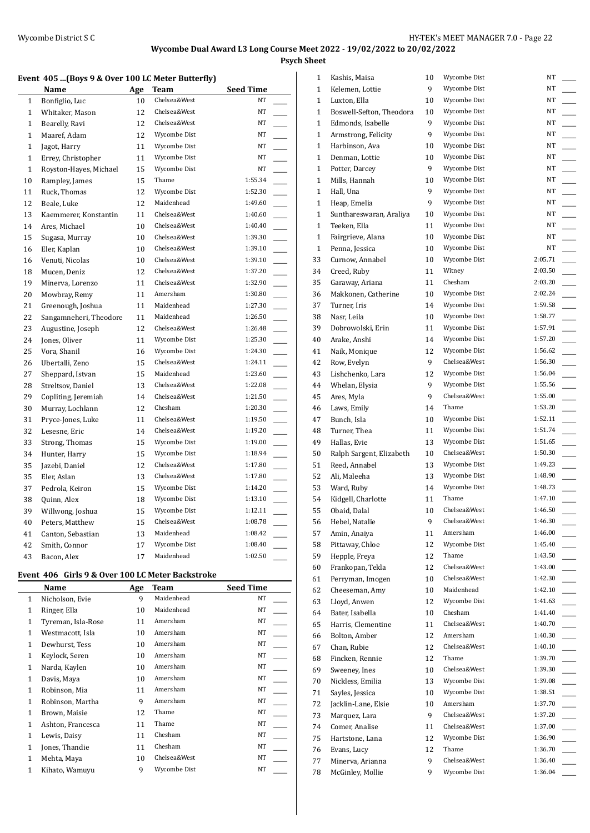**Psych Sheet**

### **Event 405 ...(Boys 9 & Over 100 LC Meter Butterfly)**

|              | Name                   | Age | <b>Team</b>  | <b>Seed Time</b>                    |
|--------------|------------------------|-----|--------------|-------------------------------------|
| $\mathbf{1}$ | Bonfiglio, Luc         | 10  | Chelsea&West | NT                                  |
| $\mathbf{1}$ | Whitaker, Mason        | 12  | Chelsea&West | NT                                  |
| $\mathbf{1}$ | Bearelly, Ravi         | 12  | Chelsea&West | NT                                  |
| $\mathbf{1}$ | Maaref, Adam           | 12  | Wycombe Dist | NT                                  |
| $\mathbf{1}$ | Jagot, Harry           | 11  | Wycombe Dist | NT                                  |
| $\mathbf{1}$ | Errey, Christopher     | 11  | Wycombe Dist | NT                                  |
| $\mathbf{1}$ | Royston-Hayes, Michael | 15  | Wycombe Dist | NT                                  |
| 10           | Rampley, James         | 15  | Thame        | 1:55.34                             |
| 11           | Ruck, Thomas           | 12  | Wycombe Dist | 1:52.30                             |
| 12           | Beale, Luke            | 12  | Maidenhead   | 1:49.60                             |
| 13           | Kaemmerer, Konstantin  | 11  | Chelsea&West | 1:40.60                             |
| 14           | Ares, Michael          | 10  | Chelsea&West | 1:40.40                             |
| 15           | Sugasa, Murray         | 10  | Chelsea&West | 1:39.30<br>$\sim$                   |
| 16           | Eler, Kaplan           | 10  | Chelsea&West | 1:39.10                             |
| 16           | Venuti, Nicolas        | 10  | Chelsea&West | 1:39.10                             |
| 18           | Mucen, Deniz           | 12  | Chelsea&West | 1:37.20                             |
| 19           | Minerva, Lorenzo       | 11  | Chelsea&West | 1:32.90                             |
| 20           | Mowbray, Remy          | 11  | Amersham     | 1:30.80                             |
| 21           | Greenough, Joshua      | 11  | Maidenhead   | 1:27.30                             |
| 22           | Sangamneheri, Theodore | 11  | Maidenhead   | 1:26.50                             |
| 23           | Augustine, Joseph      | 12  | Chelsea&West | 1:26.48                             |
| 24           | Jones, Oliver          | 11  | Wycombe Dist | 1:25.30                             |
| 25           | Vora, Shanil           | 16  | Wycombe Dist | 1:24.30                             |
| 26           | Ubertalli, Zeno        | 15  | Chelsea&West | 1:24.11                             |
| 27           | Sheppard, Istvan       | 15  | Maidenhead   | 1:23.60                             |
| 28           | Streltsov, Daniel      | 13  | Chelsea&West | 1:22.08                             |
| 29           | Copliting, Jeremiah    | 14  | Chelsea&West | 1:21.50<br>$\overline{\phantom{0}}$ |
| 30           | Murray, Lochlann       | 12  | Chesham      | 1:20.30                             |
| 31           | Pryce-Jones, Luke      | 11  | Chelsea&West | 1:19.50                             |
| 32           | Lesesne, Eric          | 14  | Chelsea&West | 1:19.20                             |
| 33           | Strong, Thomas         | 15  | Wycombe Dist | 1:19.00                             |
| 34           | Hunter, Harry          | 15  | Wycombe Dist | 1:18.94                             |
| 35           | Jazebi, Daniel         | 12  | Chelsea&West | 1:17.80                             |
| 35           | Eler, Aslan            | 13  | Chelsea&West | 1:17.80                             |
| 37           | Pedrola, Keiron        | 15  | Wycombe Dist | 1:14.20                             |
| 38           | Quinn, Alex            | 18  | Wycombe Dist | 1:13.10                             |
| 39           | Willwong, Joshua       | 15  | Wycombe Dist | 1:12.11                             |
| 40           | Peters, Matthew        | 15  | Chelsea&West | 1:08.78                             |
| 41           | Canton, Sebastian      | 13  | Maidenhead   | 1:08.42                             |
| 42           | Smith, Connor          | 17  | Wycombe Dist | 1:08.40                             |
| 43           | Bacon, Alex            | 17  | Maidenhead   | 1:02.50                             |

### **Event 406 Girls 9 & Over 100 LC Meter Backstroke**

|              | Name               | Age | Team         | <b>Seed Time</b> |
|--------------|--------------------|-----|--------------|------------------|
| 1            | Nicholson, Evie    | 9   | Maidenhead   | NT               |
| 1            | Ringer, Ella       | 10  | Maidenhead   | <b>NT</b>        |
| $\mathbf{1}$ | Tyreman, Isla-Rose | 11  | Amersham     | NT               |
| 1            | Westmacott, Isla   | 10  | Amersham     | <b>NT</b>        |
| 1            | Dewhurst, Tess     | 10  | Amersham     | <b>NT</b>        |
| 1            | Keylock, Seren     | 10  | Amersham     | NT               |
| 1            | Narda, Kaylen      | 10  | Amersham     | NT               |
| 1            | Davis, Maya        | 10  | Amersham     | NT               |
| 1            | Robinson, Mia      | 11  | Amersham     | <b>NT</b>        |
| 1            | Robinson, Martha   | 9   | Amersham     | <b>NT</b>        |
| 1            | Brown, Maisie      | 12  | Thame        | NT               |
| 1            | Ashton, Francesca  | 11  | Thame        | <b>NT</b>        |
| 1            | Lewis, Daisy       | 11  | Chesham      | NT               |
| 1            | Jones, Thandie     | 11  | Chesham      | NT               |
| 1            | Mehta, Maya        | 10  | Chelsea&West | NT               |
| 1            | Kihato, Wamuyu     | 9   | Wycombe Dist | NT               |

| 1            | Kashis, Maisa            | 10 | Wycombe Dist | NT      |
|--------------|--------------------------|----|--------------|---------|
| $\mathbf{1}$ | Kelemen, Lottie          | 9  | Wycombe Dist | NT      |
| 1            | Luxton, Ella             | 10 | Wycombe Dist | NT      |
| 1            | Boswell-Sefton, Theodora | 10 | Wycombe Dist | NT      |
| 1            | Edmonds, Isabelle        | 9  | Wycombe Dist | NT      |
| 1            | Armstrong, Felicity      | 9  | Wycombe Dist | NT      |
| 1            | Harbinson, Ava           | 10 | Wycombe Dist | NT      |
| 1            | Denman, Lottie           | 10 | Wycombe Dist | NΤ      |
| 1            | Potter, Darcey           | 9  | Wycombe Dist | NT      |
| 1            | Mills, Hannah            | 10 | Wycombe Dist | NT      |
| 1            | Hall, Una                | 9  | Wycombe Dist | NT      |
| 1            | Heap, Emelia             | 9  | Wycombe Dist | NT      |
| 1            | Sunthareswaran, Araliya  | 10 | Wycombe Dist | NT      |
| $\mathbf{1}$ | Teeken, Ella             | 11 | Wycombe Dist | NT      |
| 1            | Fairgrieve, Alana        | 10 | Wycombe Dist | NT      |
| $\mathbf{1}$ | Penna, Jessica           | 10 | Wycombe Dist | NT      |
| 33           | Curnow, Annabel          | 10 | Wycombe Dist | 2:05.71 |
| 34           | Creed, Ruby              | 11 | Witney       | 2:03.50 |
| 35           | Garaway, Ariana          | 11 | Chesham      | 2:03.20 |
| 36           | Makkonen, Catherine      | 10 | Wycombe Dist | 2:02.24 |
| 37           | Turner. Iris             | 14 | Wycombe Dist | 1:59.58 |
| 38           | Nasr, Leila              | 10 | Wycombe Dist | 1:58.77 |
| 39           | Dobrowolski, Erin        | 11 | Wycombe Dist | 1:57.91 |
| 40           | Arake, Anshi             | 14 | Wycombe Dist | 1:57.20 |
| 41           | Naik, Monique            | 12 | Wycombe Dist | 1:56.62 |
| 42           | Row, Evelyn              | 9  | Chelsea&West | 1:56.30 |
| 43           | Lishchenko, Lara         | 12 | Wycombe Dist | 1:56.04 |
| 44           | Whelan, Elysia           | 9  | Wycombe Dist | 1:55.56 |
| 45           | Ares, Myla               | 9  | Chelsea&West | 1:55.00 |
|              |                          |    | Thame        | 1:53.20 |
| 46           | Laws, Emily              | 14 | Wycombe Dist | 1:52.11 |
| 47           | Bunch, Isla              | 10 | Wycombe Dist | 1:51.74 |
| 48           | Turner, Thea             | 11 |              |         |
| 49           | Hallas, Evie             | 13 | Wycombe Dist | 1:51.65 |
| 50           | Ralph Sargent, Elizabeth | 10 | Chelsea&West | 1:50.30 |
| 51           | Reed, Annabel            | 13 | Wycombe Dist | 1:49.23 |
| 52           | Ali, Maleeha             | 13 | Wycombe Dist | 1:48.90 |
| 53           | Ward, Ruby               | 14 | Wycombe Dist | 1:48.73 |
| 54           | Kidgell, Charlotte       | 11 | Thame        | 1:47.10 |
| 55           | Obaid, Dalal             | 10 | Chelsea&West | 1:46.50 |
| 56           | Hebel, Natalie           | 9  | Chelsea&West | 1:46.30 |
| 57           | Amin, Anaiya             | 11 | Amersham     | 1:46.00 |
| 58           | Pittaway, Chloe          | 12 | Wycombe Dist | 1:45.40 |
| 59           | Hepple, Freya            | 12 | Thame        | 1:43.50 |
| 60           | Frankopan, Tekla         | 12 | Chelsea&West | 1:43.00 |
| 61           | Perryman, Imogen         | 10 | Chelsea&West | 1:42.30 |
| 62           | Cheeseman, Amy           | 10 | Maidenhead   | 1:42.10 |
| 63           | Lloyd, Anwen             | 12 | Wycombe Dist | 1:41.63 |
| 64           | Bater, Isabella          | 10 | Chesham      | 1:41.40 |
| 65           | Harris, Clementine       | 11 | Chelsea&West | 1:40.70 |
| 66           | Bolton, Amber            | 12 | Amersham     | 1:40.30 |
| 67           | Chan, Rubie              | 12 | Chelsea&West | 1:40.10 |
| 68           | Fincken, Rennie          | 12 | Thame        | 1:39.70 |
| 69           | Sweeney, Ines            | 10 | Chelsea&West | 1:39.30 |
| 70           | Nickless, Emilia         | 13 | Wycombe Dist | 1:39.08 |
| 71           | Sayles, Jessica          | 10 | Wycombe Dist | 1:38.51 |
| 72           | Jacklin-Lane, Elsie      | 10 | Amersham     | 1:37.70 |
| 73           | Marquez, Lara            | 9  | Chelsea&West | 1:37.20 |
| 74           | Comer, Analise           | 11 | Chelsea&West | 1:37.00 |
| 75           | Hartstone, Lana          | 12 | Wycombe Dist | 1:36.90 |
| 76           | Evans, Lucy              | 12 | Thame        | 1:36.70 |
| 77           | Minerva, Arianna         | 9  | Chelsea&West | 1:36.40 |
| 78           | McGinley, Mollie         | 9  | Wycombe Dist | 1:36.04 |
|              |                          |    |              |         |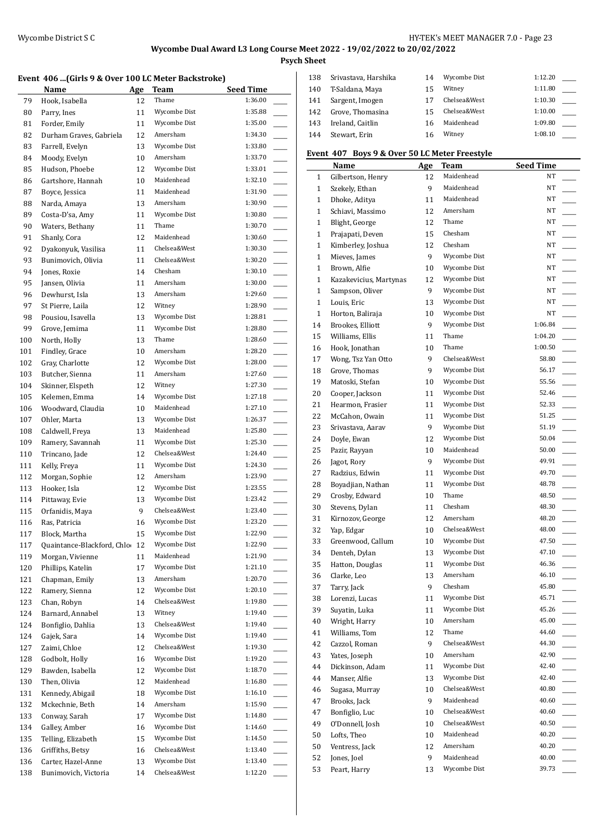**Psych Sheet**

#### **Event 406 ...(Girls 9 & Over 100 LC Meter Backstroke)**

|            | Name                                  | Age      | Team                         | Seed Time          |
|------------|---------------------------------------|----------|------------------------------|--------------------|
| 79         | Hook, Isabella                        | 12       | Thame                        | 1:36.00            |
| 80         | Parry, Ines                           | 11       | Wycombe Dist                 | 1:35.88            |
| 81         | Forder, Emily                         | 11       | Wycombe Dist                 | 1:35.00            |
| 82         | Durham Graves, Gabriela               | 12       | Amersham                     | 1:34.30            |
| 83         | Farrell, Evelyn                       | 13       | Wycombe Dist                 | 1:33.80            |
| 84         | Moody, Evelyn                         | 10       | Amersham                     | 1:33.70            |
| 85         | Hudson, Phoebe                        | 12       | Wycombe Dist                 | 1:33.01            |
| 86         | Gartshore, Hannah                     | 10       | Maidenhead                   | 1:32.10            |
| 87         | Boyce, Jessica                        | 11       | Maidenhead                   | 1:31.90            |
| 88         | Narda, Amaya                          | 13       | Amersham                     | 1:30.90            |
| 89         | Costa-D'sa, Amy                       | 11       | Wycombe Dist                 | 1:30.80            |
| 90         | Waters, Bethany                       | 11       | Thame                        | 1:30.70            |
| 91         | Shanly, Cora                          | 12       | Maidenhead                   | 1:30.60            |
| 92         | Dyakonyuk, Vasilisa                   | 11       | Chelsea&West                 | 1:30.30            |
| 93         | Bunimovich, Olivia                    | 11       | Chelsea&West                 | 1:30.20            |
| 94         | Jones, Roxie                          | 14       | Chesham                      | 1:30.10            |
| 95         | Jansen, Olivia                        | 11       | Amersham                     | 1:30.00            |
| 96         | Dewhurst, Isla                        | 13       | Amersham                     | 1:29.60            |
| 97         | St Pierre, Laila                      | 12       | Witney                       | 1:28.90            |
| 98         | Pousiou, Isavella                     | 13       | Wycombe Dist                 | 1:28.81            |
| 99         | Grove, Jemima                         | 11       | Wycombe Dist                 | 1:28.80            |
| 100        | North, Holly                          | 13       | Thame                        | 1:28.60            |
| 101        | Findley, Grace                        | 10       | Amersham                     | 1:28.20            |
| 102        | Gray, Charlotte                       | 12       | Wycombe Dist                 | 1:28.00            |
| 103        | Butcher, Sienna                       | 11       | Amersham                     | 1:27.60            |
| 104        | Skinner, Elspeth                      | 12       | Witney                       | 1:27.30            |
| 105        | Kelemen, Emma                         | 14       | Wycombe Dist                 | 1:27.18            |
| 106        | Woodward, Claudia                     | 10       | Maidenhead                   | 1:27.10            |
| 107        | Ohler, Marta                          | 13       | Wycombe Dist                 | 1:26.37            |
| 108        | Caldwell, Freya                       | 13       | Maidenhead                   | 1:25.80            |
| 109        | Ramery, Savannah                      | 11       | Wycombe Dist                 | 1:25.30            |
| 110        | Trincano, Jade                        | 12       | Chelsea&West                 | 1:24.40            |
| 111        | Kelly, Freya                          | 11       | Wycombe Dist                 | 1:24.30            |
| 112        | Morgan, Sophie                        | 12       | Amersham                     | 1:23.90            |
| 113        | Hooker, Isla                          | 12       | Wycombe Dist                 | 1:23.55            |
| 114        | Pittaway, Evie                        | 13       | Wycombe Dist<br>Chelsea&West | 1:23.42<br>1:23.40 |
| 115        | Orfanidis, Maya                       | 9        | Wycombe Dist                 | 1:23.20            |
| 116        | Ras, Patricia                         | 16       | Wycombe Dist                 | 1:22.90            |
| 117        | Block, Martha                         | 15       | Wycombe Dist                 | 1:22.90            |
| 117        | Quaintance-Blackford, Chlo            | 12       | Maidenhead                   | 1:21.90            |
| 119        | Morgan, Vivienne<br>Phillips, Katelin | 11       | Wycombe Dist                 | 1:21.10            |
| 120<br>121 | Chapman, Emily                        | 17<br>13 | Amersham                     | 1:20.70            |
| 122        | Ramery, Sienna                        | 12       | Wycombe Dist                 | 1:20.10            |
| 123        | Chan, Robyn                           | 14       | Chelsea&West                 | 1:19.80            |
| 124        | Barnard, Annabel                      | 13       | Witney                       | 1:19.40            |
| 124        | Bonfiglio, Dahlia                     | 13       | Chelsea&West                 | 1:19.40            |
| 124        | Gajek, Sara                           | 14       | Wycombe Dist                 | 1:19.40            |
| 127        | Zaimi, Chloe                          | 12       | Chelsea&West                 | 1:19.30            |
| 128        | Godbolt, Holly                        | 16       | Wycombe Dist                 | 1:19.20            |
| 129        | Bawden, Isabella                      | 12       | Wycombe Dist                 | 1:18.70            |
| 130        | Then, Olivia                          | 12       | Maidenhead                   | 1:16.80            |
| 131        | Kennedy, Abigail                      | 18       | Wycombe Dist                 | 1:16.10            |
| 132        | Mckechnie, Beth                       | 14       | Amersham                     | 1:15.90            |
| 133        | Conway, Sarah                         | 17       | Wycombe Dist                 | 1:14.80            |
| 134        | Galley, Amber                         | 16       | Wycombe Dist                 | 1:14.60            |
| 135        | Telling, Elizabeth                    | 15       | Wycombe Dist                 | 1:14.50            |
| 136        | Griffiths, Betsy                      | 16       | Chelsea&West                 | 1:13.40            |
| 136        | Carter, Hazel-Anne                    | 13       | Wycombe Dist                 | 1:13.40            |
| 138        | Bunimovich, Victoria                  | 14       | Chelsea&West                 | 1:12.20            |

| 138 | Srivastava, Harshika | 14 | Wycombe Dist | 1:12.20 |  |
|-----|----------------------|----|--------------|---------|--|
| 140 | T-Saldana, Maya      | 15 | Witney       | 1:11.80 |  |
| 141 | Sargent, Imogen      | 17 | Chelsea&West | 1:10.30 |  |
| 142 | Grove, Thomasina     | 15 | Chelsea&West | 1:10.00 |  |
| 143 | Ireland, Caitlin     | 16 | Maidenhead   | 1:09.80 |  |
| 144 | Stewart, Erin        | 16 | Witney       | 1:08.10 |  |

## **Event 407 Boys 9 & Over 50 LC Meter Freestyle**

|              | Name                   | Age | Team         | <b>Seed Time</b>                  |
|--------------|------------------------|-----|--------------|-----------------------------------|
| 1            | Gilbertson, Henry      | 12  | Maidenhead   | NΤ                                |
| $\mathbf{1}$ | Szekely, Ethan         | 9   | Maidenhead   | NT                                |
| $\mathbf{1}$ | Dhoke, Aditya          | 11  | Maidenhead   | NT                                |
| $\mathbf{1}$ | Schiavi, Massimo       | 12  | Amersham     | NT                                |
| $\mathbf{1}$ | Blight, George         | 12  | Thame        | NT                                |
| $\mathbf{1}$ | Prajapati, Deven       | 15  | Chesham      | NT                                |
| $\mathbf{1}$ | Kimberley, Joshua      | 12  | Chesham      | NT                                |
| $\mathbf{1}$ | Mieves, James          | 9   | Wycombe Dist | NT                                |
| $\mathbf{1}$ | Brown, Alfie           | 10  | Wycombe Dist | NT                                |
| $\mathbf{1}$ | Kazakevicius, Martynas | 12  | Wycombe Dist | NT                                |
| $\mathbf{1}$ | Sampson, Oliver        | 9   | Wycombe Dist | NT                                |
| $\mathbf{1}$ | Louis, Eric            | 13  | Wycombe Dist | NΤ                                |
| $\mathbf{1}$ | Horton, Baliraja       | 10  | Wycombe Dist | NΤ                                |
| 14           | Brookes, Elliott       | 9   | Wycombe Dist | 1:06.84                           |
| 15           | Williams, Ellis        | 11  | Thame        | 1:04.20                           |
| 16           | Hook, Jonathan         | 10  | Thame        | 1:00.50                           |
| 17           | Wong, Tsz Yan Otto     | 9   | Chelsea&West | 58.80                             |
| 18           | Grove, Thomas          | 9   | Wycombe Dist | 56.17                             |
| 19           | Matoski, Stefan        | 10  | Wycombe Dist | 55.56                             |
| 20           | Cooper, Jackson        | 11  | Wycombe Dist | 52.46                             |
| 21           | Hearmon, Frasier       | 11  | Wycombe Dist | 52.33                             |
| 22           | McCahon, Owain         | 11  | Wycombe Dist | 51.25                             |
| 23           | Srivastava, Aarav      | 9   | Wycombe Dist | 51.19                             |
| 24           | Doyle, Ewan            | 12  | Wycombe Dist | 50.04<br>$\overline{\phantom{a}}$ |
| 25           | Pazir, Rayyan          | 10  | Maidenhead   | 50.00                             |
| 26           | Jagot, Rory            | 9   | Wycombe Dist | 49.91                             |
| 27           | Radzius, Edwin         | 11  | Wycombe Dist | 49.70                             |
| 28           | Boyadjian, Nathan      | 11  | Wycombe Dist | 48.78                             |
| 29           | Crosby, Edward         | 10  | Thame        | 48.50                             |
| 30           | Stevens, Dylan         | 11  | Chesham      | 48.30                             |
| 31           | Kirnozov, George       | 12  | Amersham     | 48.20                             |
| 32           | Yap, Edgar             | 10  | Chelsea&West | 48.00                             |
| 33           | Greenwood, Callum      | 10  | Wycombe Dist | 47.50                             |
| 34           | Denteh, Dylan          | 13  | Wycombe Dist | 47.10                             |
| 35           | Hatton, Douglas        | 11  | Wycombe Dist | 46.36                             |
| 36           | Clarke, Leo            | 13  | Amersham     | 46.10<br>$\sim$                   |
| 37           | Tarry, Jack            | 9   | Chesham      | 45.80                             |
| 38           | Lorenzi, Lucas         | 11  | Wycombe Dist | 45.71                             |
| 39           | Suyatin, Luka          | 11  | Wycombe Dist | 45.26                             |
| 40           | Wright, Harry          | 10  | Amersham     | 45.00                             |
| 41           | Williams, Tom          | 12  | Thame        | 44.60                             |
| 42           | Cazzol, Roman          | 9   | Chelsea&West | 44.30                             |
| 43           | Yates, Joseph          | 10  | Amersham     | 42.90                             |
| 44           | Dickinson, Adam        | 11  | Wycombe Dist | 42.40                             |
| 44           | Manser, Alfie          | 13  | Wycombe Dist | 42.40                             |
| 46           | Sugasa, Murray         | 10  | Chelsea&West | 40.80                             |
| 47           | Brooks, Jack           | 9   | Maidenhead   | 40.60                             |
| 47           | Bonfiglio, Luc         | 10  | Chelsea&West | 40.60<br>$\overline{\phantom{a}}$ |
| 49           | O'Donnell, Josh        | 10  | Chelsea&West | 40.50                             |
| 50           | Lofts, Theo            | 10  | Maidenhead   | 40.20                             |
| 50           | Ventress, Jack         | 12  | Amersham     | 40.20                             |
| 52           | Jones, Joel            | 9   | Maidenhead   | 40.00                             |
| 53           | Peart, Harry           | 13  | Wycombe Dist | 39.73                             |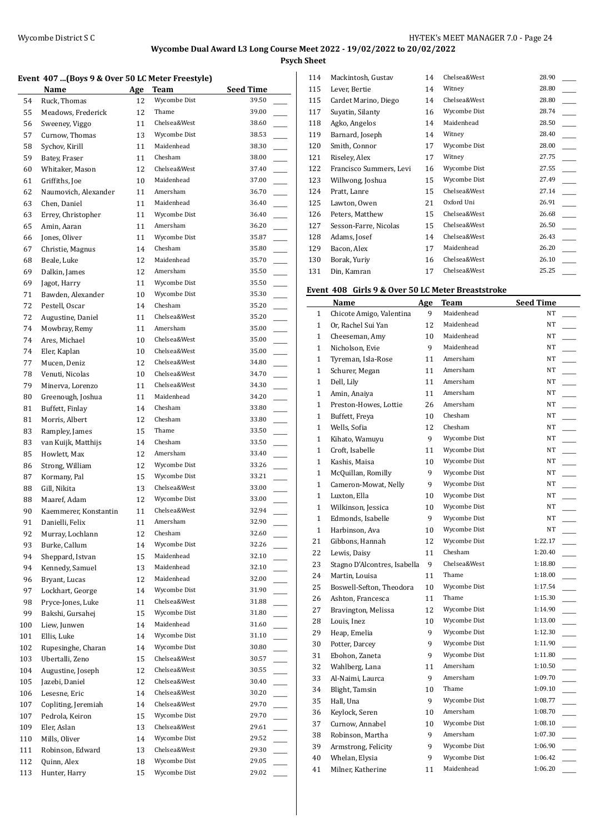**Psych Sheet**

#### **Event 407 ...(Boys 9 & Over 50 LC Meter Freestyle)**

|     | Name                  | Age | Team         | Seed Time |
|-----|-----------------------|-----|--------------|-----------|
| 54  | Ruck, Thomas          | 12  | Wycombe Dist | 39.50     |
| 55  | Meadows, Frederick    | 12  | Thame        | 39.00     |
| 56  | Sweeney, Viggo        | 11  | Chelsea&West | 38.60     |
| 57  | Curnow, Thomas        | 13  | Wycombe Dist | 38.53     |
| 58  | Sychov, Kirill        | 11  | Maidenhead   | 38.30     |
| 59  | Batey, Fraser         | 11  | Chesham      | 38.00     |
| 60  | Whitaker, Mason       | 12  | Chelsea&West | 37.40     |
| 61  | Griffiths, Joe        | 10  | Maidenhead   | 37.00     |
| 62  | Naumovich, Alexander  | 11  | Amersham     | 36.70     |
| 63  | Chen, Daniel          | 11  | Maidenhead   | 36.40     |
| 63  | Errey, Christopher    | 11  | Wycombe Dist | 36.40     |
| 65  | Amin, Aaran           | 11  | Amersham     | 36.20     |
| 66  | Jones, Oliver         | 11  | Wycombe Dist | 35.87     |
| 67  | Christie, Magnus      | 14  | Chesham      | 35.80     |
| 68  | Beale, Luke           | 12  | Maidenhead   | 35.70     |
| 69  | Dalkin, James         | 12  | Amersham     | 35.50     |
| 69  | Jagot, Harry          | 11  | Wycombe Dist | 35.50     |
| 71  | Bawden, Alexander     | 10  | Wycombe Dist | 35.30     |
| 72  | Pestell, Oscar        | 14  | Chesham      | 35.20     |
| 72  | Augustine, Daniel     | 11  | Chelsea&West | 35.20     |
| 74  | Mowbray, Remy         | 11  | Amersham     | 35.00     |
| 74  | Ares, Michael         | 10  | Chelsea&West | 35.00     |
| 74  | Eler, Kaplan          | 10  | Chelsea&West | 35.00     |
| 77  | Mucen, Deniz          | 12  | Chelsea&West | 34.80     |
| 78  | Venuti, Nicolas       | 10  | Chelsea&West | 34.70     |
| 79  | Minerva, Lorenzo      | 11  | Chelsea&West | 34.30     |
| 80  | Greenough, Joshua     | 11  | Maidenhead   | 34.20     |
| 81  | Buffett, Finlay       | 14  | Chesham      | 33.80     |
| 81  | Morris, Albert        | 12  | Chesham      | 33.80     |
| 83  | Rampley, James        | 15  | Thame        | 33.50     |
| 83  | van Kuijk, Matthijs   | 14  | Chesham      | 33.50     |
| 85  | Howlett, Max          | 12  | Amersham     | 33.40     |
| 86  | Strong, William       | 12  | Wycombe Dist | 33.26     |
| 87  | Kormany, Pal          | 15  | Wycombe Dist | 33.21     |
| 88  | Gill, Nikita          | 13  | Chelsea&West | 33.00     |
| 88  | Maaref, Adam          | 12  | Wycombe Dist | 33.00     |
| 90  | Kaemmerer, Konstantin | 11  | Chelsea&West | 32.94     |
| 91  | Danielli, Felix       | 11  | Amersham     | 32.90     |
| 92  | Murray, Lochlann      | 12  | Chesham      | 32.60     |
| 93  | Burke, Callum         | 14  | Wycombe Dist | 32.26     |
| 94  | Sheppard, Istvan      | 15  | Maidenhead   | 32.10     |
| 94  | Kennedy, Samuel       | 13  | Maidenhead   | 32.10     |
| 96  | Bryant, Lucas         | 12  | Maidenhead   | 32.00     |
| 97  | Lockhart, George      | 14  | Wycombe Dist | 31.90     |
| 98  | Pryce-Jones, Luke     | 11  | Chelsea&West | 31.88     |
| 99  | Bakshi, Gursahej      | 15  | Wycombe Dist | 31.80     |
| 100 | Liew, Junwen          | 14  | Maidenhead   | 31.60     |
| 101 | Ellis, Luke           | 14  | Wycombe Dist | 31.10     |
| 102 | Rupesinghe, Charan    | 14  | Wycombe Dist | 30.80     |
| 103 | Ubertalli, Zeno       | 15  | Chelsea&West | 30.57     |
| 104 | Augustine, Joseph     | 12  | Chelsea&West | 30.55     |
| 105 | Jazebi, Daniel        | 12  | Chelsea&West | 30.40     |
| 106 | Lesesne, Eric         | 14  | Chelsea&West | 30.20     |
| 107 | Copliting, Jeremiah   | 14  | Chelsea&West | 29.70     |
| 107 | Pedrola, Keiron       | 15  | Wycombe Dist | 29.70     |
| 109 | Eler, Aslan           | 13  | Chelsea&West | 29.61     |
| 110 | Mills, Oliver         | 14  | Wycombe Dist | 29.52     |
| 111 | Robinson, Edward      | 13  | Chelsea&West | 29.30     |
| 112 | Quinn, Alex           | 18  | Wycombe Dist | 29.05     |
| 113 | Hunter, Harry         | 15  | Wycombe Dist | 29.02     |
|     |                       |     |              |           |

| 114 | Mackintosh, Gustav      | 14 | Chelsea&West | 28.90 |  |
|-----|-------------------------|----|--------------|-------|--|
| 115 | Lever, Bertie           | 14 | Witney       | 28.80 |  |
| 115 | Cardet Marino, Diego    | 14 | Chelsea&West | 28.80 |  |
| 117 | Suyatin, Silanty        | 16 | Wycombe Dist | 28.74 |  |
| 118 | Agko, Angelos           | 14 | Maidenhead   | 28.50 |  |
| 119 | Barnard, Joseph         | 14 | Witney       | 28.40 |  |
| 120 | Smith, Connor           | 17 | Wycombe Dist | 28.00 |  |
| 121 | Riseley, Alex           | 17 | Witney       | 27.75 |  |
| 122 | Francisco Summers, Levi | 16 | Wycombe Dist | 27.55 |  |
| 123 | Willwong, Joshua        | 15 | Wycombe Dist | 27.49 |  |
| 124 | Pratt, Lanre            | 15 | Chelsea&West | 27.14 |  |
| 125 | Lawton, Owen            | 21 | Oxford Uni   | 26.91 |  |
| 126 | Peters, Matthew         | 15 | Chelsea&West | 26.68 |  |
| 127 | Sesson-Farre, Nicolas   | 15 | Chelsea&West | 26.50 |  |
| 128 | Adams, Josef            | 14 | Chelsea&West | 26.43 |  |
| 129 | Bacon, Alex             | 17 | Maidenhead   | 26.20 |  |
| 130 | Borak, Yuriy            | 16 | Chelsea&West | 26.10 |  |
| 131 | Din, Kamran             | 17 | Chelsea&West | 25.25 |  |

# **Event 408 Girls 9 & Over 50 LC Meter Breaststroke**

|              | Name                         | Age | <b>Team</b>  | <b>Seed Time</b>                    |
|--------------|------------------------------|-----|--------------|-------------------------------------|
| $\mathbf{1}$ | Chicote Amigo, Valentina     | 9   | Maidenhead   | NT                                  |
| $\mathbf{1}$ | Or, Rachel Sui Yan           | 12  | Maidenhead   | NT                                  |
| $\mathbf{1}$ | Cheeseman, Amy               | 10  | Maidenhead   | <b>NT</b>                           |
| $\mathbf{1}$ | Nicholson, Evie              | 9   | Maidenhead   | NT                                  |
| $\mathbf{1}$ | Tyreman, Isla-Rose           | 11  | Amersham     | NT                                  |
| $\mathbf{1}$ | Schurer, Megan               | 11  | Amersham     | NT                                  |
| $\mathbf{1}$ | Dell, Lily                   | 11  | Amersham     | NT                                  |
| $\mathbf{1}$ | Amin, Anaiya                 | 11  | Amersham     | NT                                  |
| $\mathbf{1}$ | Preston-Howes, Lottie        | 26  | Amersham     | NT                                  |
| $\mathbf{1}$ | Buffett, Freya               | 10  | Chesham      | NT                                  |
| $\mathbf{1}$ | Wells, Sofia                 | 12  | Chesham      | NT                                  |
| $\mathbf{1}$ | Kihato, Wamuyu               | 9   | Wycombe Dist | NT                                  |
| $\mathbf{1}$ | Croft, Isabelle              | 11  | Wycombe Dist | NT                                  |
| $\mathbf{1}$ | Kashis, Maisa                | 10  | Wycombe Dist | NT                                  |
| $\mathbf{1}$ | McQuillan, Romilly           | 9   | Wycombe Dist | NT                                  |
| $\mathbf{1}$ | Cameron-Mowat, Nelly         | 9   | Wycombe Dist | NT                                  |
| $\mathbf{1}$ | Luxton, Ella                 | 10  | Wycombe Dist | NT                                  |
| $\mathbf{1}$ | Wilkinson, Jessica           | 10  | Wycombe Dist | NT                                  |
| $\mathbf{1}$ | Edmonds, Isabelle            | 9   | Wycombe Dist | NT<br>$\overline{\phantom{a}}$      |
| $\mathbf{1}$ | Harbinson, Ava               | 10  | Wycombe Dist | NT                                  |
| 21           | Gibbons, Hannah              | 12  | Wycombe Dist | 1:22.17                             |
| 22           | Lewis, Daisy                 | 11  | Chesham      | 1:20.40<br>$\overline{\phantom{a}}$ |
| 23           | Stagno D'Alcontres, Isabella | 9   | Chelsea&West | 1:18.80<br>$\overline{\phantom{a}}$ |
| 24           | Martin, Louisa               | 11  | Thame        | 1:18.00                             |
| 25           | Boswell-Sefton, Theodora     | 10  | Wycombe Dist | 1:17.54                             |
| 26           | Ashton, Francesca            | 11  | Thame        | 1:15.30<br>$\overline{\phantom{a}}$ |
| 27           | Bravington, Melissa          | 12  | Wycombe Dist | 1:14.90                             |
| 28           | Louis, Inez                  | 10  | Wycombe Dist | 1:13.00                             |
| 29           | Heap, Emelia                 | 9   | Wycombe Dist | 1:12.30                             |
| 30           | Potter, Darcey               | 9   | Wycombe Dist | 1:11.90<br>$\overline{\phantom{a}}$ |
| 31           | Ebohon, Zaneta               | 9   | Wycombe Dist | 1:11.80<br>$\overline{\phantom{a}}$ |
| 32           | Wahlberg, Lana               | 11  | Amersham     | 1:10.50                             |
| 33           | Al-Naimi, Laurca             | 9   | Amersham     | 1:09.70                             |
| 34           | Blight, Tamsin               | 10  | Thame        | 1:09.10<br>$\mathcal{L}$            |
| 35           | Hall, Una                    | 9   | Wycombe Dist | 1:08.77                             |
| 36           | Keylock, Seren               | 10  | Amersham     | 1:08.70                             |
| 37           | Curnow, Annabel              | 10  | Wycombe Dist | 1:08.10                             |
| 38           | Robinson, Martha             | 9   | Amersham     | 1:07.30                             |
| 39           | Armstrong, Felicity          | 9   | Wycombe Dist | 1:06.90                             |
| 40           | Whelan, Elysia               | 9   | Wycombe Dist | 1:06.42                             |
| 41           | Milner, Katherine            | 11  | Maidenhead   | 1:06.20                             |
|              |                              |     |              |                                     |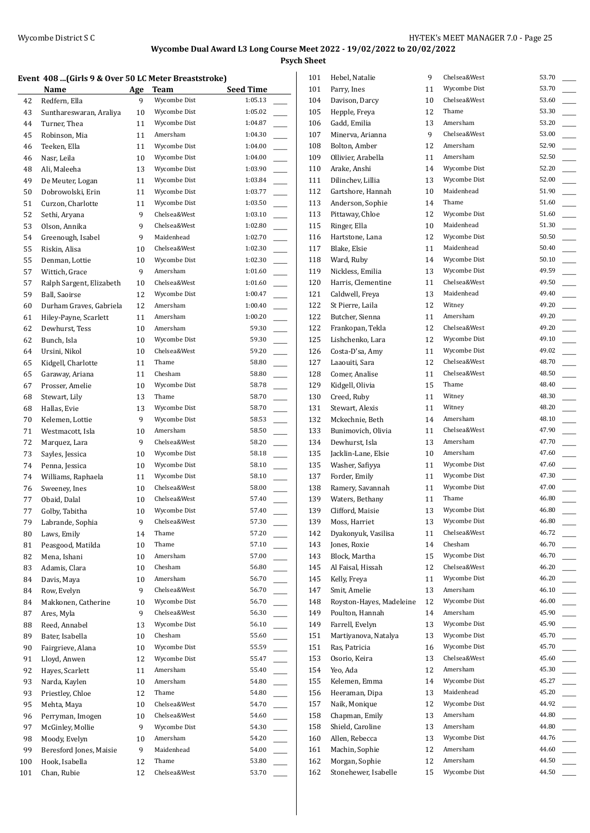**Psych Sheet**

#### Event 408 *(Girls 9 & Over 50 LC Meter Breaststroke)*

|     | Event 400 (GHTs 9 & Over 50 LC Meter Breaststruke) |     |              |                  |
|-----|----------------------------------------------------|-----|--------------|------------------|
|     | Name                                               | Age | Team         | <b>Seed Time</b> |
| 42  | Redfern, Ella                                      | 9   | Wycombe Dist | 1:05.13          |
| 43  | Sunthareswaran, Araliya                            | 10  | Wycombe Dist | 1:05.02          |
| 44  | Turner, Thea                                       | 11  | Wycombe Dist | 1:04.87          |
| 45  | Robinson, Mia                                      | 11  | Amersham     | 1:04.30          |
| 46  | Teeken, Ella                                       | 11  | Wycombe Dist | 1:04.00          |
| 46  | Nasr, Leila                                        | 10  | Wycombe Dist | 1:04.00          |
| 48  | Ali, Maleeha                                       | 13  | Wycombe Dist | 1:03.90          |
| 49  | De Meuter, Logan                                   | 11  | Wycombe Dist | 1:03.84          |
| 50  | Dobrowolski, Erin                                  | 11  | Wycombe Dist | 1:03.77          |
| 51  | Curzon, Charlotte                                  | 11  | Wycombe Dist | 1:03.50          |
| 52  | Sethi, Aryana                                      | 9   | Chelsea&West | 1:03.10          |
| 53  | Olson, Annika                                      | 9   | Chelsea&West | 1:02.80          |
| 54  | Greenough, Isabel                                  | 9   | Maidenhead   | 1:02.70          |
| 55  | Riskin, Alisa                                      | 10  | Chelsea&West | 1:02.30          |
| 55  | Denman, Lottie                                     | 10  | Wycombe Dist | 1:02.30          |
| 57  | Wittich, Grace                                     | 9   | Amersham     | 1:01.60          |
| 57  | Ralph Sargent, Elizabeth                           | 10  | Chelsea&West | 1:01.60          |
| 59  | <b>Ball.</b> Saoirse                               | 12  | Wycombe Dist | 1:00.47          |
| 60  | Durham Graves, Gabriela                            | 12  | Amersham     | 1:00.40          |
| 61  | Hiley-Payne, Scarlett                              | 11  | Amersham     | 1:00.20          |
| 62  | Dewhurst, Tess                                     | 10  | Amersham     | 59.30            |
| 62  | Bunch, Isla                                        | 10  | Wycombe Dist | 59.30            |
| 64  | Ursini, Nikol                                      | 10  | Chelsea&West | 59.20            |
| 65  | Kidgell, Charlotte                                 | 11  | Thame        | 58.80            |
|     |                                                    |     | Chesham      | 58.80            |
| 65  | Garaway, Ariana                                    | 11  | Wycombe Dist | 58.78            |
| 67  | Prosser, Amelie                                    | 10  |              |                  |
| 68  | Stewart, Lily                                      | 13  | Thame        | 58.70            |
| 68  | Hallas, Evie                                       | 13  | Wycombe Dist | 58.70            |
| 70  | Kelemen, Lottie                                    | 9   | Wycombe Dist | 58.53            |
| 71  | Westmacott, Isla                                   | 10  | Amersham     | 58.50            |
| 72  | Marquez, Lara                                      | 9   | Chelsea&West | 58.20            |
| 73  | Sayles, Jessica                                    | 10  | Wycombe Dist | 58.18            |
| 74  | Penna, Jessica                                     | 10  | Wycombe Dist | 58.10            |
| 74  | Williams, Raphaela                                 | 11  | Wycombe Dist | 58.10            |
| 76  | Sweeney, Ines                                      | 10  | Chelsea&West | 58.00            |
| 77  | Obaid. Dalal                                       | 10  | Chelsea&West | 57.40            |
| 77  | Golby, Tabitha                                     | 10  | Wycombe Dist | 57.40            |
| 79  | Labrande, Sophia                                   | 9   | Chelsea&West | 57.30            |
| 80  | Laws, Emily                                        | 14  | Thame        | 57.20            |
| 81  | Peasgood, Matilda                                  | 10  | Thame        | 57.10            |
| 82  | Mena, Ishani                                       | 10  | Amersham     | 57.00            |
| 83  | Adamis, Clara                                      | 10  | Chesham      | 56.80            |
| 84  | Davis, Maya                                        | 10  | Amersham     | 56.70            |
| 84  | Row, Evelyn                                        | 9   | Chelsea&West | 56.70            |
| 84  | Makkonen, Catherine                                | 10  | Wycombe Dist | 56.70            |
| 87  | Ares, Myla                                         | 9   | Chelsea&West | 56.30            |
| 88  | Reed, Annabel                                      | 13  | Wycombe Dist | 56.10            |
| 89  | Bater, Isabella                                    | 10  | Chesham      | 55.60            |
| 90  | Fairgrieve, Alana                                  | 10  | Wycombe Dist | 55.59            |
| 91  | Lloyd, Anwen                                       | 12  | Wycombe Dist | 55.47            |
| 92  | Hayes, Scarlett                                    | 11  | Amersham     | 55.40            |
| 93  | Narda, Kaylen                                      | 10  | Amersham     | 54.80            |
| 93  | Priestley, Chloe                                   | 12  | Thame        | 54.80            |
| 95  | Mehta, Maya                                        | 10  | Chelsea&West | 54.70            |
| 96  | Perryman, Imogen                                   | 10  | Chelsea&West | 54.60            |
| 97  | McGinley, Mollie                                   | 9   | Wycombe Dist | 54.30            |
| 98  | Moody, Evelyn                                      | 10  | Amersham     | 54.20            |
| 99  | Beresford Jones, Maisie                            | 9   | Maidenhead   | 54.00            |
| 100 | Hook, Isabella                                     | 12  | Thame        | 53.80            |
| 101 | Chan, Rubie                                        | 12  | Chelsea&West | 53.70            |
|     |                                                    |     |              |                  |

| 101        | Hebel, Natalie           | 9  | Chelsea&West | 53.70 |  |
|------------|--------------------------|----|--------------|-------|--|
| 101        | Parry, Ines              | 11 | Wycombe Dist | 53.70 |  |
| 104        | Davison, Darcy           | 10 | Chelsea&West | 53.60 |  |
| 105        | Hepple, Freya            | 12 | Thame        | 53.30 |  |
| 106        | Gadd, Emilia             | 13 | Amersham     | 53.20 |  |
| 107        | Minerva, Arianna         | 9  | Chelsea&West | 53.00 |  |
| 108        | Bolton, Amber            | 12 | Amersham     | 52.90 |  |
| 109        | Ollivier, Arabella       | 11 | Amersham     | 52.50 |  |
| 110        | Arake, Anshi             | 14 | Wycombe Dist | 52.20 |  |
| 111        | Dilinchev, Lillia        | 13 | Wycombe Dist | 52.00 |  |
| 112        | Gartshore, Hannah        | 10 | Maidenhead   | 51.90 |  |
| 113        | Anderson, Sophie         | 14 | Thame        | 51.60 |  |
|            |                          |    |              | 51.60 |  |
| 113        | Pittaway, Chloe          | 12 | Wycombe Dist |       |  |
| 115        | Ringer, Ella             | 10 | Maidenhead   | 51.30 |  |
| 116        | Hartstone, Lana          | 12 | Wycombe Dist | 50.50 |  |
| 117        | Blake, Elsie             | 11 | Maidenhead   | 50.40 |  |
| 118        | Ward, Ruby               | 14 | Wycombe Dist | 50.10 |  |
| 119        | Nickless, Emilia         | 13 | Wycombe Dist | 49.59 |  |
| 120        | Harris, Clementine       | 11 | Chelsea&West | 49.50 |  |
| 121        | Caldwell, Freya          | 13 | Maidenhead   | 49.40 |  |
| 122        | St Pierre, Laila         | 12 | Witney       | 49.20 |  |
| 122        | Butcher, Sienna          | 11 | Amersham     | 49.20 |  |
| 122        | Frankopan, Tekla         | 12 | Chelsea&West | 49.20 |  |
| 125        | Lishchenko, Lara         | 12 | Wycombe Dist | 49.10 |  |
| 126        | Costa-D'sa, Amy          | 11 | Wycombe Dist | 49.02 |  |
| 127        | Laaouiti, Sara           | 12 | Chelsea&West | 48.70 |  |
| 128        | Comer, Analise           | 11 | Chelsea&West | 48.50 |  |
| 129        | Kidgell, Olivia          | 15 | Thame        | 48.40 |  |
| 130        | Creed, Ruby              | 11 | Witney       | 48.30 |  |
| 131        | Stewart, Alexis          | 11 | Witney       | 48.20 |  |
| 132        | Mckechnie, Beth          | 14 | Amersham     | 48.10 |  |
| 133        | Bunimovich, Olivia       | 11 | Chelsea&West | 47.90 |  |
| 134        | Dewhurst, Isla           | 13 | Amersham     | 47.70 |  |
| 135        | Jacklin-Lane, Elsie      | 10 | Amersham     | 47.60 |  |
| 135        | Washer, Safiyya          | 11 | Wycombe Dist | 47.60 |  |
| 137        | Forder, Emily            | 11 | Wycombe Dist | 47.30 |  |
| 138        | Ramery, Savannah         | 11 | Wycombe Dist | 47.00 |  |
|            | Waters, Bethany          | 11 | Thame        | 46.80 |  |
| 139<br>139 |                          | 13 | Wycombe Dist | 46.80 |  |
|            | Clifford, Maisie         |    |              |       |  |
| 139        | Moss, Harriet            | 13 | Wycombe Dist | 46.80 |  |
| 142        | Dyakonyuk, Vasilisa      | 11 | Chelsea&West | 46.72 |  |
| 143        | Jones, Roxie             | 14 | Chesham      | 46.70 |  |
| 143        | Block, Martha            | 15 | Wycombe Dist | 46.70 |  |
| 145        | Al Faisal, Hissah        | 12 | Chelsea&West | 46.20 |  |
| 145        | Kelly, Freya             | 11 | Wycombe Dist | 46.20 |  |
| 147        | Smit, Amelie             | 13 | Amersham     | 46.10 |  |
| 148        | Royston-Hayes, Madeleine | 12 | Wycombe Dist | 46.00 |  |
| 149        | Poulton, Hannah          | 14 | Amersham     | 45.90 |  |
| 149        | Farrell, Evelyn          | 13 | Wycombe Dist | 45.90 |  |
| 151        | Martiyanova, Natalya     | 13 | Wycombe Dist | 45.70 |  |
| 151        | Ras, Patricia            | 16 | Wycombe Dist | 45.70 |  |
| 153        | Osorio, Keira            | 13 | Chelsea&West | 45.60 |  |
| 154        | Yeo, Ada                 | 12 | Amersham     | 45.30 |  |
| 155        | Kelemen, Emma            | 14 | Wycombe Dist | 45.27 |  |
| 156        | Heeraman, Dipa           | 13 | Maidenhead   | 45.20 |  |
| 157        | Naik, Monique            | 12 | Wycombe Dist | 44.92 |  |
| 158        | Chapman, Emily           | 13 | Amersham     | 44.80 |  |
| 158        | Shield, Caroline         | 13 | Amersham     | 44.80 |  |
| 160        | Allen, Rebecca           | 13 | Wycombe Dist | 44.76 |  |
| 161        | Machin, Sophie           | 12 | Amersham     | 44.60 |  |
| 162        | Morgan, Sophie           | 12 | Amersham     | 44.50 |  |
| 162        | Stonehewer, Isabelle     | 15 | Wycombe Dist | 44.50 |  |
|            |                          |    |              |       |  |